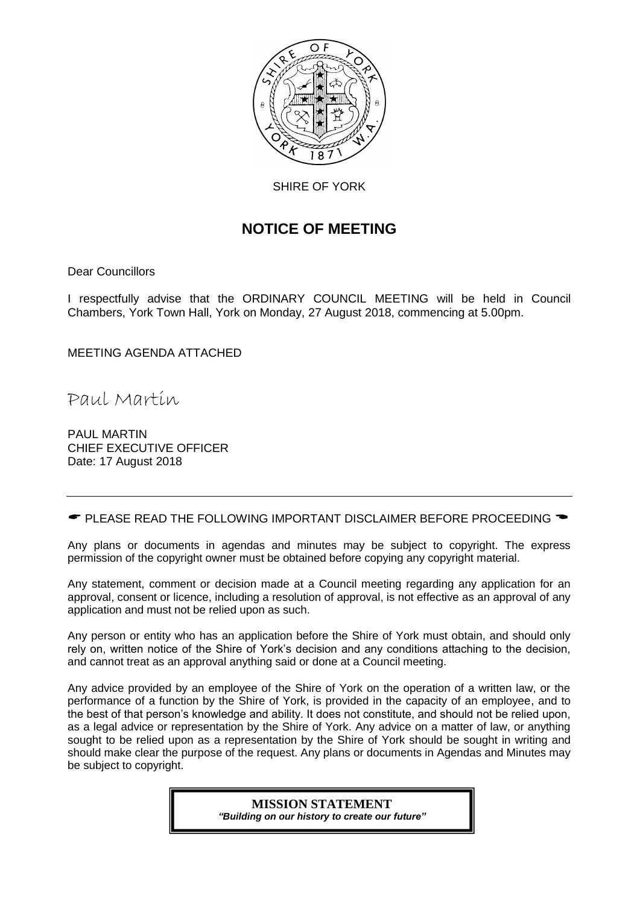

SHIRE OF YORK

# **NOTICE OF MEETING**

Dear Councillors

I respectfully advise that the ORDINARY COUNCIL MEETING will be held in Council Chambers, York Town Hall, York on Monday, 27 August 2018, commencing at 5.00pm.

MEETING AGENDA ATTACHED

Paul Martin

PAUL MARTIN CHIEF EXECUTIVE OFFICER Date: 17 August 2018

 $\bullet$  PLEASE READ THE FOLLOWING IMPORTANT DISCLAIMER BEFORE PROCEEDING  $\bullet$ 

Any plans or documents in agendas and minutes may be subject to copyright. The express permission of the copyright owner must be obtained before copying any copyright material.

Any statement, comment or decision made at a Council meeting regarding any application for an approval, consent or licence, including a resolution of approval, is not effective as an approval of any application and must not be relied upon as such.

Any person or entity who has an application before the Shire of York must obtain, and should only rely on, written notice of the Shire of York's decision and any conditions attaching to the decision, and cannot treat as an approval anything said or done at a Council meeting.

Any advice provided by an employee of the Shire of York on the operation of a written law, or the performance of a function by the Shire of York, is provided in the capacity of an employee, and to the best of that person's knowledge and ability. It does not constitute, and should not be relied upon, as a legal advice or representation by the Shire of York. Any advice on a matter of law, or anything sought to be relied upon as a representation by the Shire of York should be sought in writing and should make clear the purpose of the request. Any plans or documents in Agendas and Minutes may be subject to copyright.

> **MISSION STATEMENT** *"Building on our history to create our future"*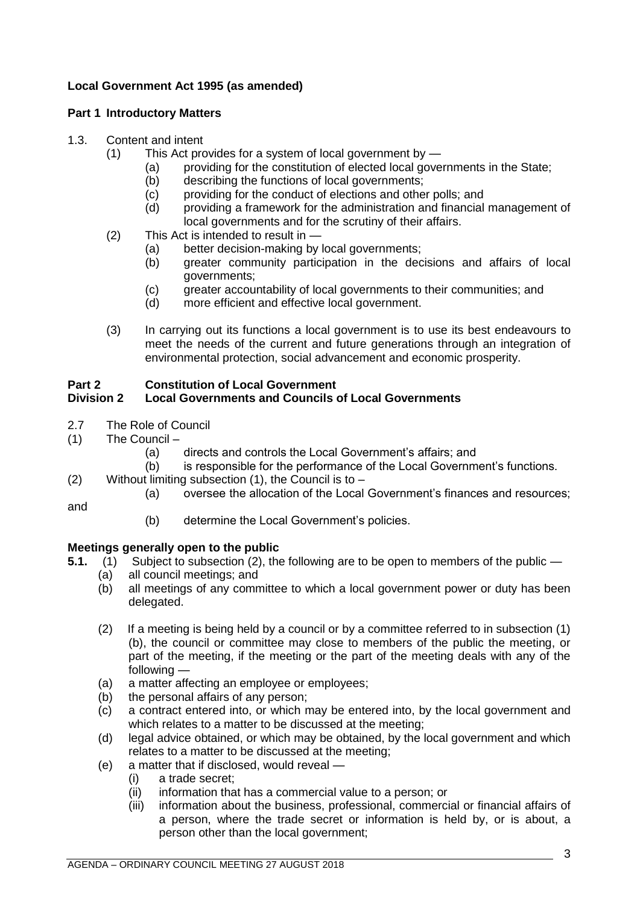# **Local Government Act 1995 (as amended)**

# **Part 1 Introductory Matters**

# 1.3. Content and intent

- (1) This Act provides for a system of local government by
	- (a) providing for the constitution of elected local governments in the State;
	- (b) describing the functions of local governments;
	- (c) providing for the conduct of elections and other polls; and
	- (d) providing a framework for the administration and financial management of local governments and for the scrutiny of their affairs.
- (2) This Act is intended to result in
	- (a) better decision-making by local governments;
	- (b) greater community participation in the decisions and affairs of local governments;
	- (c) greater accountability of local governments to their communities; and
	- (d) more efficient and effective local government.
- (3) In carrying out its functions a local government is to use its best endeavours to meet the needs of the current and future generations through an integration of environmental protection, social advancement and economic prosperity.

# **Part 2 Constitution of Local Government**

# **Division 2 Local Governments and Councils of Local Governments**

- 2.7 The Role of Council
- (1) The Council
	- (a) directs and controls the Local Government's affairs; and
	- (b) is responsible for the performance of the Local Government's functions.
- (2) Without limiting subsection  $(1)$ , the Council is to
	- (a) oversee the allocation of the Local Government's finances and resources;

and

(b) determine the Local Government's policies.

# **Meetings generally open to the public**

- **5.1.** (1) Subject to subsection (2), the following are to be open to members of the public
	- (a) all council meetings; and
	- (b) all meetings of any committee to which a local government power or duty has been delegated.
	- (2) If a meeting is being held by a council or by a committee referred to in subsection (1) (b), the council or committee may close to members of the public the meeting, or part of the meeting, if the meeting or the part of the meeting deals with any of the following —
	- (a) a matter affecting an employee or employees;
	- (b) the personal affairs of any person;
	- (c) a contract entered into, or which may be entered into, by the local government and which relates to a matter to be discussed at the meeting;
	- (d) legal advice obtained, or which may be obtained, by the local government and which relates to a matter to be discussed at the meeting;
	- (e) a matter that if disclosed, would reveal
		- (i) a trade secret;
		- (ii) information that has a commercial value to a person; or
		- (iii) information about the business, professional, commercial or financial affairs of a person, where the trade secret or information is held by, or is about, a person other than the local government;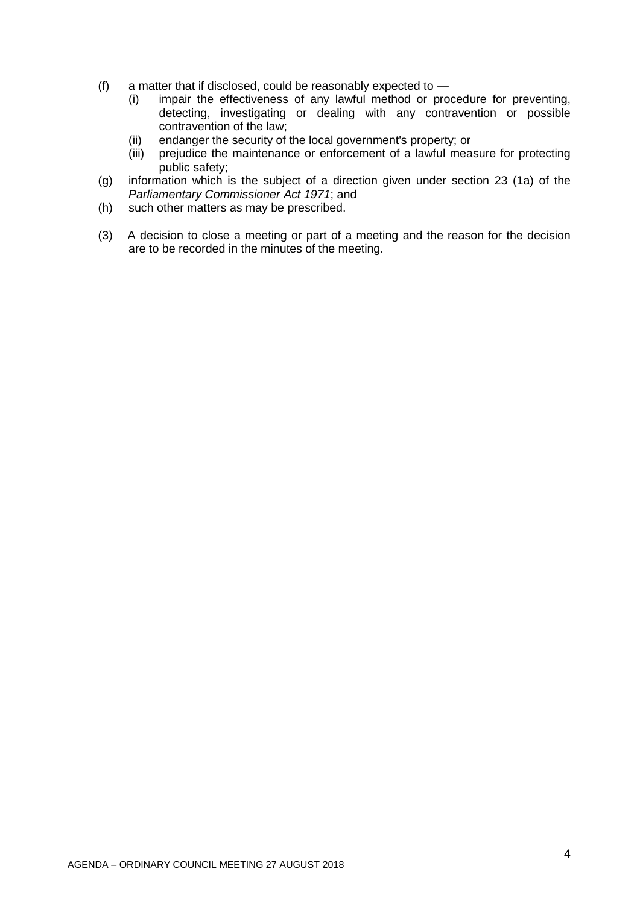- (f) a matter that if disclosed, could be reasonably expected to  $-$ 
	- (i) impair the effectiveness of any lawful method or procedure for preventing, detecting, investigating or dealing with any contravention or possible contravention of the law;
	- (ii) endanger the security of the local government's property; or
	- (iii) prejudice the maintenance or enforcement of a lawful measure for protecting public safety;
- (g) information which is the subject of a direction given under section 23 (1a) of the *Parliamentary Commissioner Act 1971*; and
- (h) such other matters as may be prescribed.
- (3) A decision to close a meeting or part of a meeting and the reason for the decision are to be recorded in the minutes of the meeting.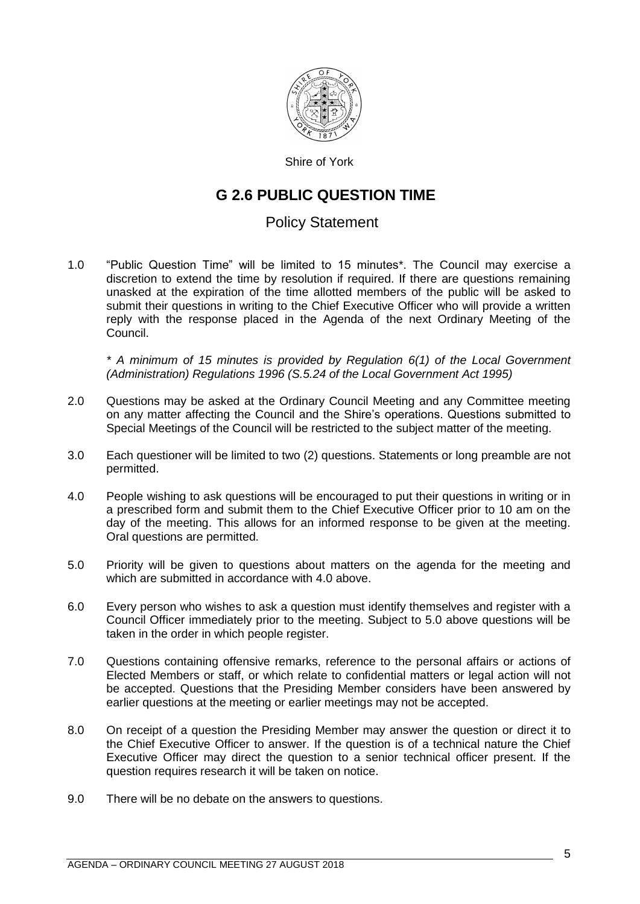

Shire of York

# **G 2.6 PUBLIC QUESTION TIME**

# Policy Statement

1.0 "Public Question Time" will be limited to 15 minutes\*. The Council may exercise a discretion to extend the time by resolution if required. If there are questions remaining unasked at the expiration of the time allotted members of the public will be asked to submit their questions in writing to the Chief Executive Officer who will provide a written reply with the response placed in the Agenda of the next Ordinary Meeting of the Council.

*\* A minimum of 15 minutes is provided by Regulation 6(1) of the Local Government (Administration) Regulations 1996 (S.5.24 of the Local Government Act 1995)*

- 2.0 Questions may be asked at the Ordinary Council Meeting and any Committee meeting on any matter affecting the Council and the Shire's operations. Questions submitted to Special Meetings of the Council will be restricted to the subject matter of the meeting.
- 3.0 Each questioner will be limited to two (2) questions. Statements or long preamble are not permitted.
- 4.0 People wishing to ask questions will be encouraged to put their questions in writing or in a prescribed form and submit them to the Chief Executive Officer prior to 10 am on the day of the meeting. This allows for an informed response to be given at the meeting. Oral questions are permitted.
- 5.0 Priority will be given to questions about matters on the agenda for the meeting and which are submitted in accordance with 4.0 above.
- 6.0 Every person who wishes to ask a question must identify themselves and register with a Council Officer immediately prior to the meeting. Subject to 5.0 above questions will be taken in the order in which people register.
- 7.0 Questions containing offensive remarks, reference to the personal affairs or actions of Elected Members or staff, or which relate to confidential matters or legal action will not be accepted. Questions that the Presiding Member considers have been answered by earlier questions at the meeting or earlier meetings may not be accepted.
- 8.0 On receipt of a question the Presiding Member may answer the question or direct it to the Chief Executive Officer to answer. If the question is of a technical nature the Chief Executive Officer may direct the question to a senior technical officer present. If the question requires research it will be taken on notice.
- 9.0 There will be no debate on the answers to questions.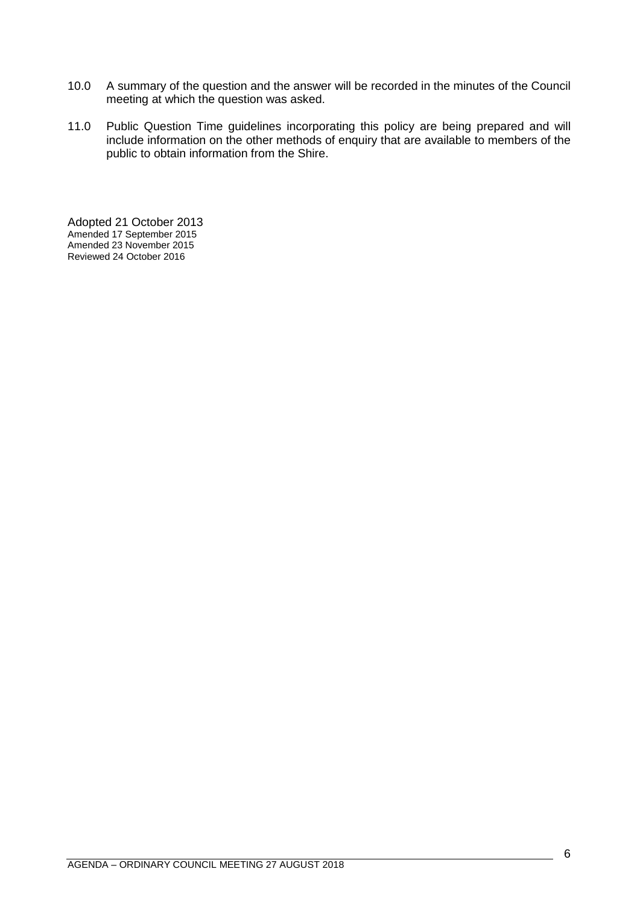- 10.0 A summary of the question and the answer will be recorded in the minutes of the Council meeting at which the question was asked.
- 11.0 Public Question Time guidelines incorporating this policy are being prepared and will include information on the other methods of enquiry that are available to members of the public to obtain information from the Shire.

Adopted 21 October 2013 Amended 17 September 2015 Amended 23 November 2015 Reviewed 24 October 2016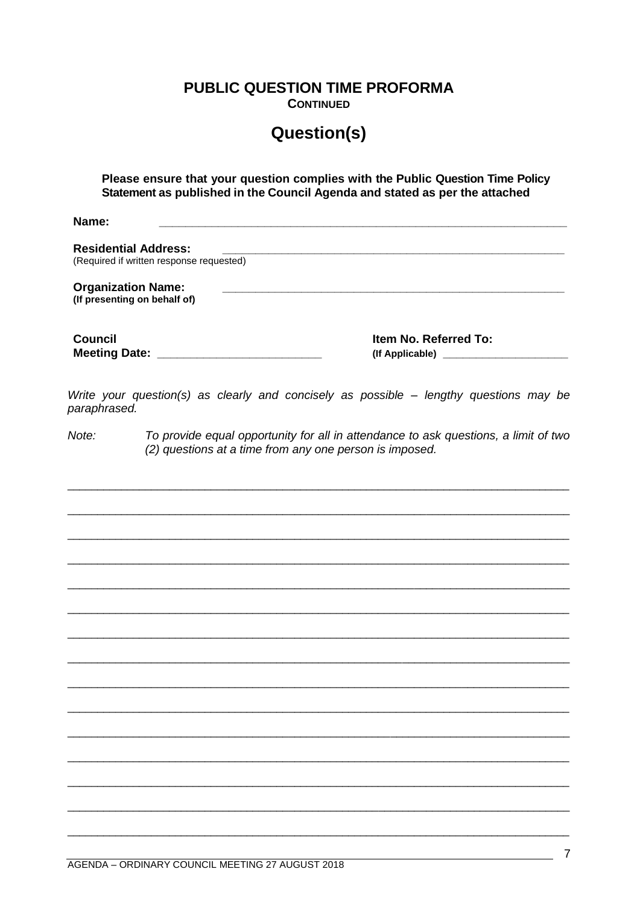**PUBLIC QUESTION TIME PROFORMA** 

**CONTINUED** 

# **Question(s)**

Please ensure that your question complies with the Public Question Time Policy Statement as published in the Council Agenda and stated as per the attached

Name<sup>.</sup>

**Residential Address:** (Required if written response requested) **Organization Name:** (If presenting on behalf of) **Council** Item No. Referred To: 

Write your question(s) as clearly and concisely as possible - lengthy questions may be paraphrased.

 $Note:$ To provide equal opportunity for all in attendance to ask questions, a limit of two (2) questions at a time from any one person is imposed.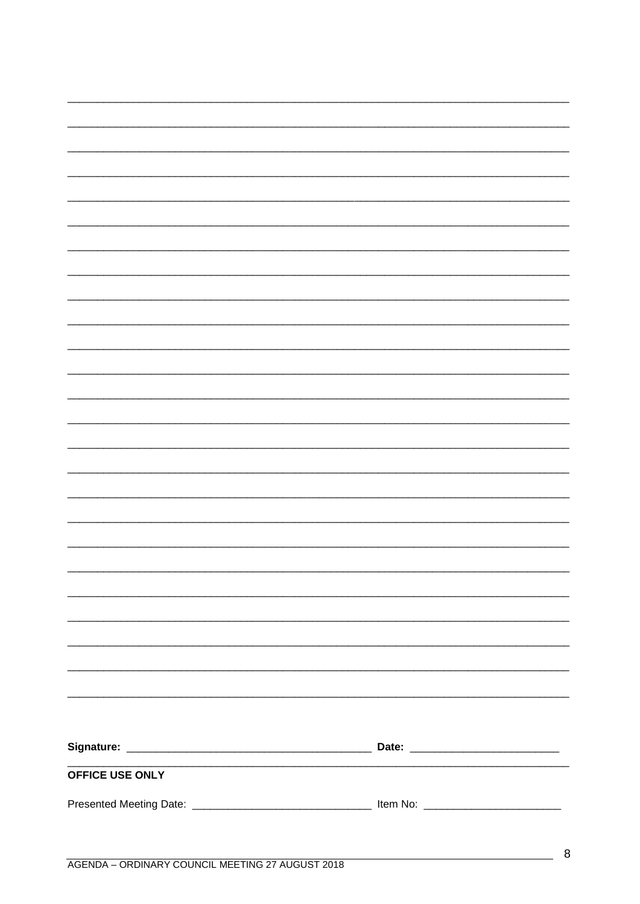| OFFICE USE ONLY |  |
|-----------------|--|
|                 |  |
|                 |  |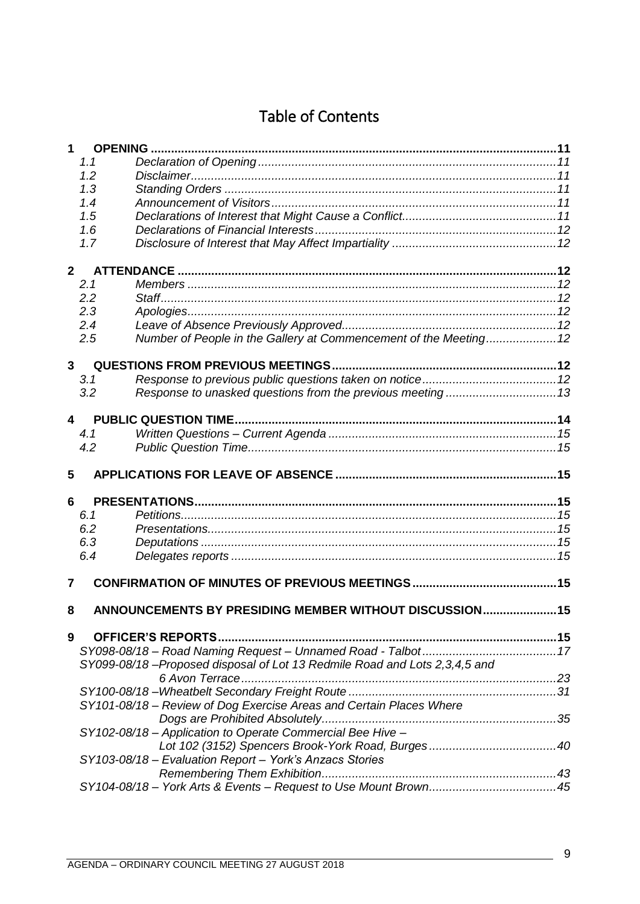# Table of Contents

| 1                | <b>OPENING</b> |                                                                           |  |
|------------------|----------------|---------------------------------------------------------------------------|--|
|                  | 1.1            |                                                                           |  |
|                  | 1.2            |                                                                           |  |
|                  | 1.3            |                                                                           |  |
|                  | 1.4            |                                                                           |  |
|                  | 1.5            |                                                                           |  |
|                  | 1.6            |                                                                           |  |
|                  | 1.7            |                                                                           |  |
| 2 <sup>1</sup>   |                |                                                                           |  |
|                  | 2.1            |                                                                           |  |
|                  | 2.2            |                                                                           |  |
|                  | 2.3            |                                                                           |  |
|                  | 2.4            |                                                                           |  |
|                  | 2.5            | Number of People in the Gallery at Commencement of the Meeting 12         |  |
| $\mathbf{3}$     |                |                                                                           |  |
|                  | 3.1            |                                                                           |  |
|                  | 3.2            |                                                                           |  |
| $\boldsymbol{4}$ |                |                                                                           |  |
|                  | 4.1            |                                                                           |  |
|                  | 4.2            |                                                                           |  |
| 5                |                |                                                                           |  |
| 6                |                |                                                                           |  |
|                  | 6.1            |                                                                           |  |
|                  | 6.2            |                                                                           |  |
|                  | 6.3            |                                                                           |  |
|                  | 6.4            |                                                                           |  |
| 7                |                |                                                                           |  |
| 8                |                | ANNOUNCEMENTS BY PRESIDING MEMBER WITHOUT DISCUSSION 15                   |  |
|                  |                |                                                                           |  |
| 9                |                |                                                                           |  |
|                  |                |                                                                           |  |
|                  |                | SY099-08/18-Proposed disposal of Lot 13 Redmile Road and Lots 2,3,4,5 and |  |
|                  |                |                                                                           |  |
|                  |                |                                                                           |  |
|                  |                | SY101-08/18 - Review of Dog Exercise Areas and Certain Places Where       |  |
|                  |                |                                                                           |  |
|                  |                | SY102-08/18 - Application to Operate Commercial Bee Hive -                |  |
|                  |                |                                                                           |  |
|                  |                | SY103-08/18 - Evaluation Report - York's Anzacs Stories                   |  |
|                  |                |                                                                           |  |
|                  |                |                                                                           |  |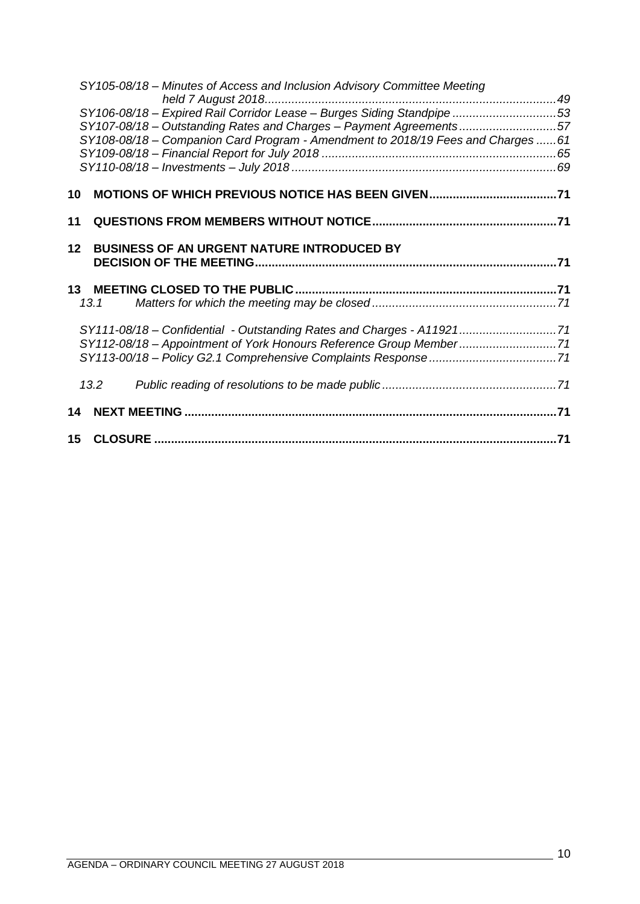|                 | SY105-08/18 - Minutes of Access and Inclusion Advisory Committee Meeting        |  |
|-----------------|---------------------------------------------------------------------------------|--|
|                 | SY106-08/18 - Expired Rail Corridor Lease - Burges Siding Standpipe 53          |  |
|                 | SY107-08/18 - Outstanding Rates and Charges - Payment Agreements57              |  |
|                 | SY108-08/18 - Companion Card Program - Amendment to 2018/19 Fees and Charges 61 |  |
|                 |                                                                                 |  |
|                 |                                                                                 |  |
| 10              |                                                                                 |  |
| 11              |                                                                                 |  |
| 12 <sup>1</sup> | <b>BUSINESS OF AN URGENT NATURE INTRODUCED BY</b>                               |  |
|                 |                                                                                 |  |
|                 |                                                                                 |  |
|                 | 13.1                                                                            |  |
|                 | SY111-08/18 - Confidential - Outstanding Rates and Charges - A1192171           |  |
|                 | SY112-08/18 - Appointment of York Honours Reference Group Member71              |  |
|                 |                                                                                 |  |
|                 | 13.2                                                                            |  |
|                 |                                                                                 |  |
|                 |                                                                                 |  |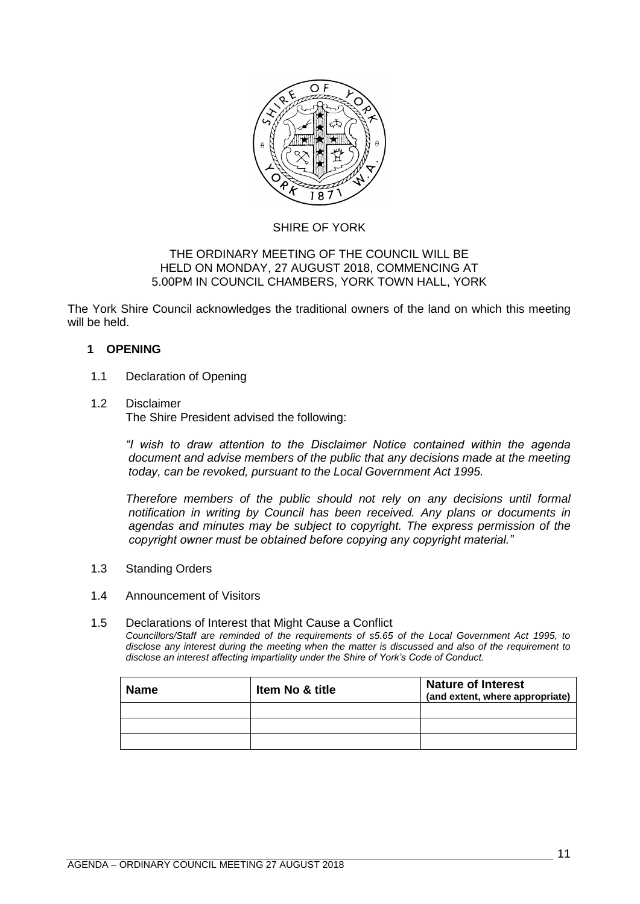

# SHIRE OF YORK

## THE ORDINARY MEETING OF THE COUNCIL WILL BE HELD ON MONDAY, 27 AUGUST 2018, COMMENCING AT 5.00PM IN COUNCIL CHAMBERS, YORK TOWN HALL, YORK

The York Shire Council acknowledges the traditional owners of the land on which this meeting will be held.

# <span id="page-10-0"></span>**1 OPENING**

## <span id="page-10-1"></span>1.1 Declaration of Opening

## <span id="page-10-2"></span>1.2 Disclaimer

The Shire President advised the following:

*"I wish to draw attention to the Disclaimer Notice contained within the agenda document and advise members of the public that any decisions made at the meeting today, can be revoked, pursuant to the Local Government Act 1995.* 

*Therefore members of the public should not rely on any decisions until formal notification in writing by Council has been received. Any plans or documents in agendas and minutes may be subject to copyright. The express permission of the copyright owner must be obtained before copying any copyright material."*

<span id="page-10-3"></span>1.3 Standing Orders

### <span id="page-10-4"></span>1.4 Announcement of Visitors

### <span id="page-10-5"></span>1.5 Declarations of Interest that Might Cause a Conflict

*Councillors/Staff are reminded of the requirements of s5.65 of the Local Government Act 1995, to disclose any interest during the meeting when the matter is discussed and also of the requirement to disclose an interest affecting impartiality under the Shire of York's Code of Conduct.*

| <b>Name</b> | <b>Item No &amp; title</b> | <b>Nature of Interest</b><br>(and extent, where appropriate) |
|-------------|----------------------------|--------------------------------------------------------------|
|             |                            |                                                              |
|             |                            |                                                              |
|             |                            |                                                              |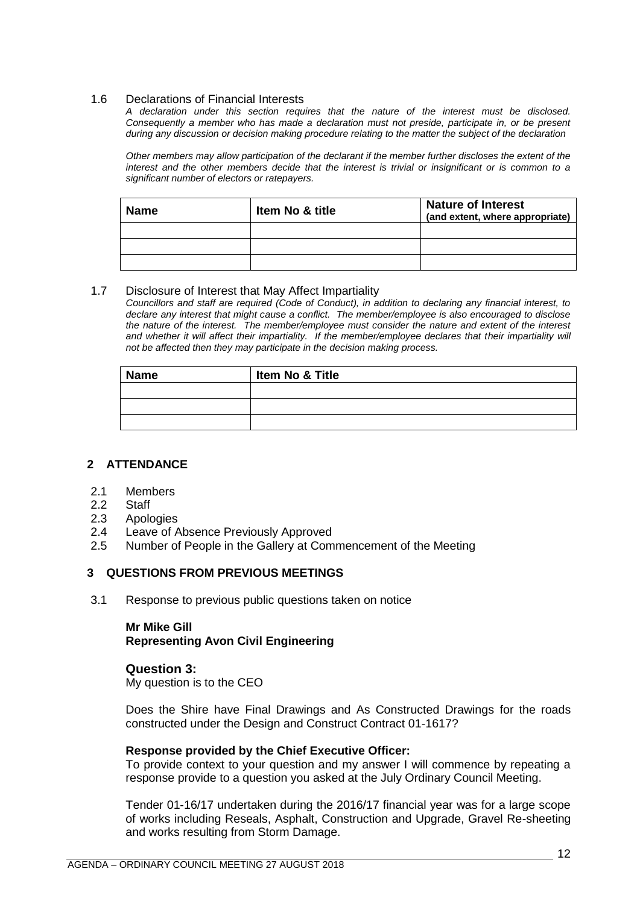### <span id="page-11-0"></span>1.6 Declarations of Financial Interests

*A declaration under this section requires that the nature of the interest must be disclosed. Consequently a member who has made a declaration must not preside, participate in, or be present during any discussion or decision making procedure relating to the matter the subject of the declaration*

*Other members may allow participation of the declarant if the member further discloses the extent of the interest and the other members decide that the interest is trivial or insignificant or is common to a significant number of electors or ratepayers.*

| <b>Name</b> | <b>Item No &amp; title</b> | <b>Nature of Interest</b><br>(and extent, where appropriate) |
|-------------|----------------------------|--------------------------------------------------------------|
|             |                            |                                                              |
|             |                            |                                                              |
|             |                            |                                                              |

### <span id="page-11-1"></span>1.7 Disclosure of Interest that May Affect Impartiality

*Councillors and staff are required (Code of Conduct), in addition to declaring any financial interest, to declare any interest that might cause a conflict. The member/employee is also encouraged to disclose the nature of the interest. The member/employee must consider the nature and extent of the interest*  and whether it will affect their impartiality. If the member/employee declares that their impartiality will *not be affected then they may participate in the decision making process.*

| <b>Name</b> | Item No & Title |
|-------------|-----------------|
|             |                 |
|             |                 |
|             |                 |

### <span id="page-11-2"></span>**2 ATTENDANCE**

- <span id="page-11-3"></span>2.1 Members
- <span id="page-11-4"></span>2.2 Staff
- <span id="page-11-5"></span>2.3 Apologies
- <span id="page-11-6"></span>2.4 Leave of Absence Previously Approved
- <span id="page-11-7"></span>2.5 Number of People in the Gallery at Commencement of the Meeting

### <span id="page-11-8"></span>**3 QUESTIONS FROM PREVIOUS MEETINGS**

<span id="page-11-9"></span>3.1 Response to previous public questions taken on notice

# **Mr Mike Gill Representing Avon Civil Engineering**

### **Question 3:**

My question is to the CEO

Does the Shire have Final Drawings and As Constructed Drawings for the roads constructed under the Design and Construct Contract 01-1617?

### **Response provided by the Chief Executive Officer:**

To provide context to your question and my answer I will commence by repeating a response provide to a question you asked at the July Ordinary Council Meeting.

Tender 01-16/17 undertaken during the 2016/17 financial year was for a large scope of works including Reseals, Asphalt, Construction and Upgrade, Gravel Re-sheeting and works resulting from Storm Damage.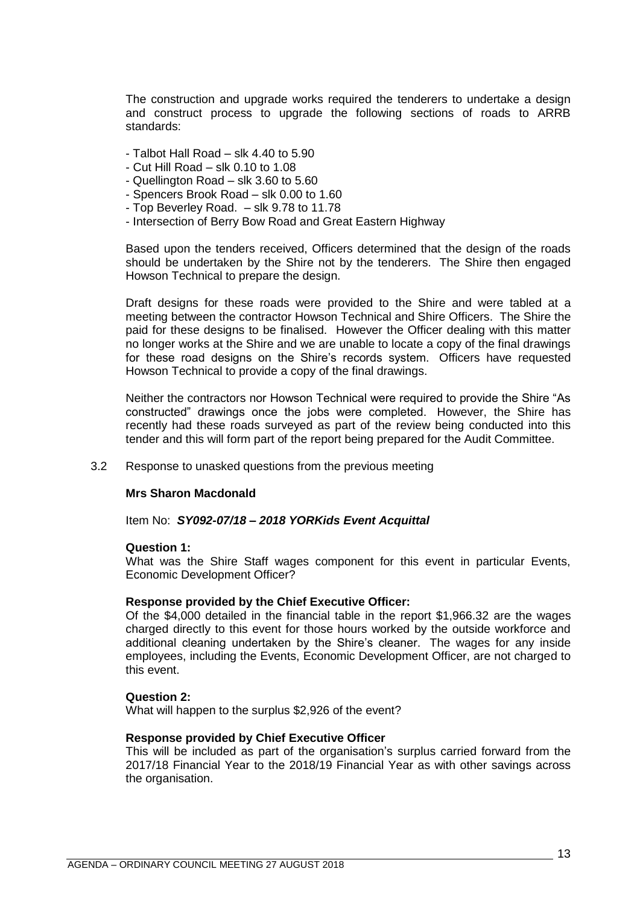The construction and upgrade works required the tenderers to undertake a design and construct process to upgrade the following sections of roads to ARRB standards:

- Talbot Hall Road slk 4.40 to 5.90
- Cut Hill Road slk 0.10 to 1.08
- Quellington Road slk 3.60 to 5.60
- Spencers Brook Road slk 0.00 to 1.60
- Top Beverley Road. slk 9.78 to 11.78
- Intersection of Berry Bow Road and Great Eastern Highway

Based upon the tenders received, Officers determined that the design of the roads should be undertaken by the Shire not by the tenderers. The Shire then engaged Howson Technical to prepare the design.

Draft designs for these roads were provided to the Shire and were tabled at a meeting between the contractor Howson Technical and Shire Officers. The Shire the paid for these designs to be finalised. However the Officer dealing with this matter no longer works at the Shire and we are unable to locate a copy of the final drawings for these road designs on the Shire's records system. Officers have requested Howson Technical to provide a copy of the final drawings.

Neither the contractors nor Howson Technical were required to provide the Shire "As constructed" drawings once the jobs were completed. However, the Shire has recently had these roads surveyed as part of the review being conducted into this tender and this will form part of the report being prepared for the Audit Committee.

<span id="page-12-0"></span>3.2 Response to unasked questions from the previous meeting

### **Mrs Sharon Macdonald**

Item No: *SY092-07/18 – 2018 YORKids Event Acquittal*

#### **Question 1:**

What was the Shire Staff wages component for this event in particular Events, Economic Development Officer?

#### **Response provided by the Chief Executive Officer:**

Of the \$4,000 detailed in the financial table in the report \$1,966.32 are the wages charged directly to this event for those hours worked by the outside workforce and additional cleaning undertaken by the Shire's cleaner. The wages for any inside employees, including the Events, Economic Development Officer, are not charged to this event.

#### **Question 2:**

What will happen to the surplus \$2,926 of the event?

#### **Response provided by Chief Executive Officer**

This will be included as part of the organisation's surplus carried forward from the 2017/18 Financial Year to the 2018/19 Financial Year as with other savings across the organisation.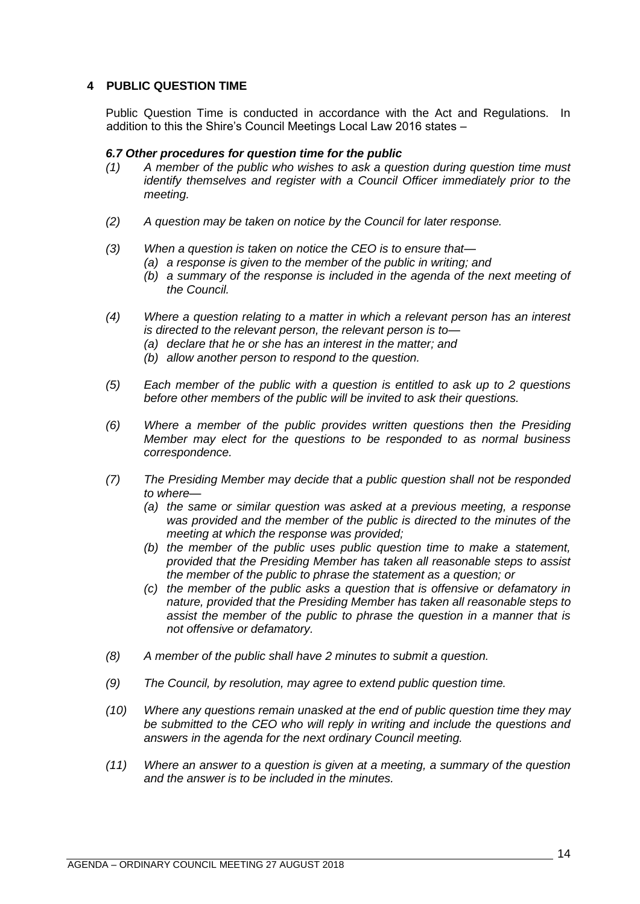# <span id="page-13-0"></span>**4 PUBLIC QUESTION TIME**

Public Question Time is conducted in accordance with the Act and Regulations. In addition to this the Shire's Council Meetings Local Law 2016 states –

## *6.7 Other procedures for question time for the public*

- *(1) A member of the public who wishes to ask a question during question time must identify themselves and register with a Council Officer immediately prior to the meeting.*
- *(2) A question may be taken on notice by the Council for later response.*
- *(3) When a question is taken on notice the CEO is to ensure that—*
	- *(a) a response is given to the member of the public in writing; and*
	- *(b) a summary of the response is included in the agenda of the next meeting of the Council.*
- *(4) Where a question relating to a matter in which a relevant person has an interest is directed to the relevant person, the relevant person is to—*
	- *(a) declare that he or she has an interest in the matter; and*
	- *(b) allow another person to respond to the question.*
- *(5) Each member of the public with a question is entitled to ask up to 2 questions before other members of the public will be invited to ask their questions.*
- *(6) Where a member of the public provides written questions then the Presiding Member may elect for the questions to be responded to as normal business correspondence.*
- *(7) The Presiding Member may decide that a public question shall not be responded to where—*
	- *(a) the same or similar question was asked at a previous meeting, a response was provided and the member of the public is directed to the minutes of the meeting at which the response was provided;*
	- *(b) the member of the public uses public question time to make a statement, provided that the Presiding Member has taken all reasonable steps to assist the member of the public to phrase the statement as a question; or*
	- *(c) the member of the public asks a question that is offensive or defamatory in nature, provided that the Presiding Member has taken all reasonable steps to assist the member of the public to phrase the question in a manner that is not offensive or defamatory.*
- *(8) A member of the public shall have 2 minutes to submit a question.*
- *(9) The Council, by resolution, may agree to extend public question time.*
- *(10) Where any questions remain unasked at the end of public question time they may be submitted to the CEO who will reply in writing and include the questions and answers in the agenda for the next ordinary Council meeting.*
- *(11) Where an answer to a question is given at a meeting, a summary of the question and the answer is to be included in the minutes.*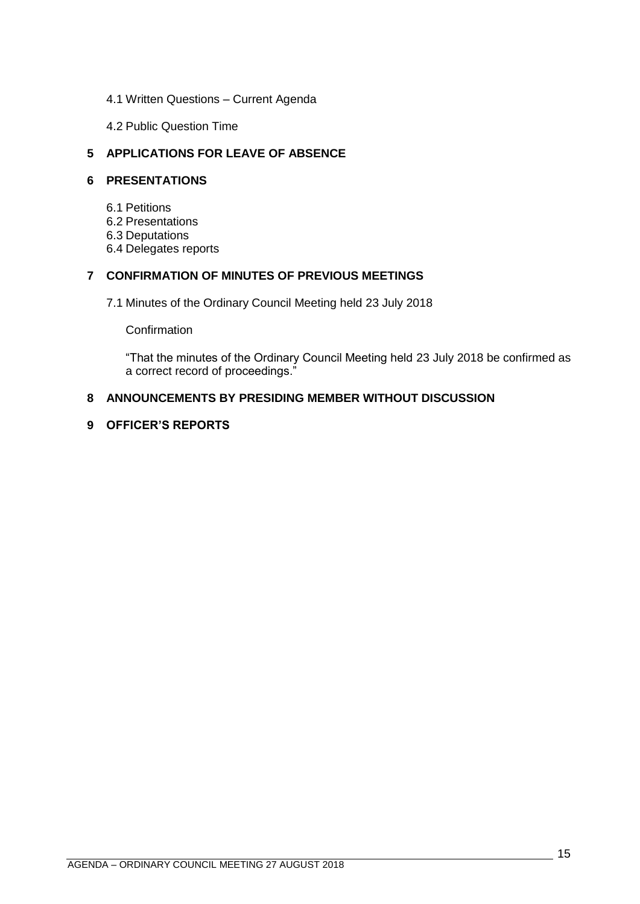- <span id="page-14-0"></span>4.1 Written Questions – Current Agenda
- 4.2 Public Question Time

# <span id="page-14-2"></span><span id="page-14-1"></span>**5 APPLICATIONS FOR LEAVE OF ABSENCE**

# <span id="page-14-4"></span><span id="page-14-3"></span>**6 PRESENTATIONS**

- 6.1 Petitions
- <span id="page-14-5"></span>6.2 Presentations
- <span id="page-14-6"></span>6.3 Deputations
- 6.4 Delegates reports

# <span id="page-14-8"></span><span id="page-14-7"></span>**7 CONFIRMATION OF MINUTES OF PREVIOUS MEETINGS**

7.1 Minutes of the Ordinary Council Meeting held 23 July 2018

**Confirmation** 

"That the minutes of the Ordinary Council Meeting held 23 July 2018 be confirmed as a correct record of proceedings."

# <span id="page-14-9"></span>**8 ANNOUNCEMENTS BY PRESIDING MEMBER WITHOUT DISCUSSION**

## <span id="page-14-10"></span>**9 OFFICER'S REPORTS**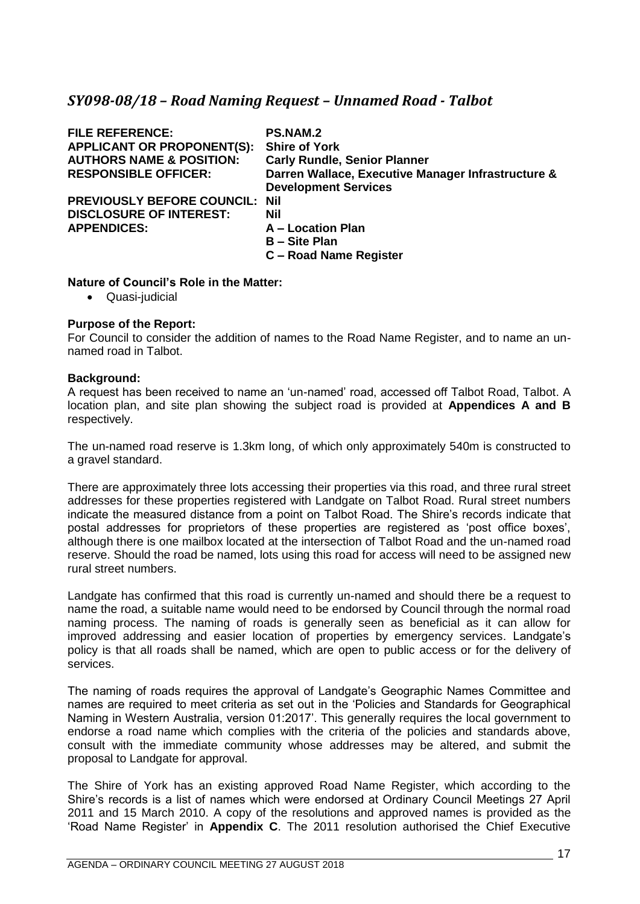# <span id="page-16-0"></span>*SY098-08/18 – Road Naming Request – Unnamed Road - Talbot*

| <b>FILE REFERENCE:</b>              | <b>PS.NAM.2</b>                                    |
|-------------------------------------|----------------------------------------------------|
| <b>APPLICANT OR PROPONENT(S):</b>   | <b>Shire of York</b>                               |
| <b>AUTHORS NAME &amp; POSITION:</b> | <b>Carly Rundle, Senior Planner</b>                |
| <b>RESPONSIBLE OFFICER:</b>         | Darren Wallace, Executive Manager Infrastructure & |
|                                     | <b>Development Services</b>                        |
| PREVIOUSLY BEFORE COUNCIL: Nil      |                                                    |
| <b>DISCLOSURE OF INTEREST:</b>      | Nil                                                |
| <b>APPENDICES:</b>                  | A - Location Plan                                  |
|                                     | <b>B</b> – Site Plan                               |
|                                     | C - Road Name Register                             |
|                                     |                                                    |

## **Nature of Council's Role in the Matter:**

• Quasi-judicial

## **Purpose of the Report:**

For Council to consider the addition of names to the Road Name Register, and to name an unnamed road in Talbot.

### **Background:**

A request has been received to name an 'un-named' road, accessed off Talbot Road, Talbot. A location plan, and site plan showing the subject road is provided at **Appendices A and B** respectively.

The un-named road reserve is 1.3km long, of which only approximately 540m is constructed to a gravel standard.

There are approximately three lots accessing their properties via this road, and three rural street addresses for these properties registered with Landgate on Talbot Road. Rural street numbers indicate the measured distance from a point on Talbot Road. The Shire's records indicate that postal addresses for proprietors of these properties are registered as 'post office boxes', although there is one mailbox located at the intersection of Talbot Road and the un-named road reserve. Should the road be named, lots using this road for access will need to be assigned new rural street numbers.

Landgate has confirmed that this road is currently un-named and should there be a request to name the road, a suitable name would need to be endorsed by Council through the normal road naming process. The naming of roads is generally seen as beneficial as it can allow for improved addressing and easier location of properties by emergency services. Landgate's policy is that all roads shall be named, which are open to public access or for the delivery of services.

The naming of roads requires the approval of Landgate's Geographic Names Committee and names are required to meet criteria as set out in the 'Policies and Standards for Geographical Naming in Western Australia, version 01:2017'. This generally requires the local government to endorse a road name which complies with the criteria of the policies and standards above, consult with the immediate community whose addresses may be altered, and submit the proposal to Landgate for approval.

The Shire of York has an existing approved Road Name Register, which according to the Shire's records is a list of names which were endorsed at Ordinary Council Meetings 27 April 2011 and 15 March 2010. A copy of the resolutions and approved names is provided as the 'Road Name Register' in **Appendix C**. The 2011 resolution authorised the Chief Executive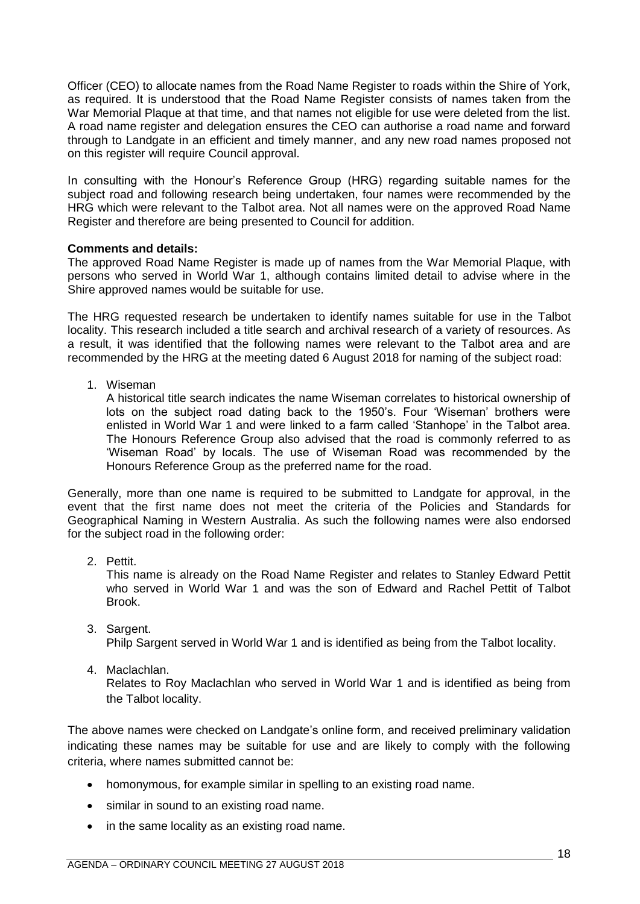Officer (CEO) to allocate names from the Road Name Register to roads within the Shire of York, as required. It is understood that the Road Name Register consists of names taken from the War Memorial Plaque at that time, and that names not eligible for use were deleted from the list. A road name register and delegation ensures the CEO can authorise a road name and forward through to Landgate in an efficient and timely manner, and any new road names proposed not on this register will require Council approval.

In consulting with the Honour's Reference Group (HRG) regarding suitable names for the subject road and following research being undertaken, four names were recommended by the HRG which were relevant to the Talbot area. Not all names were on the approved Road Name Register and therefore are being presented to Council for addition.

# **Comments and details:**

The approved Road Name Register is made up of names from the War Memorial Plaque, with persons who served in World War 1, although contains limited detail to advise where in the Shire approved names would be suitable for use.

The HRG requested research be undertaken to identify names suitable for use in the Talbot locality. This research included a title search and archival research of a variety of resources. As a result, it was identified that the following names were relevant to the Talbot area and are recommended by the HRG at the meeting dated 6 August 2018 for naming of the subject road:

1. Wiseman

A historical title search indicates the name Wiseman correlates to historical ownership of lots on the subject road dating back to the 1950's. Four 'Wiseman' brothers were enlisted in World War 1 and were linked to a farm called 'Stanhope' in the Talbot area. The Honours Reference Group also advised that the road is commonly referred to as 'Wiseman Road' by locals. The use of Wiseman Road was recommended by the Honours Reference Group as the preferred name for the road.

Generally, more than one name is required to be submitted to Landgate for approval, in the event that the first name does not meet the criteria of the Policies and Standards for Geographical Naming in Western Australia. As such the following names were also endorsed for the subject road in the following order:

2. Pettit.

This name is already on the Road Name Register and relates to Stanley Edward Pettit who served in World War 1 and was the son of Edward and Rachel Pettit of Talbot Brook.

3. Sargent.

Philp Sargent served in World War 1 and is identified as being from the Talbot locality.

4. Maclachlan.

Relates to Roy Maclachlan who served in World War 1 and is identified as being from the Talbot locality.

The above names were checked on Landgate's online form, and received preliminary validation indicating these names may be suitable for use and are likely to comply with the following criteria, where names submitted cannot be:

- homonymous, for example similar in spelling to an existing road name.
- similar in sound to an existing road name.
- in the same locality as an existing road name.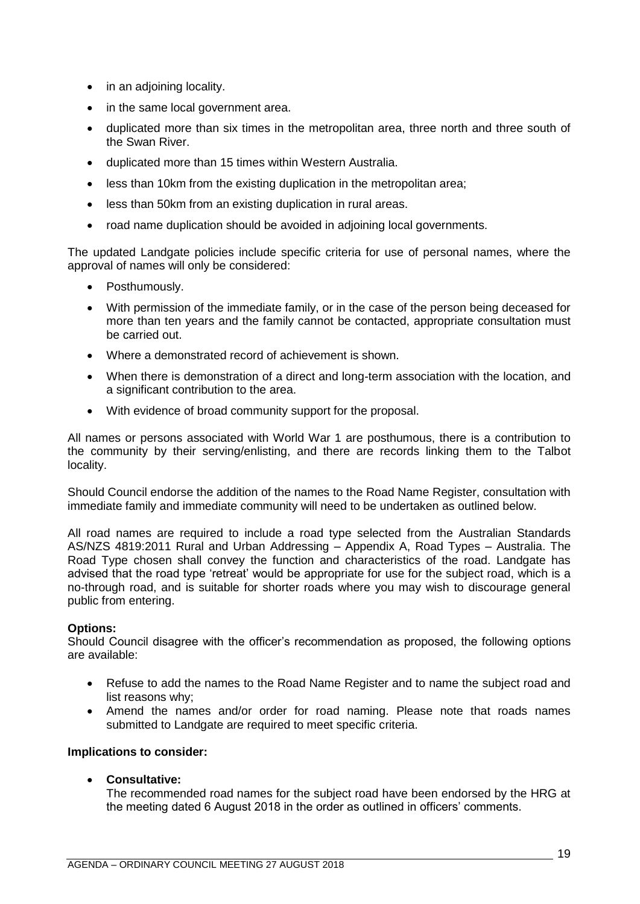- in an adjoining locality.
- in the same local government area.
- duplicated more than six times in the metropolitan area, three north and three south of the Swan River.
- duplicated more than 15 times within Western Australia.
- less than 10km from the existing duplication in the metropolitan area;
- less than 50km from an existing duplication in rural areas.
- road name duplication should be avoided in adjoining local governments.

The updated Landgate policies include specific criteria for use of personal names, where the approval of names will only be considered:

- Posthumously.
- With permission of the immediate family, or in the case of the person being deceased for more than ten years and the family cannot be contacted, appropriate consultation must be carried out.
- Where a demonstrated record of achievement is shown.
- When there is demonstration of a direct and long-term association with the location, and a significant contribution to the area.
- With evidence of broad community support for the proposal.

All names or persons associated with World War 1 are posthumous, there is a contribution to the community by their serving/enlisting, and there are records linking them to the Talbot locality.

Should Council endorse the addition of the names to the Road Name Register, consultation with immediate family and immediate community will need to be undertaken as outlined below.

All road names are required to include a road type selected from the Australian Standards AS/NZS 4819:2011 Rural and Urban Addressing – Appendix A, Road Types – Australia. The Road Type chosen shall convey the function and characteristics of the road. Landgate has advised that the road type 'retreat' would be appropriate for use for the subject road, which is a no-through road, and is suitable for shorter roads where you may wish to discourage general public from entering.

# **Options:**

Should Council disagree with the officer's recommendation as proposed, the following options are available:

- Refuse to add the names to the Road Name Register and to name the subject road and list reasons why;
- Amend the names and/or order for road naming. Please note that roads names submitted to Landgate are required to meet specific criteria.

# **Implications to consider:**

• **Consultative:**

The recommended road names for the subject road have been endorsed by the HRG at the meeting dated 6 August 2018 in the order as outlined in officers' comments.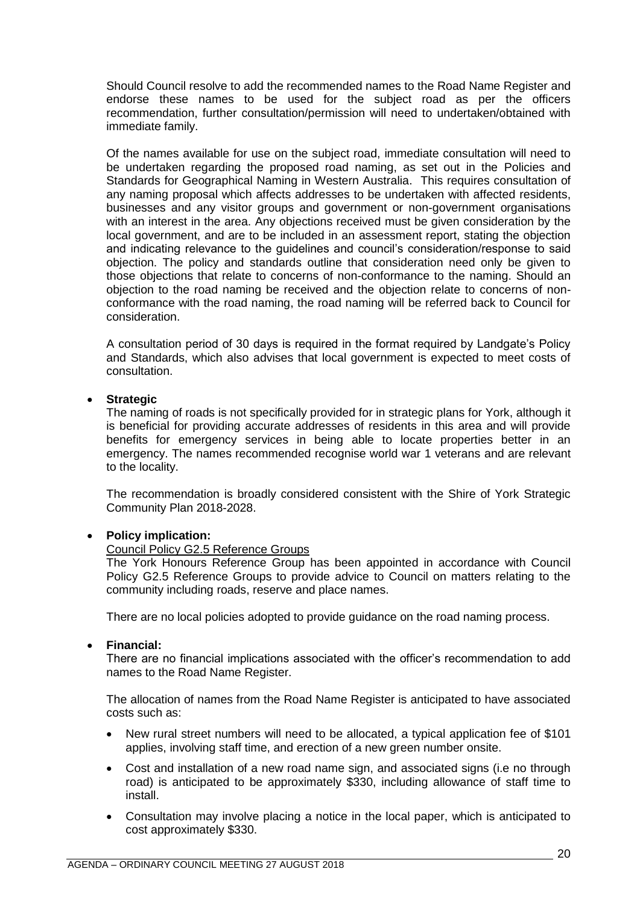Should Council resolve to add the recommended names to the Road Name Register and endorse these names to be used for the subject road as per the officers recommendation, further consultation/permission will need to undertaken/obtained with immediate family.

Of the names available for use on the subject road, immediate consultation will need to be undertaken regarding the proposed road naming, as set out in the Policies and Standards for Geographical Naming in Western Australia. This requires consultation of any naming proposal which affects addresses to be undertaken with affected residents, businesses and any visitor groups and government or non-government organisations with an interest in the area. Any objections received must be given consideration by the local government, and are to be included in an assessment report, stating the objection and indicating relevance to the guidelines and council's consideration/response to said objection. The policy and standards outline that consideration need only be given to those objections that relate to concerns of non-conformance to the naming. Should an objection to the road naming be received and the objection relate to concerns of nonconformance with the road naming, the road naming will be referred back to Council for consideration.

A consultation period of 30 days is required in the format required by Landgate's Policy and Standards, which also advises that local government is expected to meet costs of consultation.

## • **Strategic**

The naming of roads is not specifically provided for in strategic plans for York, although it is beneficial for providing accurate addresses of residents in this area and will provide benefits for emergency services in being able to locate properties better in an emergency. The names recommended recognise world war 1 veterans and are relevant to the locality.

The recommendation is broadly considered consistent with the Shire of York Strategic Community Plan 2018-2028.

### • **Policy implication:**

## Council Policy G2.5 Reference Groups

The York Honours Reference Group has been appointed in accordance with Council Policy G2.5 Reference Groups to provide advice to Council on matters relating to the community including roads, reserve and place names.

There are no local policies adopted to provide guidance on the road naming process.

### • **Financial:**

There are no financial implications associated with the officer's recommendation to add names to the Road Name Register.

The allocation of names from the Road Name Register is anticipated to have associated costs such as:

- New rural street numbers will need to be allocated, a typical application fee of \$101 applies, involving staff time, and erection of a new green number onsite.
- Cost and installation of a new road name sign, and associated signs (i.e no through road) is anticipated to be approximately \$330, including allowance of staff time to install.
- Consultation may involve placing a notice in the local paper, which is anticipated to cost approximately \$330.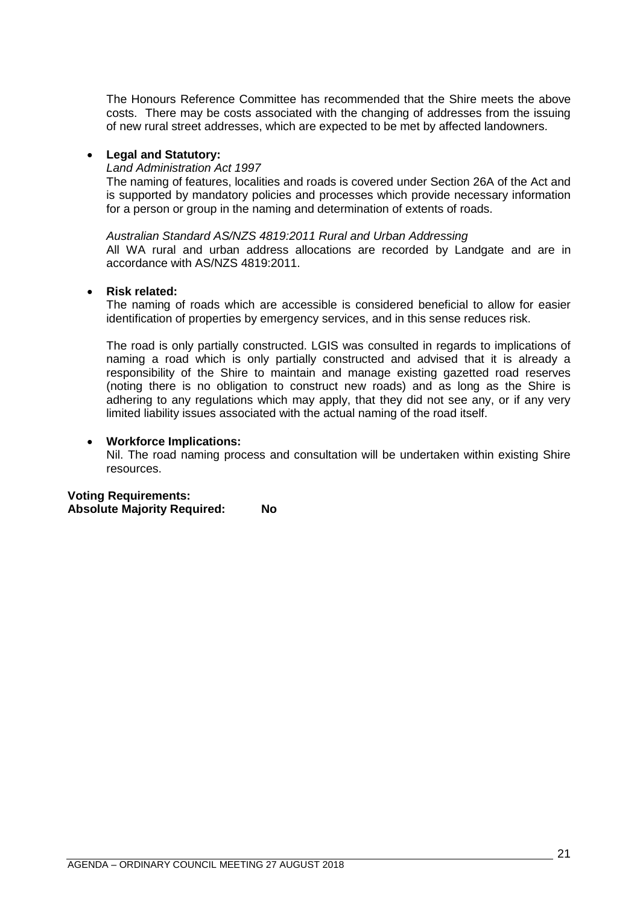The Honours Reference Committee has recommended that the Shire meets the above costs. There may be costs associated with the changing of addresses from the issuing of new rural street addresses, which are expected to be met by affected landowners.

### • **Legal and Statutory:**

### *Land Administration Act 1997*

accordance with AS/NZS 4819:2011.

The naming of features, localities and roads is covered under Section 26A of the Act and is supported by mandatory policies and processes which provide necessary information for a person or group in the naming and determination of extents of roads.

*Australian Standard AS/NZS 4819:2011 Rural and Urban Addressing* All WA rural and urban address allocations are recorded by Landgate and are in

## • **Risk related:**

The naming of roads which are accessible is considered beneficial to allow for easier identification of properties by emergency services, and in this sense reduces risk.

The road is only partially constructed. LGIS was consulted in regards to implications of naming a road which is only partially constructed and advised that it is already a responsibility of the Shire to maintain and manage existing gazetted road reserves (noting there is no obligation to construct new roads) and as long as the Shire is adhering to any regulations which may apply, that they did not see any, or if any very limited liability issues associated with the actual naming of the road itself.

## • **Workforce Implications:**

Nil. The road naming process and consultation will be undertaken within existing Shire resources.

# **Voting Requirements:**

**Absolute Majority Required: No**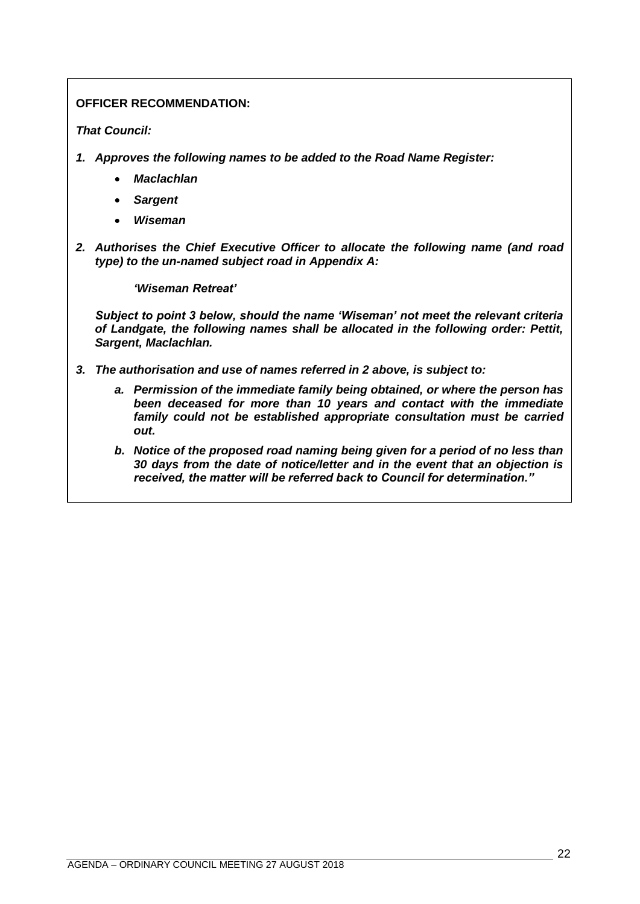# **OFFICER RECOMMENDATION:**

# *That Council:*

- *1. Approves the following names to be added to the Road Name Register:*
	- *Maclachlan*
	- *Sargent*
	- *Wiseman*
- *2. Authorises the Chief Executive Officer to allocate the following name (and road type) to the un-named subject road in Appendix A:*

*'Wiseman Retreat'*

*Subject to point 3 below, should the name 'Wiseman' not meet the relevant criteria of Landgate, the following names shall be allocated in the following order: Pettit, Sargent, Maclachlan.* 

- *3. The authorisation and use of names referred in 2 above, is subject to:*
	- *a. Permission of the immediate family being obtained, or where the person has been deceased for more than 10 years and contact with the immediate family could not be established appropriate consultation must be carried out.*
	- *b. Notice of the proposed road naming being given for a period of no less than 30 days from the date of notice/letter and in the event that an objection is received, the matter will be referred back to Council for determination."*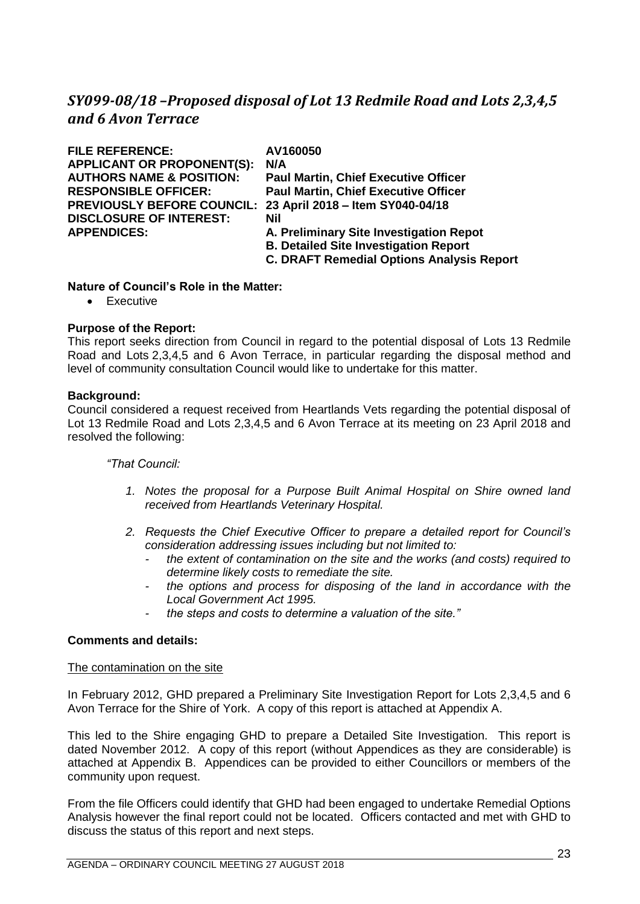# <span id="page-22-0"></span>*SY099-08/18 –Proposed disposal of Lot 13 Redmile Road and Lots 2,3,4,5 and 6 Avon Terrace*

| <b>FILE REFERENCE:</b>              | AV160050                                         |
|-------------------------------------|--------------------------------------------------|
| <b>APPLICANT OR PROPONENT(S):</b>   | N/A                                              |
| <b>AUTHORS NAME &amp; POSITION:</b> | <b>Paul Martin, Chief Executive Officer</b>      |
| <b>RESPONSIBLE OFFICER:</b>         | <b>Paul Martin, Chief Executive Officer</b>      |
| <b>PREVIOUSLY BEFORE COUNCIL:</b>   | 23 April 2018 - Item SY040-04/18                 |
| <b>DISCLOSURE OF INTEREST:</b>      | Nil                                              |
| <b>APPENDICES:</b>                  | A. Preliminary Site Investigation Repot          |
|                                     | <b>B. Detailed Site Investigation Report</b>     |
|                                     | <b>C. DRAFT Remedial Options Analysis Report</b> |
|                                     |                                                  |

## **Nature of Council's Role in the Matter:**

• Executive

## **Purpose of the Report:**

This report seeks direction from Council in regard to the potential disposal of Lots 13 Redmile Road and Lots 2,3,4,5 and 6 Avon Terrace, in particular regarding the disposal method and level of community consultation Council would like to undertake for this matter.

### **Background:**

Council considered a request received from Heartlands Vets regarding the potential disposal of Lot 13 Redmile Road and Lots 2,3,4,5 and 6 Avon Terrace at its meeting on 23 April 2018 and resolved the following:

## *"That Council:*

- *1. Notes the proposal for a Purpose Built Animal Hospital on Shire owned land received from Heartlands Veterinary Hospital.*
- *2. Requests the Chief Executive Officer to prepare a detailed report for Council's consideration addressing issues including but not limited to:* 
	- *the extent of contamination on the site and the works (and costs) required to determine likely costs to remediate the site.*
	- *the options and process for disposing of the land in accordance with the Local Government Act 1995.*
	- *the steps and costs to determine a valuation of the site."*

### **Comments and details:**

### The contamination on the site

In February 2012, GHD prepared a Preliminary Site Investigation Report for Lots 2,3,4,5 and 6 Avon Terrace for the Shire of York. A copy of this report is attached at Appendix A.

This led to the Shire engaging GHD to prepare a Detailed Site Investigation. This report is dated November 2012. A copy of this report (without Appendices as they are considerable) is attached at Appendix B. Appendices can be provided to either Councillors or members of the community upon request.

From the file Officers could identify that GHD had been engaged to undertake Remedial Options Analysis however the final report could not be located. Officers contacted and met with GHD to discuss the status of this report and next steps.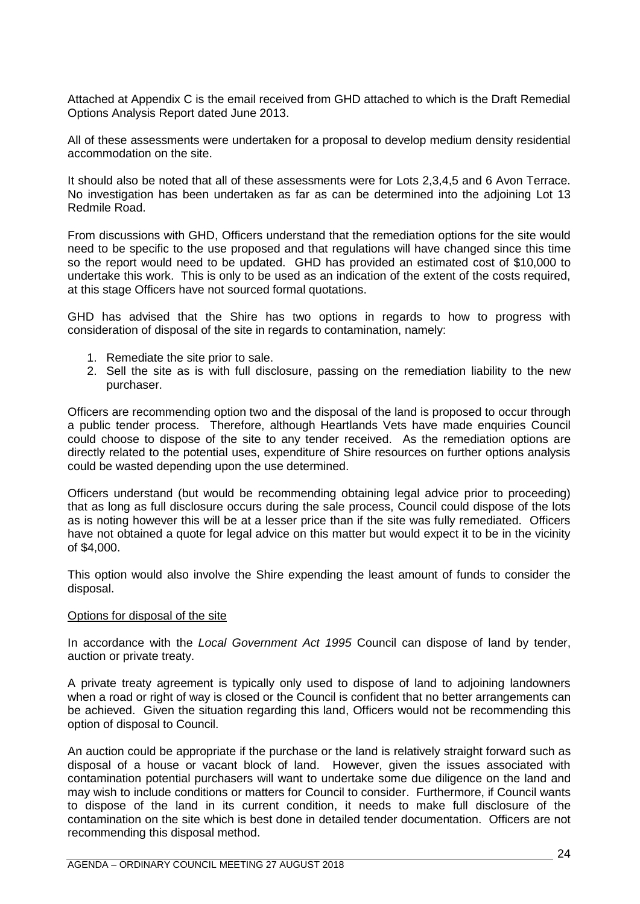Attached at Appendix C is the email received from GHD attached to which is the Draft Remedial Options Analysis Report dated June 2013.

All of these assessments were undertaken for a proposal to develop medium density residential accommodation on the site.

It should also be noted that all of these assessments were for Lots 2,3,4,5 and 6 Avon Terrace. No investigation has been undertaken as far as can be determined into the adjoining Lot 13 Redmile Road.

From discussions with GHD, Officers understand that the remediation options for the site would need to be specific to the use proposed and that regulations will have changed since this time so the report would need to be updated. GHD has provided an estimated cost of \$10,000 to undertake this work. This is only to be used as an indication of the extent of the costs required, at this stage Officers have not sourced formal quotations.

GHD has advised that the Shire has two options in regards to how to progress with consideration of disposal of the site in regards to contamination, namely:

- 1. Remediate the site prior to sale.
- 2. Sell the site as is with full disclosure, passing on the remediation liability to the new purchaser.

Officers are recommending option two and the disposal of the land is proposed to occur through a public tender process. Therefore, although Heartlands Vets have made enquiries Council could choose to dispose of the site to any tender received. As the remediation options are directly related to the potential uses, expenditure of Shire resources on further options analysis could be wasted depending upon the use determined.

Officers understand (but would be recommending obtaining legal advice prior to proceeding) that as long as full disclosure occurs during the sale process, Council could dispose of the lots as is noting however this will be at a lesser price than if the site was fully remediated. Officers have not obtained a quote for legal advice on this matter but would expect it to be in the vicinity of \$4,000.

This option would also involve the Shire expending the least amount of funds to consider the disposal.

### Options for disposal of the site

In accordance with the *Local Government Act 1995* Council can dispose of land by tender, auction or private treaty.

A private treaty agreement is typically only used to dispose of land to adjoining landowners when a road or right of way is closed or the Council is confident that no better arrangements can be achieved. Given the situation regarding this land, Officers would not be recommending this option of disposal to Council.

An auction could be appropriate if the purchase or the land is relatively straight forward such as disposal of a house or vacant block of land. However, given the issues associated with contamination potential purchasers will want to undertake some due diligence on the land and may wish to include conditions or matters for Council to consider. Furthermore, if Council wants to dispose of the land in its current condition, it needs to make full disclosure of the contamination on the site which is best done in detailed tender documentation. Officers are not recommending this disposal method.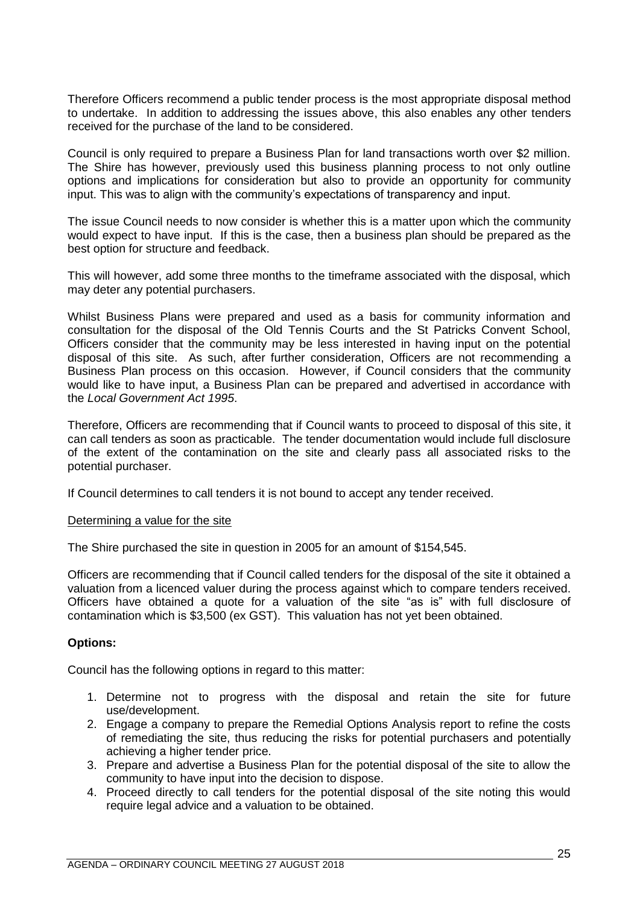Therefore Officers recommend a public tender process is the most appropriate disposal method to undertake. In addition to addressing the issues above, this also enables any other tenders received for the purchase of the land to be considered.

Council is only required to prepare a Business Plan for land transactions worth over \$2 million. The Shire has however, previously used this business planning process to not only outline options and implications for consideration but also to provide an opportunity for community input. This was to align with the community's expectations of transparency and input.

The issue Council needs to now consider is whether this is a matter upon which the community would expect to have input. If this is the case, then a business plan should be prepared as the best option for structure and feedback.

This will however, add some three months to the timeframe associated with the disposal, which may deter any potential purchasers.

Whilst Business Plans were prepared and used as a basis for community information and consultation for the disposal of the Old Tennis Courts and the St Patricks Convent School, Officers consider that the community may be less interested in having input on the potential disposal of this site. As such, after further consideration, Officers are not recommending a Business Plan process on this occasion. However, if Council considers that the community would like to have input, a Business Plan can be prepared and advertised in accordance with the *Local Government Act 1995*.

Therefore, Officers are recommending that if Council wants to proceed to disposal of this site, it can call tenders as soon as practicable. The tender documentation would include full disclosure of the extent of the contamination on the site and clearly pass all associated risks to the potential purchaser.

If Council determines to call tenders it is not bound to accept any tender received.

### Determining a value for the site

The Shire purchased the site in question in 2005 for an amount of \$154,545.

Officers are recommending that if Council called tenders for the disposal of the site it obtained a valuation from a licenced valuer during the process against which to compare tenders received. Officers have obtained a quote for a valuation of the site "as is" with full disclosure of contamination which is \$3,500 (ex GST). This valuation has not yet been obtained.

# **Options:**

Council has the following options in regard to this matter:

- 1. Determine not to progress with the disposal and retain the site for future use/development.
- 2. Engage a company to prepare the Remedial Options Analysis report to refine the costs of remediating the site, thus reducing the risks for potential purchasers and potentially achieving a higher tender price.
- 3. Prepare and advertise a Business Plan for the potential disposal of the site to allow the community to have input into the decision to dispose.
- 4. Proceed directly to call tenders for the potential disposal of the site noting this would require legal advice and a valuation to be obtained.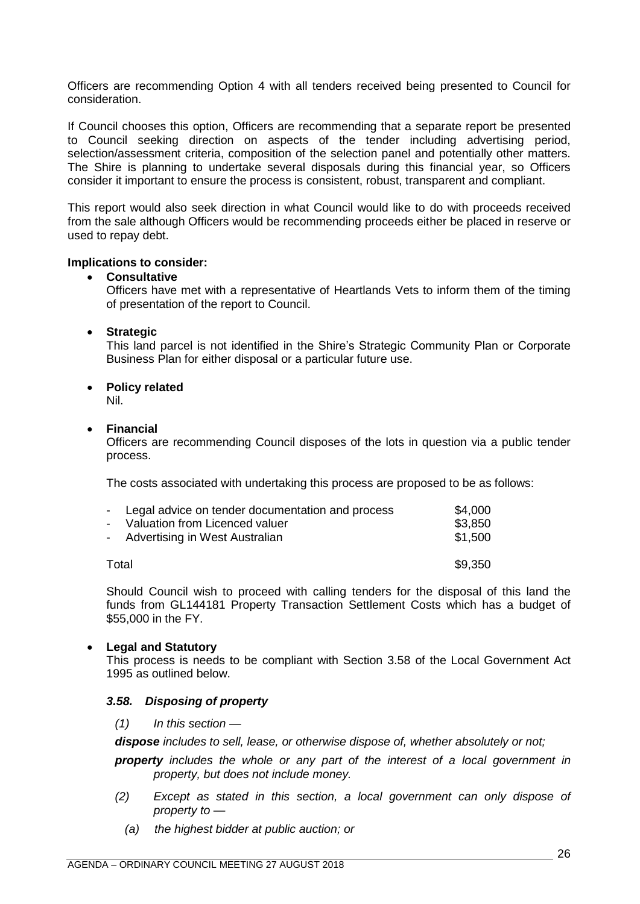Officers are recommending Option 4 with all tenders received being presented to Council for consideration.

If Council chooses this option, Officers are recommending that a separate report be presented to Council seeking direction on aspects of the tender including advertising period, selection/assessment criteria, composition of the selection panel and potentially other matters. The Shire is planning to undertake several disposals during this financial year, so Officers consider it important to ensure the process is consistent, robust, transparent and compliant.

This report would also seek direction in what Council would like to do with proceeds received from the sale although Officers would be recommending proceeds either be placed in reserve or used to repay debt.

### **Implications to consider:**

## • **Consultative**

Officers have met with a representative of Heartlands Vets to inform them of the timing of presentation of the report to Council.

## • **Strategic**

This land parcel is not identified in the Shire's Strategic Community Plan or Corporate Business Plan for either disposal or a particular future use.

# • **Policy related**

Nil.

## • **Financial**

Officers are recommending Council disposes of the lots in question via a public tender process.

The costs associated with undertaking this process are proposed to be as follows:

| - Legal advice on tender documentation and process | \$4,000 |
|----------------------------------------------------|---------|
| - Valuation from Licenced valuer                   | \$3,850 |
| - Advertising in West Australian                   | \$1,500 |
| Total                                              | \$9,350 |

Should Council wish to proceed with calling tenders for the disposal of this land the funds from GL144181 Property Transaction Settlement Costs which has a budget of \$55,000 in the FY.

# • **Legal and Statutory**

This process is needs to be compliant with Section 3.58 of the Local Government Act 1995 as outlined below.

# *3.58. Disposing of property*

*(1) In this section —*

*dispose includes to sell, lease, or otherwise dispose of, whether absolutely or not;*

*property includes the whole or any part of the interest of a local government in property, but does not include money.*

- *(2) Except as stated in this section, a local government can only dispose of property to —*
	- *(a) the highest bidder at public auction; or*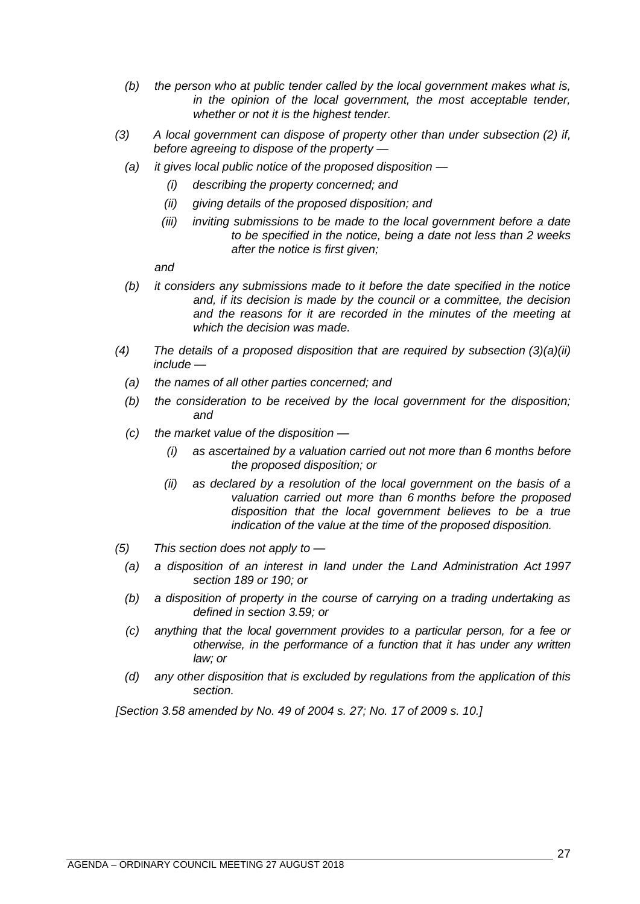- *(b) the person who at public tender called by the local government makes what is, in the opinion of the local government, the most acceptable tender, whether or not it is the highest tender.*
- *(3) A local government can dispose of property other than under subsection (2) if, before agreeing to dispose of the property —*
	- *(a) it gives local public notice of the proposed disposition —*
		- *(i) describing the property concerned; and*
		- *(ii) giving details of the proposed disposition; and*
		- *(iii) inviting submissions to be made to the local government before a date to be specified in the notice, being a date not less than 2 weeks after the notice is first given;*

*and*

- *(b) it considers any submissions made to it before the date specified in the notice and, if its decision is made by the council or a committee, the decision and the reasons for it are recorded in the minutes of the meeting at which the decision was made.*
- *(4) The details of a proposed disposition that are required by subsection (3)(a)(ii) include —*
	- *(a) the names of all other parties concerned; and*
	- *(b) the consideration to be received by the local government for the disposition; and*
	- *(c) the market value of the disposition —*
		- *(i) as ascertained by a valuation carried out not more than 6 months before the proposed disposition; or*
		- *(ii) as declared by a resolution of the local government on the basis of a valuation carried out more than 6 months before the proposed disposition that the local government believes to be a true indication of the value at the time of the proposed disposition.*
- *(5) This section does not apply to —*
	- *(a) a disposition of an interest in land under the Land Administration Act 1997 section 189 or 190; or*
	- *(b) a disposition of property in the course of carrying on a trading undertaking as defined in section 3.59; or*
	- *(c) anything that the local government provides to a particular person, for a fee or otherwise, in the performance of a function that it has under any written law; or*
	- *(d) any other disposition that is excluded by regulations from the application of this section.*

*[Section 3.58 amended by No. 49 of 2004 s. 27; No. 17 of 2009 s. 10.]*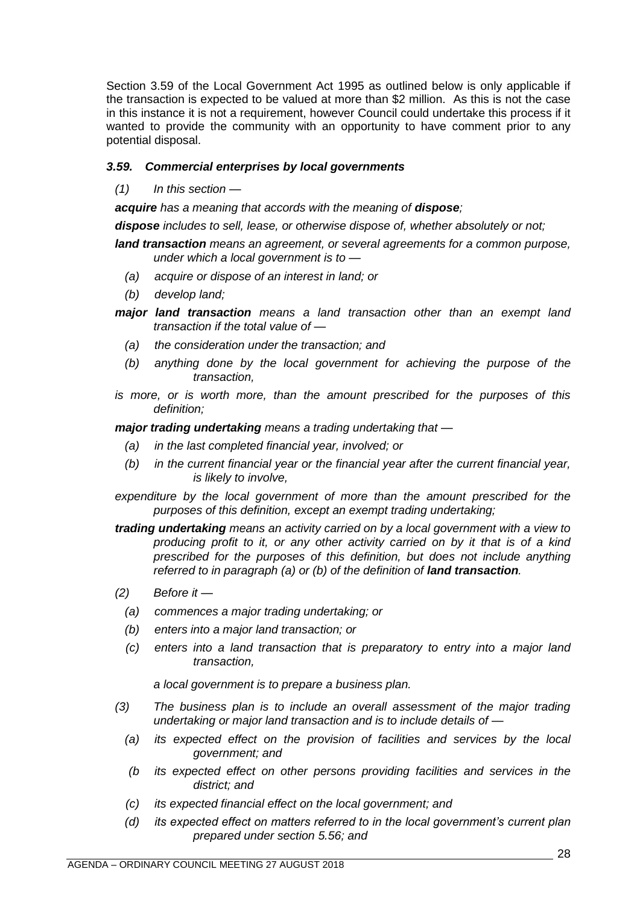Section 3.59 of the Local Government Act 1995 as outlined below is only applicable if the transaction is expected to be valued at more than \$2 million. As this is not the case in this instance it is not a requirement, however Council could undertake this process if it wanted to provide the community with an opportunity to have comment prior to any potential disposal.

# *3.59. Commercial enterprises by local governments*

*(1) In this section —*

acquire has a meaning that accords with the meaning of **dispose**;

*dispose includes to sell, lease, or otherwise dispose of, whether absolutely or not;*

- *land transaction means an agreement, or several agreements for a common purpose, under which a local government is to —*
	- *(a) acquire or dispose of an interest in land; or*
	- *(b) develop land;*
- *major land transaction means a land transaction other than an exempt land transaction if the total value of —*
	- *(a) the consideration under the transaction; and*
	- *(b) anything done by the local government for achieving the purpose of the transaction,*
- *is more, or is worth more, than the amount prescribed for the purposes of this definition;*

*major trading undertaking means a trading undertaking that —*

- *(a) in the last completed financial year, involved; or*
- *(b) in the current financial year or the financial year after the current financial year, is likely to involve,*
- *expenditure by the local government of more than the amount prescribed for the purposes of this definition, except an exempt trading undertaking;*
- *trading undertaking means an activity carried on by a local government with a view to producing profit to it, or any other activity carried on by it that is of a kind prescribed for the purposes of this definition, but does not include anything referred to in paragraph* (a) or (b) of the definition of *land transaction*.
- *(2) Before it —*
	- *(a) commences a major trading undertaking; or*
	- *(b) enters into a major land transaction; or*
	- *(c) enters into a land transaction that is preparatory to entry into a major land transaction,*

*a local government is to prepare a business plan.*

- *(3) The business plan is to include an overall assessment of the major trading undertaking or major land transaction and is to include details of —*
	- *(a) its expected effect on the provision of facilities and services by the local government; and*
	- *(b its expected effect on other persons providing facilities and services in the district; and*
	- *(c) its expected financial effect on the local government; and*
	- *(d) its expected effect on matters referred to in the local government's current plan prepared under section 5.56; and*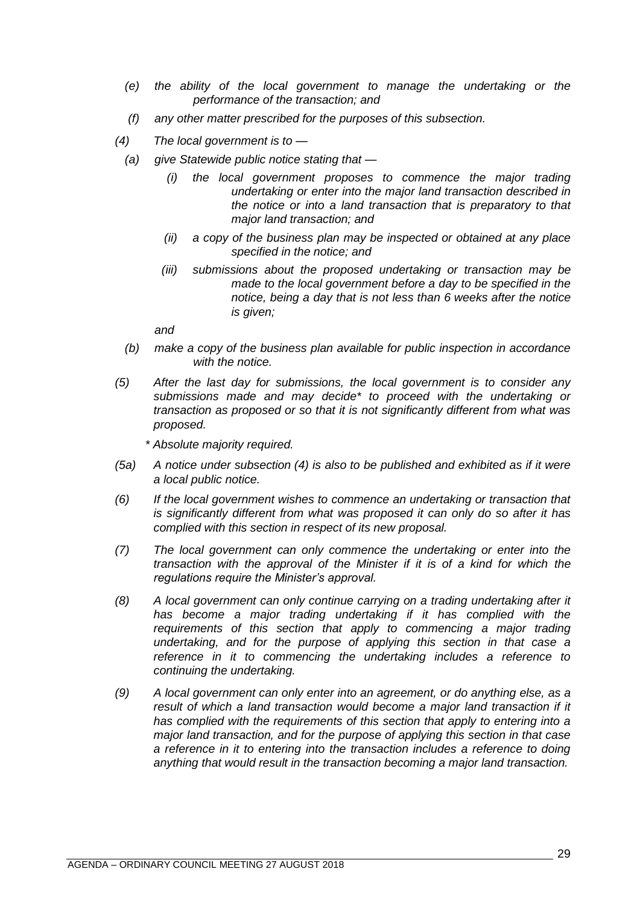- *(e) the ability of the local government to manage the undertaking or the performance of the transaction; and*
- *(f) any other matter prescribed for the purposes of this subsection.*
- *(4) The local government is to —*
- *(a) give Statewide public notice stating that —*
	- *(i) the local government proposes to commence the major trading undertaking or enter into the major land transaction described in the notice or into a land transaction that is preparatory to that major land transaction; and*
	- *(ii) a copy of the business plan may be inspected or obtained at any place specified in the notice; and*
	- *(iii) submissions about the proposed undertaking or transaction may be made to the local government before a day to be specified in the notice, being a day that is not less than 6 weeks after the notice is given;*

*and*

- *(b) make a copy of the business plan available for public inspection in accordance with the notice.*
- *(5) After the last day for submissions, the local government is to consider any submissions made and may decide\* to proceed with the undertaking or transaction as proposed or so that it is not significantly different from what was proposed.*

*\* Absolute majority required.*

- *(5a) A notice under subsection (4) is also to be published and exhibited as if it were a local public notice.*
- *(6) If the local government wishes to commence an undertaking or transaction that is significantly different from what was proposed it can only do so after it has complied with this section in respect of its new proposal.*
- *(7) The local government can only commence the undertaking or enter into the transaction with the approval of the Minister if it is of a kind for which the regulations require the Minister's approval.*
- *(8) A local government can only continue carrying on a trading undertaking after it has become a major trading undertaking if it has complied with the requirements of this section that apply to commencing a major trading undertaking, and for the purpose of applying this section in that case a reference in it to commencing the undertaking includes a reference to continuing the undertaking.*
- *(9) A local government can only enter into an agreement, or do anything else, as a*  result of which a land transaction would become a major land transaction if it *has complied with the requirements of this section that apply to entering into a major land transaction, and for the purpose of applying this section in that case a reference in it to entering into the transaction includes a reference to doing anything that would result in the transaction becoming a major land transaction.*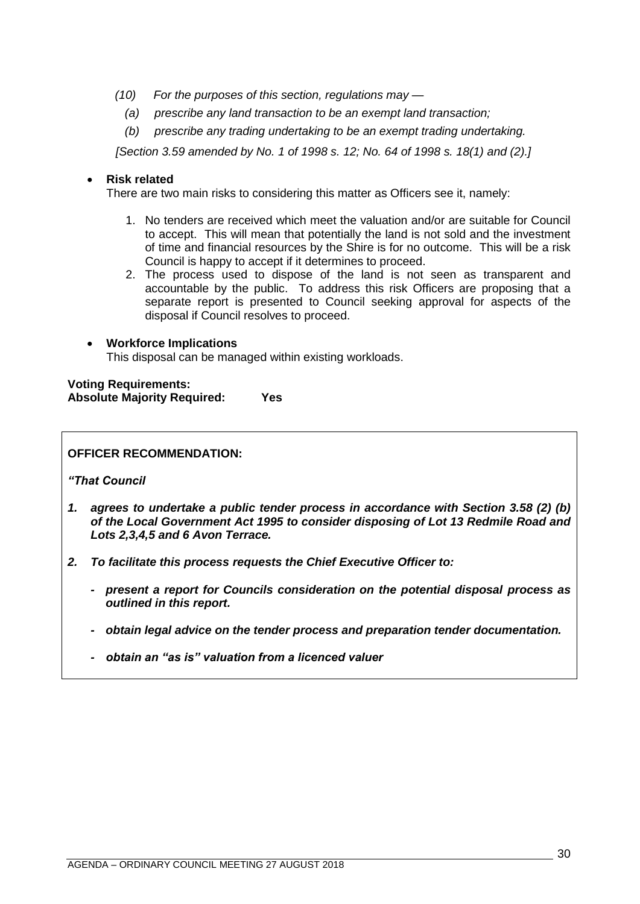- *(10) For the purposes of this section, regulations may —*
	- *(a) prescribe any land transaction to be an exempt land transaction;*
	- *(b) prescribe any trading undertaking to be an exempt trading undertaking.*

*[Section 3.59 amended by No. 1 of 1998 s. 12; No. 64 of 1998 s. 18(1) and (2).]*

## • **Risk related**

There are two main risks to considering this matter as Officers see it, namely:

- 1. No tenders are received which meet the valuation and/or are suitable for Council to accept. This will mean that potentially the land is not sold and the investment of time and financial resources by the Shire is for no outcome. This will be a risk Council is happy to accept if it determines to proceed.
- 2. The process used to dispose of the land is not seen as transparent and accountable by the public. To address this risk Officers are proposing that a separate report is presented to Council seeking approval for aspects of the disposal if Council resolves to proceed.

### • **Workforce Implications** This disposal can be managed within existing workloads.

**Voting Requirements: Absolute Majority Required: Yes**

## **OFFICER RECOMMENDATION:**

*"That Council* 

- *1. agrees to undertake a public tender process in accordance with Section 3.58 (2) (b) of the Local Government Act 1995 to consider disposing of Lot 13 Redmile Road and Lots 2,3,4,5 and 6 Avon Terrace.*
- *2. To facilitate this process requests the Chief Executive Officer to:*
	- *- present a report for Councils consideration on the potential disposal process as outlined in this report.*
	- *- obtain legal advice on the tender process and preparation tender documentation.*
	- *- obtain an "as is" valuation from a licenced valuer*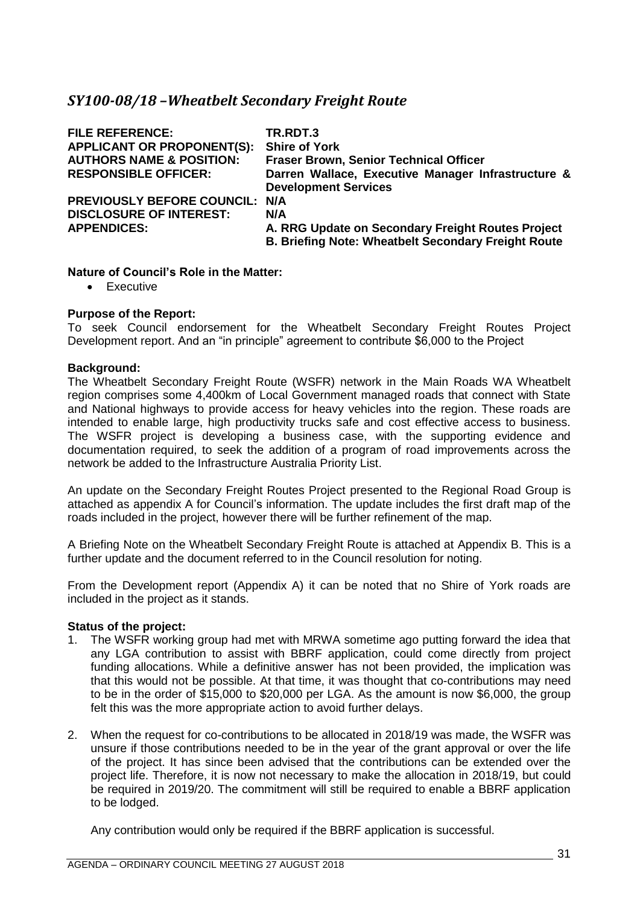# <span id="page-30-0"></span>*SY100-08/18 –Wheatbelt Secondary Freight Route*

| <b>FILE REFERENCE:</b><br><b>APPLICANT OR PROPONENT(S):</b><br><b>AUTHORS NAME &amp; POSITION:</b><br><b>RESPONSIBLE OFFICER:</b> | TR.RDT.3<br><b>Shire of York</b><br><b>Fraser Brown, Senior Technical Officer</b><br>Darren Wallace, Executive Manager Infrastructure &<br><b>Development Services</b> |
|-----------------------------------------------------------------------------------------------------------------------------------|------------------------------------------------------------------------------------------------------------------------------------------------------------------------|
| <b>PREVIOUSLY BEFORE COUNCIL: N/A</b>                                                                                             | N/A                                                                                                                                                                    |
| <b>DISCLOSURE OF INTEREST:</b>                                                                                                    | A. RRG Update on Secondary Freight Routes Project                                                                                                                      |
| <b>APPENDICES:</b>                                                                                                                | <b>B. Briefing Note: Wheatbelt Secondary Freight Route</b>                                                                                                             |

# **Nature of Council's Role in the Matter:**

• Executive

# **Purpose of the Report:**

To seek Council endorsement for the Wheatbelt Secondary Freight Routes Project Development report. And an "in principle" agreement to contribute \$6,000 to the Project

## **Background:**

The Wheatbelt Secondary Freight Route (WSFR) network in the Main Roads WA Wheatbelt region comprises some 4,400km of Local Government managed roads that connect with State and National highways to provide access for heavy vehicles into the region. These roads are intended to enable large, high productivity trucks safe and cost effective access to business. The WSFR project is developing a business case, with the supporting evidence and documentation required, to seek the addition of a program of road improvements across the network be added to the Infrastructure Australia Priority List.

An update on the Secondary Freight Routes Project presented to the Regional Road Group is attached as appendix A for Council's information. The update includes the first draft map of the roads included in the project, however there will be further refinement of the map.

A Briefing Note on the Wheatbelt Secondary Freight Route is attached at Appendix B. This is a further update and the document referred to in the Council resolution for noting.

From the Development report (Appendix A) it can be noted that no Shire of York roads are included in the project as it stands.

### **Status of the project:**

- 1. The WSFR working group had met with MRWA sometime ago putting forward the idea that any LGA contribution to assist with BBRF application, could come directly from project funding allocations. While a definitive answer has not been provided, the implication was that this would not be possible. At that time, it was thought that co-contributions may need to be in the order of \$15,000 to \$20,000 per LGA. As the amount is now \$6,000, the group felt this was the more appropriate action to avoid further delays.
- 2. When the request for co-contributions to be allocated in 2018/19 was made, the WSFR was unsure if those contributions needed to be in the year of the grant approval or over the life of the project. It has since been advised that the contributions can be extended over the project life. Therefore, it is now not necessary to make the allocation in 2018/19, but could be required in 2019/20. The commitment will still be required to enable a BBRF application to be lodged.

Any contribution would only be required if the BBRF application is successful.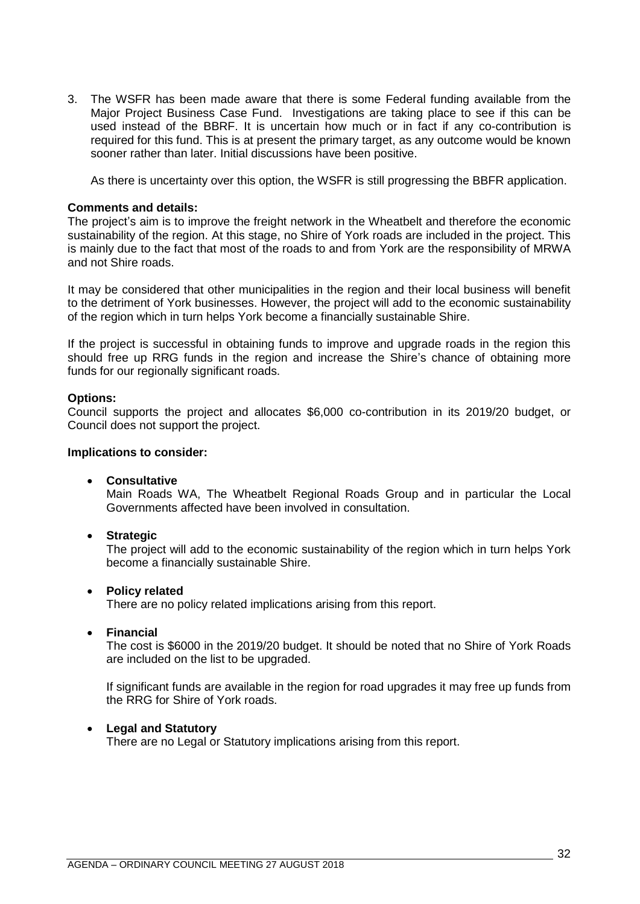3. The WSFR has been made aware that there is some Federal funding available from the Major Project Business Case Fund. Investigations are taking place to see if this can be used instead of the BBRF. It is uncertain how much or in fact if any co-contribution is required for this fund. This is at present the primary target, as any outcome would be known sooner rather than later. Initial discussions have been positive.

As there is uncertainty over this option, the WSFR is still progressing the BBFR application.

### **Comments and details:**

The project's aim is to improve the freight network in the Wheatbelt and therefore the economic sustainability of the region. At this stage, no Shire of York roads are included in the project. This is mainly due to the fact that most of the roads to and from York are the responsibility of MRWA and not Shire roads.

It may be considered that other municipalities in the region and their local business will benefit to the detriment of York businesses. However, the project will add to the economic sustainability of the region which in turn helps York become a financially sustainable Shire.

If the project is successful in obtaining funds to improve and upgrade roads in the region this should free up RRG funds in the region and increase the Shire's chance of obtaining more funds for our regionally significant roads.

## **Options:**

Council supports the project and allocates \$6,000 co-contribution in its 2019/20 budget, or Council does not support the project.

### **Implications to consider:**

• **Consultative**

Main Roads WA, The Wheatbelt Regional Roads Group and in particular the Local Governments affected have been involved in consultation.

• **Strategic**

The project will add to the economic sustainability of the region which in turn helps York become a financially sustainable Shire.

# • **Policy related**

There are no policy related implications arising from this report.

• **Financial**

The cost is \$6000 in the 2019/20 budget. It should be noted that no Shire of York Roads are included on the list to be upgraded.

If significant funds are available in the region for road upgrades it may free up funds from the RRG for Shire of York roads.

# • **Legal and Statutory**

There are no Legal or Statutory implications arising from this report.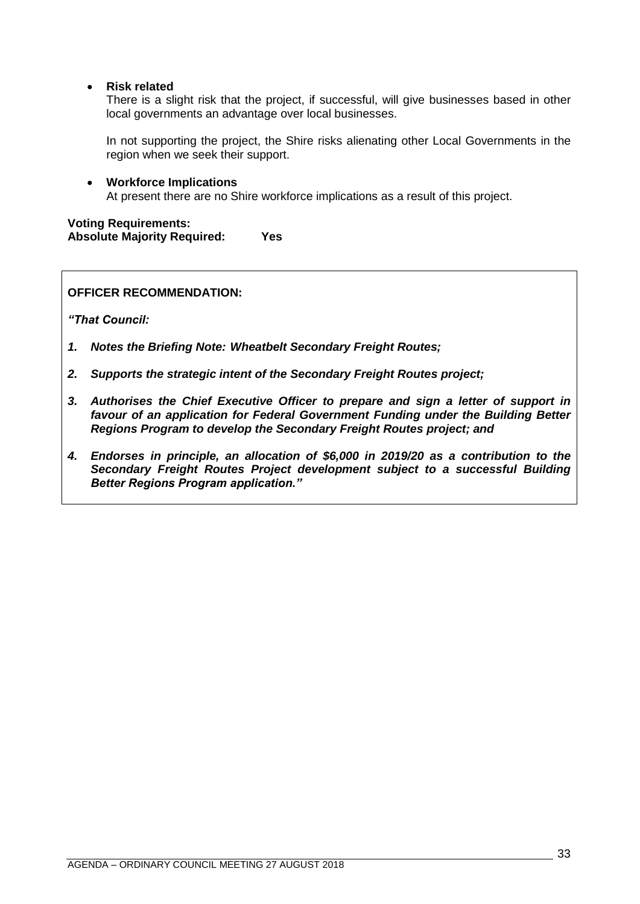• **Risk related**

There is a slight risk that the project, if successful, will give businesses based in other local governments an advantage over local businesses.

In not supporting the project, the Shire risks alienating other Local Governments in the region when we seek their support.

• **Workforce Implications** At present there are no Shire workforce implications as a result of this project.

# **Voting Requirements: Absolute Majority Required: Yes**

**OFFICER RECOMMENDATION:**

*"That Council:*

- *1. Notes the Briefing Note: Wheatbelt Secondary Freight Routes;*
- *2. Supports the strategic intent of the Secondary Freight Routes project;*
- *3. Authorises the Chief Executive Officer to prepare and sign a letter of support in favour of an application for Federal Government Funding under the Building Better Regions Program to develop the Secondary Freight Routes project; and*
- *4. Endorses in principle, an allocation of \$6,000 in 2019/20 as a contribution to the Secondary Freight Routes Project development subject to a successful Building Better Regions Program application."*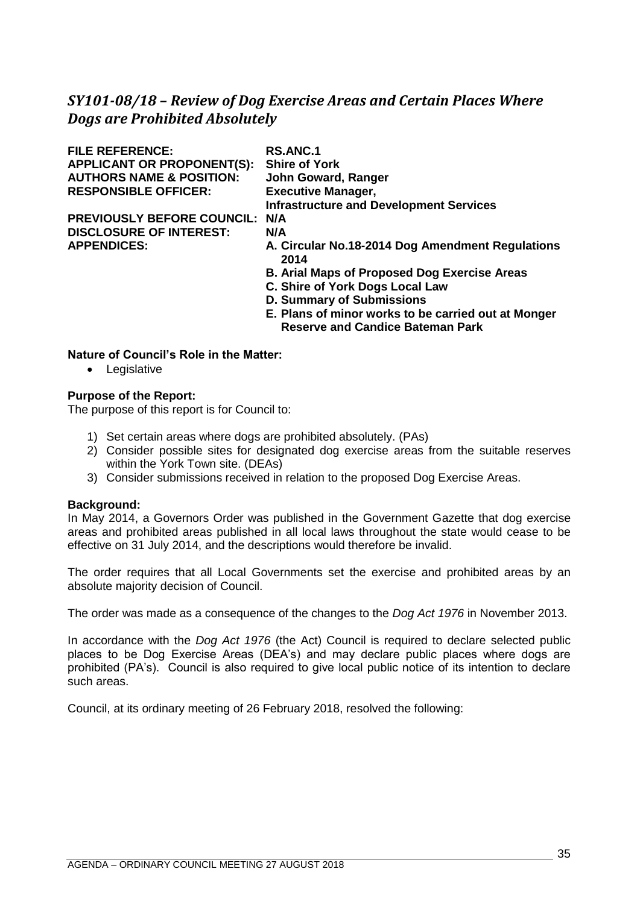# <span id="page-34-0"></span>*SY101-08/18 – Review of Dog Exercise Areas and Certain Places Where Dogs are Prohibited Absolutely*

| <b>FILE REFERENCE:</b>              | <b>RS.ANC.1</b>                                                               |
|-------------------------------------|-------------------------------------------------------------------------------|
| <b>APPLICANT OR PROPONENT(S):</b>   | <b>Shire of York</b>                                                          |
| <b>AUTHORS NAME &amp; POSITION:</b> | John Goward, Ranger                                                           |
| <b>RESPONSIBLE OFFICER:</b>         | <b>Executive Manager,</b>                                                     |
|                                     | <b>Infrastructure and Development Services</b>                                |
| <b>PREVIOUSLY BEFORE COUNCIL:</b>   | N/A                                                                           |
| <b>DISCLOSURE OF INTEREST:</b>      | N/A                                                                           |
| <b>APPENDICES:</b>                  | A. Circular No.18-2014 Dog Amendment Regulations<br>2014                      |
|                                     | <b>B. Arial Maps of Proposed Dog Exercise Areas</b>                           |
|                                     | C. Shire of York Dogs Local Law                                               |
|                                     | <b>D. Summary of Submissions</b>                                              |
|                                     | $\blacksquare$ Display of police and used as in the conditional and at Memory |

**E. Plans of minor works to be carried out at Monger Reserve and Candice Bateman Park**

## **Nature of Council's Role in the Matter:**

• Legislative

### **Purpose of the Report:**

The purpose of this report is for Council to:

- 1) Set certain areas where dogs are prohibited absolutely. (PAs)
- 2) Consider possible sites for designated dog exercise areas from the suitable reserves within the York Town site. (DEAs)
- 3) Consider submissions received in relation to the proposed Dog Exercise Areas.

### **Background:**

In May 2014, a Governors Order was published in the Government Gazette that dog exercise areas and prohibited areas published in all local laws throughout the state would cease to be effective on 31 July 2014, and the descriptions would therefore be invalid.

The order requires that all Local Governments set the exercise and prohibited areas by an absolute majority decision of Council.

The order was made as a consequence of the changes to the *Dog Act 1976* in November 2013.

In accordance with the *Dog Act 1976* (the Act) Council is required to declare selected public places to be Dog Exercise Areas (DEA's) and may declare public places where dogs are prohibited (PA's). Council is also required to give local public notice of its intention to declare such areas.

Council, at its ordinary meeting of 26 February 2018, resolved the following: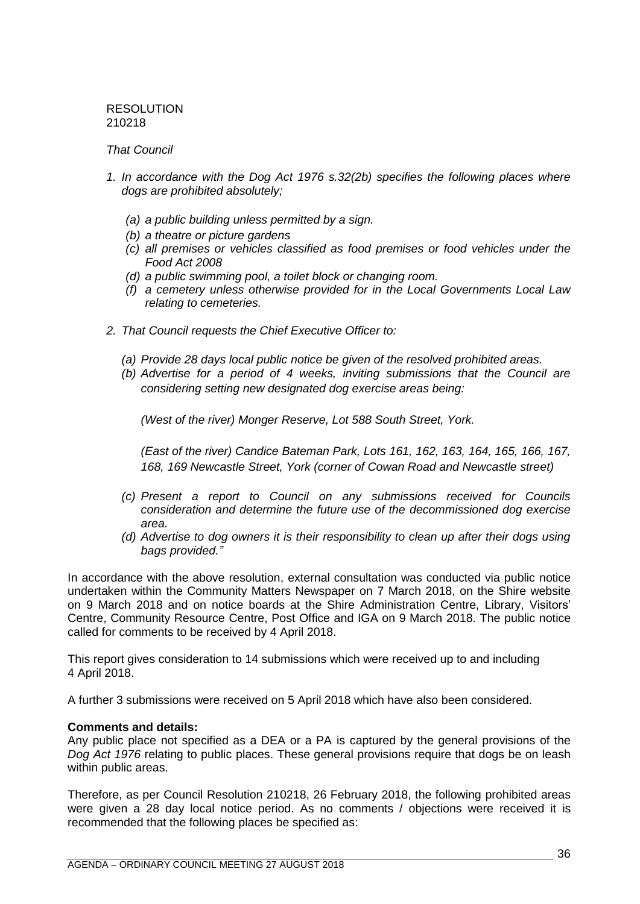RESOLUTION 210218

### *That Council*

- *1. In accordance with the Dog Act 1976 s.32(2b) specifies the following places where dogs are prohibited absolutely;*
	- *(a) a public building unless permitted by a sign.*
	- *(b) a theatre or picture gardens*
	- *(c) all premises or vehicles classified as food premises or food vehicles under the Food Act 2008*
	- *(d) a public swimming pool, a toilet block or changing room.*
	- *(f) a cemetery unless otherwise provided for in the Local Governments Local Law relating to cemeteries.*
- *2. That Council requests the Chief Executive Officer to:* 
	- *(a) Provide 28 days local public notice be given of the resolved prohibited areas.*
	- *(b) Advertise for a period of 4 weeks, inviting submissions that the Council are considering setting new designated dog exercise areas being:*

*(West of the river) Monger Reserve, Lot 588 South Street, York.* 

*(East of the river) Candice Bateman Park, Lots 161, 162, 163, 164, 165, 166, 167, 168, 169 Newcastle Street, York (corner of Cowan Road and Newcastle street)*

- *(c) Present a report to Council on any submissions received for Councils consideration and determine the future use of the decommissioned dog exercise area.*
- *(d) Advertise to dog owners it is their responsibility to clean up after their dogs using bags provided."*

In accordance with the above resolution, external consultation was conducted via public notice undertaken within the Community Matters Newspaper on 7 March 2018, on the Shire website on 9 March 2018 and on notice boards at the Shire Administration Centre, Library, Visitors' Centre, Community Resource Centre, Post Office and IGA on 9 March 2018. The public notice called for comments to be received by 4 April 2018.

This report gives consideration to 14 submissions which were received up to and including 4 April 2018.

A further 3 submissions were received on 5 April 2018 which have also been considered.

### **Comments and details:**

Any public place not specified as a DEA or a PA is captured by the general provisions of the *Dog Act 1976* relating to public places. These general provisions require that dogs be on leash within public areas.

Therefore, as per Council Resolution 210218, 26 February 2018, the following prohibited areas were given a 28 day local notice period. As no comments / objections were received it is recommended that the following places be specified as: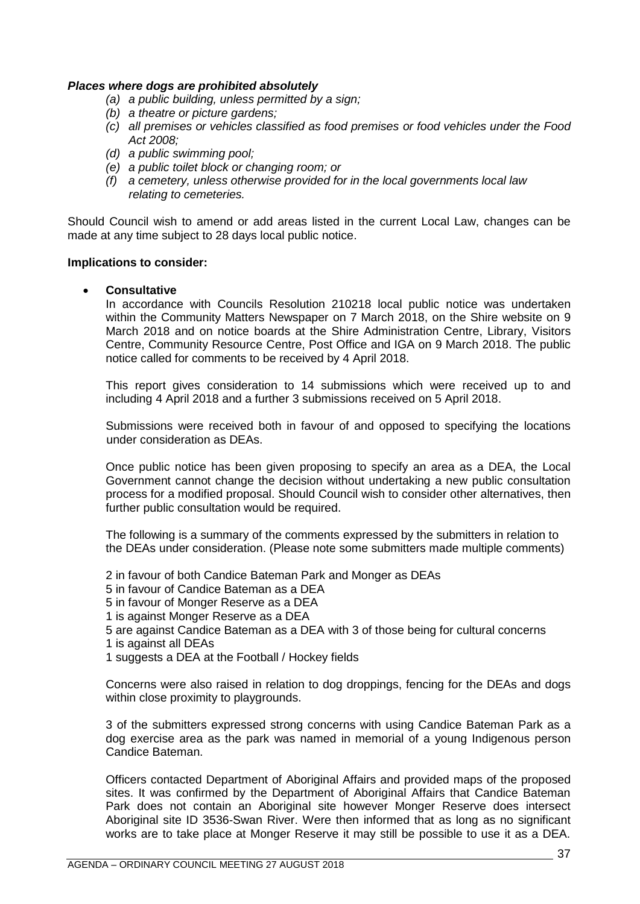## *Places where dogs are prohibited absolutely*

- *(a) a public building, unless permitted by a sign;*
- *(b) a theatre or picture gardens;*
- *(c) all premises or vehicles classified as food premises or food vehicles under the Food Act 2008;*
- *(d) a public swimming pool;*
- *(e) a public toilet block or changing room; or*
- *(f) a cemetery, unless otherwise provided for in the local governments local law relating to cemeteries.*

Should Council wish to amend or add areas listed in the current Local Law, changes can be made at any time subject to 28 days local public notice.

### **Implications to consider:**

• **Consultative**

In accordance with Councils Resolution 210218 local public notice was undertaken within the Community Matters Newspaper on 7 March 2018, on the Shire website on 9 March 2018 and on notice boards at the Shire Administration Centre, Library, Visitors Centre, Community Resource Centre, Post Office and IGA on 9 March 2018. The public notice called for comments to be received by 4 April 2018.

This report gives consideration to 14 submissions which were received up to and including 4 April 2018 and a further 3 submissions received on 5 April 2018.

Submissions were received both in favour of and opposed to specifying the locations under consideration as DEAs.

Once public notice has been given proposing to specify an area as a DEA, the Local Government cannot change the decision without undertaking a new public consultation process for a modified proposal. Should Council wish to consider other alternatives, then further public consultation would be required.

The following is a summary of the comments expressed by the submitters in relation to the DEAs under consideration. (Please note some submitters made multiple comments)

2 in favour of both Candice Bateman Park and Monger as DEAs

- 5 in favour of Candice Bateman as a DEA
- 5 in favour of Monger Reserve as a DEA
- 1 is against Monger Reserve as a DEA
- 5 are against Candice Bateman as a DEA with 3 of those being for cultural concerns
- 1 is against all DEAs
- 1 suggests a DEA at the Football / Hockey fields

Concerns were also raised in relation to dog droppings, fencing for the DEAs and dogs within close proximity to playgrounds.

3 of the submitters expressed strong concerns with using Candice Bateman Park as a dog exercise area as the park was named in memorial of a young Indigenous person Candice Bateman.

Officers contacted Department of Aboriginal Affairs and provided maps of the proposed sites. It was confirmed by the Department of Aboriginal Affairs that Candice Bateman Park does not contain an Aboriginal site however Monger Reserve does intersect Aboriginal site ID 3536-Swan River. Were then informed that as long as no significant works are to take place at Monger Reserve it may still be possible to use it as a DEA.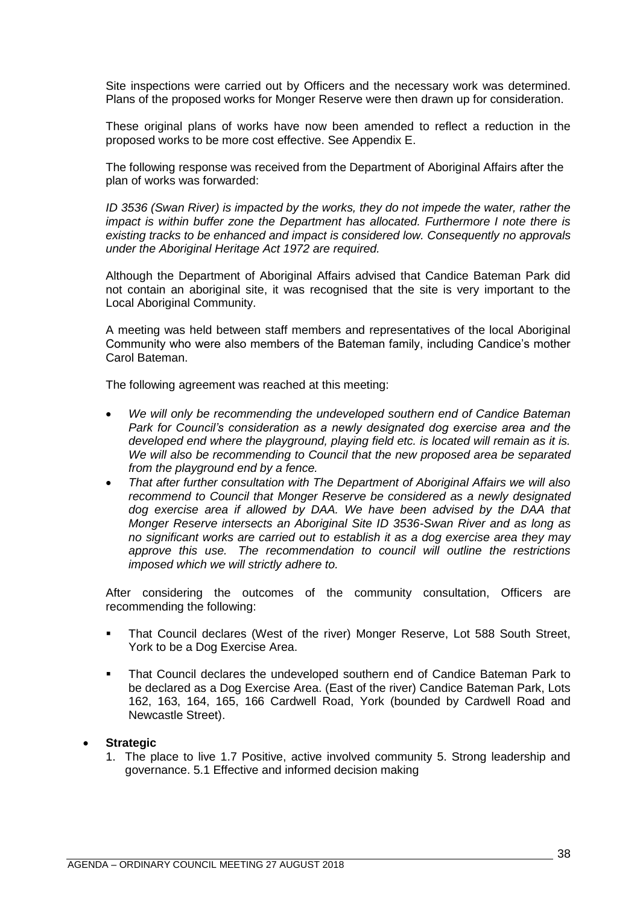Site inspections were carried out by Officers and the necessary work was determined. Plans of the proposed works for Monger Reserve were then drawn up for consideration.

These original plans of works have now been amended to reflect a reduction in the proposed works to be more cost effective. See Appendix E.

The following response was received from the Department of Aboriginal Affairs after the plan of works was forwarded:

*ID* 3536 (Swan River) is impacted by the works, they do not impede the water, rather the *impact is within buffer zone the Department has allocated. Furthermore I note there is existing tracks to be enhanced and impact is considered low. Consequently no approvals under the Aboriginal Heritage Act 1972 are required.*

Although the Department of Aboriginal Affairs advised that Candice Bateman Park did not contain an aboriginal site, it was recognised that the site is very important to the Local Aboriginal Community.

A meeting was held between staff members and representatives of the local Aboriginal Community who were also members of the Bateman family, including Candice's mother Carol Bateman.

The following agreement was reached at this meeting:

- *We will only be recommending the undeveloped southern end of Candice Bateman Park for Council's consideration as a newly designated dog exercise area and the developed end where the playground, playing field etc. is located will remain as it is. We will also be recommending to Council that the new proposed area be separated from the playground end by a fence.*
- *That after further consultation with The Department of Aboriginal Affairs we will also recommend to Council that Monger Reserve be considered as a newly designated dog exercise area if allowed by DAA. We have been advised by the DAA that Monger Reserve intersects an Aboriginal Site ID 3536-Swan River and as long as no significant works are carried out to establish it as a dog exercise area they may approve this use. The recommendation to council will outline the restrictions imposed which we will strictly adhere to.*

After considering the outcomes of the community consultation, Officers are recommending the following:

- That Council declares (West of the river) Monger Reserve, Lot 588 South Street, York to be a Dog Exercise Area.
- That Council declares the undeveloped southern end of Candice Bateman Park to be declared as a Dog Exercise Area. (East of the river) Candice Bateman Park, Lots 162, 163, 164, 165, 166 Cardwell Road, York (bounded by Cardwell Road and Newcastle Street).

### • **Strategic**

1. The place to live 1.7 Positive, active involved community 5. Strong leadership and governance. 5.1 Effective and informed decision making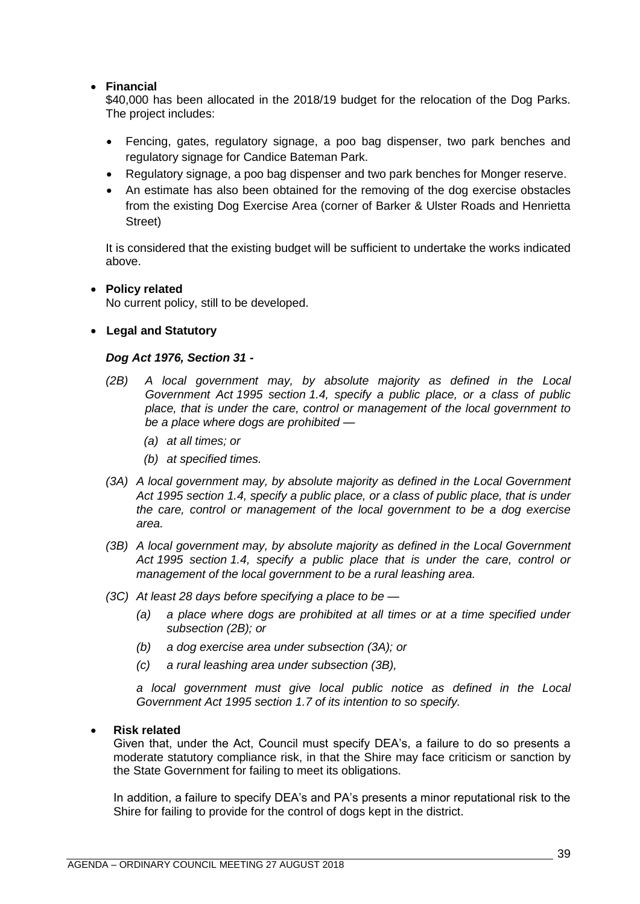# • **Financial**

\$40,000 has been allocated in the 2018/19 budget for the relocation of the Dog Parks. The project includes:

- Fencing, gates, regulatory signage, a poo bag dispenser, two park benches and regulatory signage for Candice Bateman Park.
- Regulatory signage, a poo bag dispenser and two park benches for Monger reserve.
- An estimate has also been obtained for the removing of the dog exercise obstacles from the existing Dog Exercise Area (corner of Barker & Ulster Roads and Henrietta Street)

It is considered that the existing budget will be sufficient to undertake the works indicated above.

# • **Policy related**

No current policy, still to be developed.

# • **Legal and Statutory**

# *Dog Act 1976, Section 31 -*

- *(2B) A local government may, by absolute majority as defined in the Local Government Act 1995 section 1.4, specify a public place, or a class of public place, that is under the care, control or management of the local government to be a place where dogs are prohibited —*
	- *(a) at all times; or*
	- *(b) at specified times.*
- *(3A) A local government may, by absolute majority as defined in the Local Government Act 1995 section 1.4, specify a public place, or a class of public place, that is under the care, control or management of the local government to be a dog exercise area.*
- *(3B) A local government may, by absolute majority as defined in the Local Government Act 1995 section 1.4, specify a public place that is under the care, control or management of the local government to be a rural leashing area.*
- *(3C) At least 28 days before specifying a place to be —*
	- *(a) a place where dogs are prohibited at all times or at a time specified under subsection (2B); or*
	- *(b) a dog exercise area under subsection (3A); or*
	- *(c) a rural leashing area under subsection (3B),*

*a local government must give local public notice as defined in the Local Government Act 1995 section 1.7 of its intention to so specify.*

# • **Risk related**

Given that, under the Act, Council must specify DEA's, a failure to do so presents a moderate statutory compliance risk, in that the Shire may face criticism or sanction by the State Government for failing to meet its obligations.

In addition, a failure to specify DEA's and PA's presents a minor reputational risk to the Shire for failing to provide for the control of dogs kept in the district.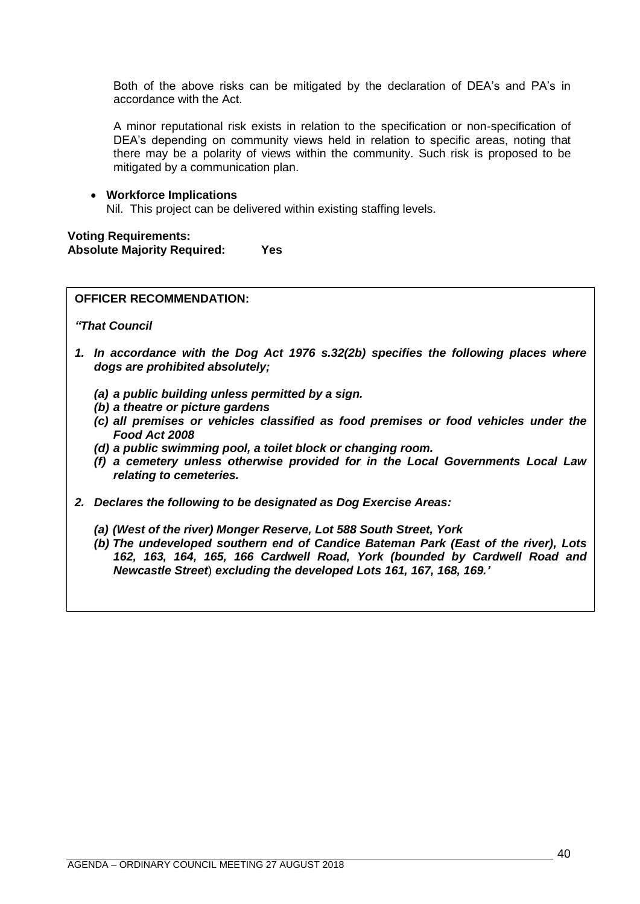Both of the above risks can be mitigated by the declaration of DEA's and PA's in accordance with the Act.

A minor reputational risk exists in relation to the specification or non-specification of DEA's depending on community views held in relation to specific areas, noting that there may be a polarity of views within the community. Such risk is proposed to be mitigated by a communication plan.

# • **Workforce Implications** Nil. This project can be delivered within existing staffing levels.

**Voting Requirements: Absolute Majority Required: Yes**

# **OFFICER RECOMMENDATION:**

*"That Council*

- *1. In accordance with the Dog Act 1976 s.32(2b) specifies the following places where dogs are prohibited absolutely;*
	- *(a) a public building unless permitted by a sign.*
	- *(b) a theatre or picture gardens*
	- *(c) all premises or vehicles classified as food premises or food vehicles under the Food Act 2008*
	- *(d) a public swimming pool, a toilet block or changing room.*
	- *(f) a cemetery unless otherwise provided for in the Local Governments Local Law relating to cemeteries.*
- <span id="page-39-0"></span>*2. Declares the following to be designated as Dog Exercise Areas:*
	- *(a) (West of the river) Monger Reserve, Lot 588 South Street, York*
	- *(b) The undeveloped southern end of Candice Bateman Park (East of the river), Lots 162, 163, 164, 165, 166 Cardwell Road, York (bounded by Cardwell Road and Newcastle Street*) *excluding the developed Lots 161, 167, 168, 169.'*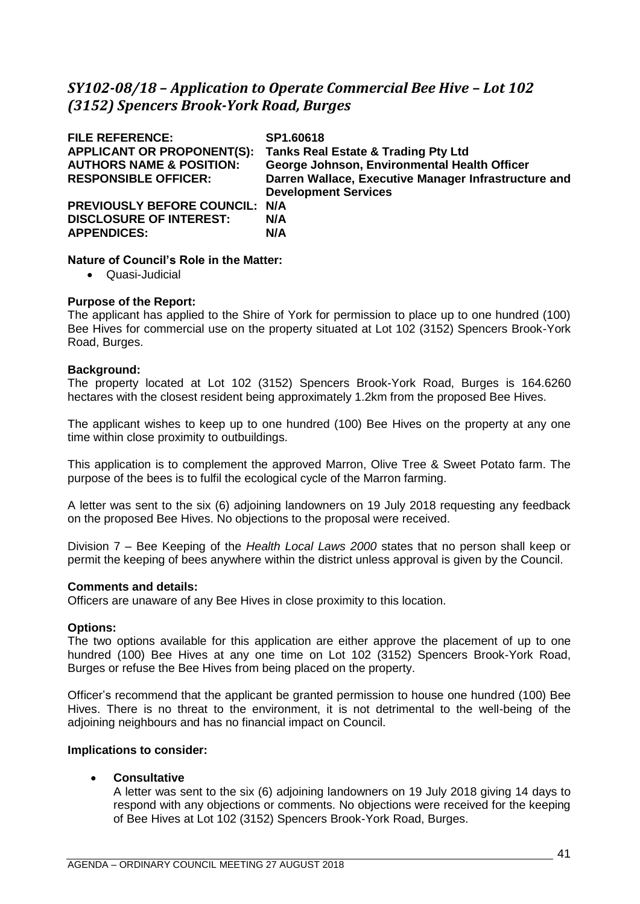# *SY102-08/18 – Application to Operate Commercial Bee Hive – Lot 102 (3152) Spencers Brook-York Road, Burges*

| <b>FILE REFERENCE:</b><br><b>APPLICANT OR PROPONENT(S):</b><br><b>AUTHORS NAME &amp; POSITION:</b> | SP1.60618<br><b>Tanks Real Estate &amp; Trading Pty Ltd</b><br>George Johnson, Environmental Health Officer |
|----------------------------------------------------------------------------------------------------|-------------------------------------------------------------------------------------------------------------|
| <b>RESPONSIBLE OFFICER:</b>                                                                        | Darren Wallace, Executive Manager Infrastructure and<br><b>Development Services</b>                         |
| PREVIOUSLY BEFORE COUNCIL: N/A<br><b>DISCLOSURE OF INTEREST:</b><br><b>APPENDICES:</b>             | N/A<br>N/A                                                                                                  |

## **Nature of Council's Role in the Matter:**

• Quasi-Judicial

## **Purpose of the Report:**

The applicant has applied to the Shire of York for permission to place up to one hundred (100) Bee Hives for commercial use on the property situated at Lot 102 (3152) Spencers Brook-York Road, Burges.

## **Background:**

The property located at Lot 102 (3152) Spencers Brook-York Road, Burges is 164.6260 hectares with the closest resident being approximately 1.2km from the proposed Bee Hives.

The applicant wishes to keep up to one hundred (100) Bee Hives on the property at any one time within close proximity to outbuildings.

This application is to complement the approved Marron, Olive Tree & Sweet Potato farm. The purpose of the bees is to fulfil the ecological cycle of the Marron farming.

A letter was sent to the six (6) adjoining landowners on 19 July 2018 requesting any feedback on the proposed Bee Hives. No objections to the proposal were received.

Division 7 – Bee Keeping of the *Health Local Laws 2000* states that no person shall keep or permit the keeping of bees anywhere within the district unless approval is given by the Council.

### **Comments and details:**

Officers are unaware of any Bee Hives in close proximity to this location.

### **Options:**

The two options available for this application are either approve the placement of up to one hundred (100) Bee Hives at any one time on Lot 102 (3152) Spencers Brook-York Road, Burges or refuse the Bee Hives from being placed on the property.

Officer's recommend that the applicant be granted permission to house one hundred (100) Bee Hives. There is no threat to the environment, it is not detrimental to the well-being of the adjoining neighbours and has no financial impact on Council.

### **Implications to consider:**

### • **Consultative**

A letter was sent to the six (6) adjoining landowners on 19 July 2018 giving 14 days to respond with any objections or comments. No objections were received for the keeping of Bee Hives at Lot 102 (3152) Spencers Brook-York Road, Burges.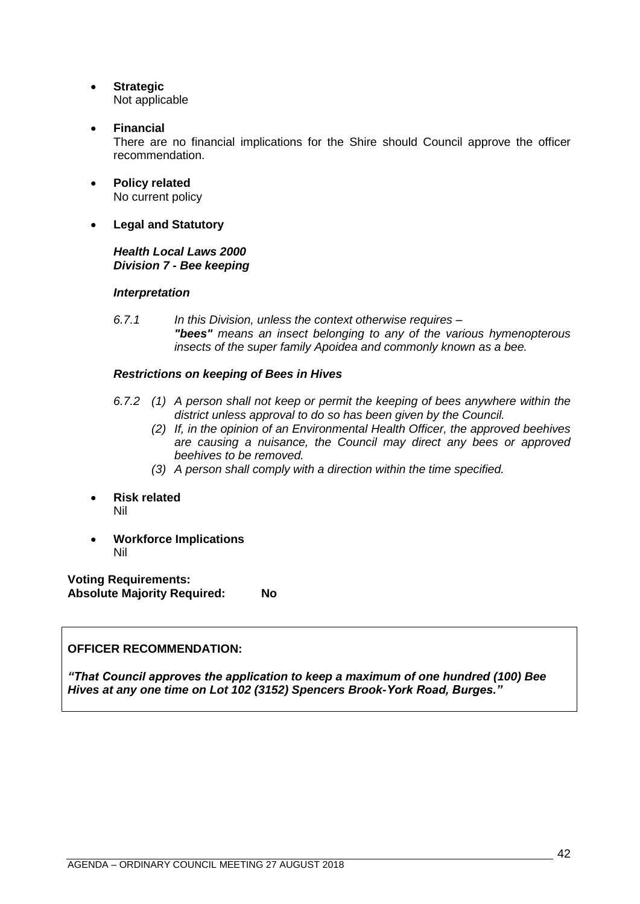- **Strategic** Not applicable
- **Financial**

There are no financial implications for the Shire should Council approve the officer recommendation.

- **Policy related** No current policy
- **Legal and Statutory**

# *Health Local Laws 2000 Division 7 - Bee keeping*

# *Interpretation*

*6.7.1 In this Division, unless the context otherwise requires – "bees" means an insect belonging to any of the various hymenopterous insects of the super family Apoidea and commonly known as a bee.* 

# *Restrictions on keeping of Bees in Hives*

- *6.7.2 (1) A person shall not keep or permit the keeping of bees anywhere within the district unless approval to do so has been given by the Council.* 
	- *(2) If, in the opinion of an Environmental Health Officer, the approved beehives are causing a nuisance, the Council may direct any bees or approved beehives to be removed.*
	- *(3) A person shall comply with a direction within the time specified.*
- **Risk related** Nil
- **Workforce Implications** Nil

**Voting Requirements: Absolute Majority Required: No**

# **OFFICER RECOMMENDATION:**

*"That Council approves the application to keep a maximum of one hundred (100) Bee Hives at any one time on Lot 102 (3152) Spencers Brook-York Road, Burges."*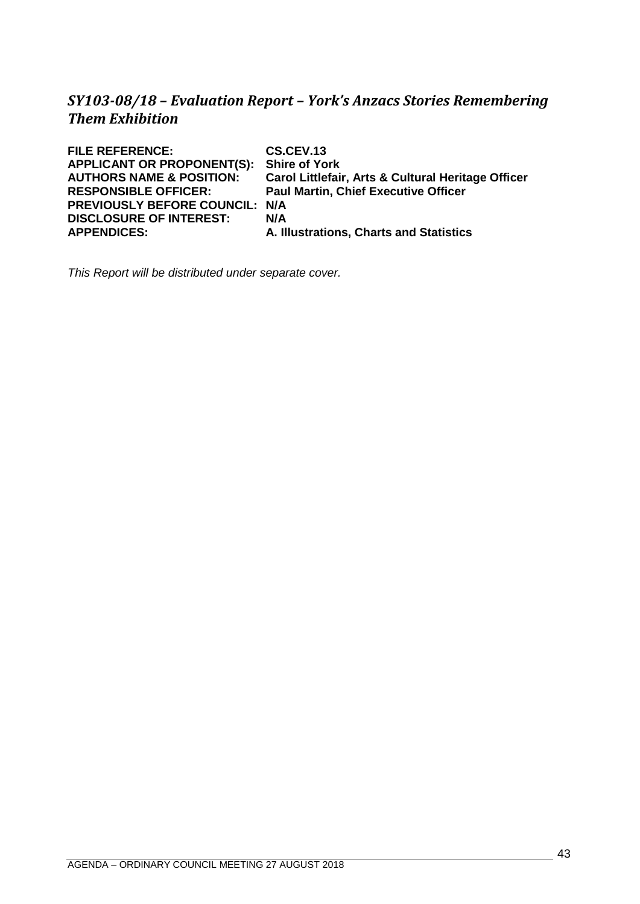# <span id="page-42-0"></span>*SY103-08/18 – Evaluation Report – York's Anzacs Stories Remembering Them Exhibition*

| <b>FILE REFERENCE:</b>              | CS.CEV.13                                          |
|-------------------------------------|----------------------------------------------------|
| <b>APPLICANT OR PROPONENT(S):</b>   | <b>Shire of York</b>                               |
| <b>AUTHORS NAME &amp; POSITION:</b> | Carol Littlefair, Arts & Cultural Heritage Officer |
| <b>RESPONSIBLE OFFICER:</b>         | <b>Paul Martin, Chief Executive Officer</b>        |
| PREVIOUSLY BEFORE COUNCIL: N/A      |                                                    |
| <b>DISCLOSURE OF INTEREST:</b>      | N/A                                                |
| <b>APPENDICES:</b>                  | A. Illustrations, Charts and Statistics            |
|                                     |                                                    |

*This Report will be distributed under separate cover.*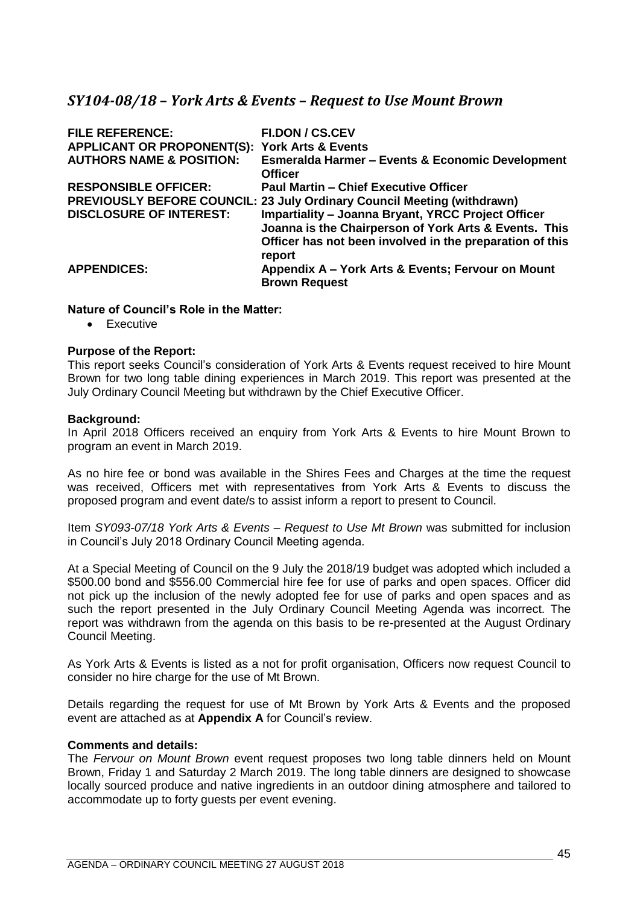# <span id="page-44-0"></span>*SY104-08/18 – York Arts & Events – Request to Use Mount Brown*

| <b>FILE REFERENCE:</b>                                   | <b>FI.DON / CS.CEV</b>                                                                                                                                                                   |
|----------------------------------------------------------|------------------------------------------------------------------------------------------------------------------------------------------------------------------------------------------|
| <b>APPLICANT OR PROPONENT(S): York Arts &amp; Events</b> |                                                                                                                                                                                          |
| <b>AUTHORS NAME &amp; POSITION:</b>                      | <b>Esmeralda Harmer - Events &amp; Economic Development</b><br><b>Officer</b>                                                                                                            |
| <b>RESPONSIBLE OFFICER:</b>                              | <b>Paul Martin - Chief Executive Officer</b>                                                                                                                                             |
|                                                          | <b>PREVIOUSLY BEFORE COUNCIL: 23 July Ordinary Council Meeting (withdrawn)</b>                                                                                                           |
| <b>DISCLOSURE OF INTEREST:</b>                           | <b>Impartiality - Joanna Bryant, YRCC Project Officer</b><br>Joanna is the Chairperson of York Arts & Events. This<br>Officer has not been involved in the preparation of this<br>report |
| <b>APPENDICES:</b>                                       | Appendix A - York Arts & Events; Fervour on Mount<br><b>Brown Request</b>                                                                                                                |

## **Nature of Council's Role in the Matter:**

• Executive

## **Purpose of the Report:**

This report seeks Council's consideration of York Arts & Events request received to hire Mount Brown for two long table dining experiences in March 2019. This report was presented at the July Ordinary Council Meeting but withdrawn by the Chief Executive Officer.

### **Background:**

In April 2018 Officers received an enquiry from York Arts & Events to hire Mount Brown to program an event in March 2019.

As no hire fee or bond was available in the Shires Fees and Charges at the time the request was received, Officers met with representatives from York Arts & Events to discuss the proposed program and event date/s to assist inform a report to present to Council.

Item *SY093-07/18 York Arts & Events – Request to Use Mt Brown* was submitted for inclusion in Council's July 2018 Ordinary Council Meeting agenda.

At a Special Meeting of Council on the 9 July the 2018/19 budget was adopted which included a \$500.00 bond and \$556.00 Commercial hire fee for use of parks and open spaces. Officer did not pick up the inclusion of the newly adopted fee for use of parks and open spaces and as such the report presented in the July Ordinary Council Meeting Agenda was incorrect. The report was withdrawn from the agenda on this basis to be re-presented at the August Ordinary Council Meeting.

As York Arts & Events is listed as a not for profit organisation, Officers now request Council to consider no hire charge for the use of Mt Brown.

Details regarding the request for use of Mt Brown by York Arts & Events and the proposed event are attached as at **Appendix A** for Council's review.

### **Comments and details:**

The *Fervour on Mount Brown* event request proposes two long table dinners held on Mount Brown, Friday 1 and Saturday 2 March 2019. The long table dinners are designed to showcase locally sourced produce and native ingredients in an outdoor dining atmosphere and tailored to accommodate up to forty guests per event evening.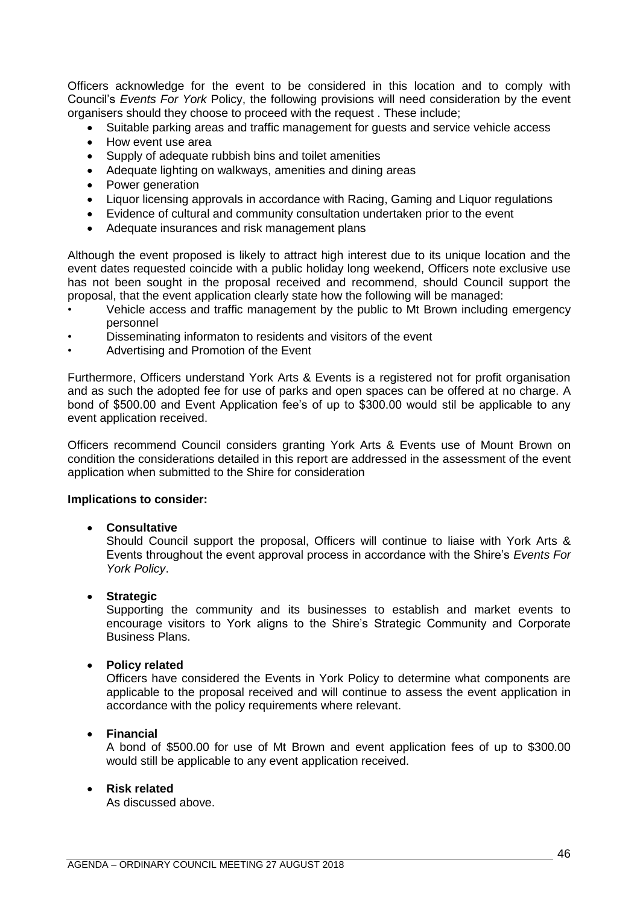Officers acknowledge for the event to be considered in this location and to comply with Council's *Events For York* Policy, the following provisions will need consideration by the event organisers should they choose to proceed with the request . These include;

- Suitable parking areas and traffic management for guests and service vehicle access
- How event use area
- Supply of adequate rubbish bins and toilet amenities
- Adequate lighting on walkways, amenities and dining areas
- Power generation
- Liquor licensing approvals in accordance with Racing, Gaming and Liquor regulations
- Evidence of cultural and community consultation undertaken prior to the event
- Adequate insurances and risk management plans

Although the event proposed is likely to attract high interest due to its unique location and the event dates requested coincide with a public holiday long weekend, Officers note exclusive use has not been sought in the proposal received and recommend, should Council support the proposal, that the event application clearly state how the following will be managed:

- Vehicle access and traffic management by the public to Mt Brown including emergency personnel
- Disseminating informaton to residents and visitors of the event
- Advertising and Promotion of the Event

Furthermore, Officers understand York Arts & Events is a registered not for profit organisation and as such the adopted fee for use of parks and open spaces can be offered at no charge. A bond of \$500.00 and Event Application fee's of up to \$300.00 would stil be applicable to any event application received.

Officers recommend Council considers granting York Arts & Events use of Mount Brown on condition the considerations detailed in this report are addressed in the assessment of the event application when submitted to the Shire for consideration

### **Implications to consider:**

### • **Consultative**

Should Council support the proposal, Officers will continue to liaise with York Arts & Events throughout the event approval process in accordance with the Shire's *Events For York Policy*.

### • **Strategic**

Supporting the community and its businesses to establish and market events to encourage visitors to York aligns to the Shire's Strategic Community and Corporate Business Plans.

### • **Policy related**

Officers have considered the Events in York Policy to determine what components are applicable to the proposal received and will continue to assess the event application in accordance with the policy requirements where relevant.

### • **Financial**

A bond of \$500.00 for use of Mt Brown and event application fees of up to \$300.00 would still be applicable to any event application received.

### • **Risk related**

As discussed above.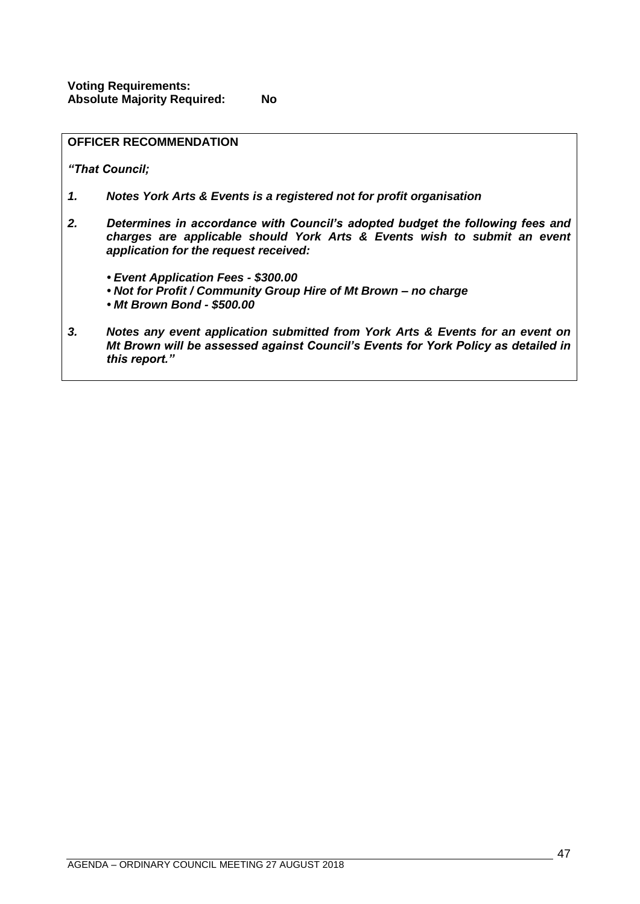|    | <b>OFFICER RECOMMENDATION</b>                                                                                                                                                                      |
|----|----------------------------------------------------------------------------------------------------------------------------------------------------------------------------------------------------|
|    | "That Council;                                                                                                                                                                                     |
| 1. | Notes York Arts & Events is a registered not for profit organisation                                                                                                                               |
| 2. | Determines in accordance with Council's adopted budget the following fees and<br>charges are applicable should York Arts & Events wish to submit an event<br>application for the request received: |
|    | • Event Application Fees - \$300.00<br>• Not for Profit / Community Group Hire of Mt Brown - no charge<br>• Mt Brown Bond - \$500.00                                                               |
| 3. | Notes any event application submitted from York Arts & Events for an event on<br>Mt Brown will be assessed against Council's Events for York Policy as detailed in<br>this report."                |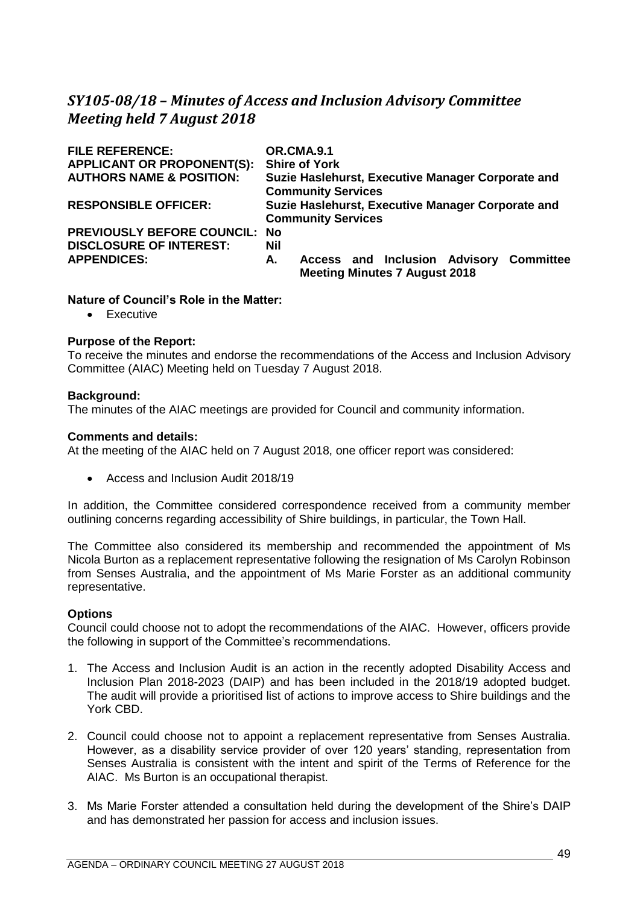# <span id="page-48-0"></span>*SY105-08/18 – Minutes of Access and Inclusion Advisory Committee Meeting held 7 August 2018*

| <b>FILE REFERENCE:</b>              | <b>OR.CMA.9.1</b>                                                                     |
|-------------------------------------|---------------------------------------------------------------------------------------|
| <b>APPLICANT OR PROPONENT(S):</b>   | <b>Shire of York</b>                                                                  |
| <b>AUTHORS NAME &amp; POSITION:</b> | Suzie Haslehurst, Executive Manager Corporate and<br><b>Community Services</b>        |
| <b>RESPONSIBLE OFFICER:</b>         | Suzie Haslehurst, Executive Manager Corporate and<br><b>Community Services</b>        |
| PREVIOUSLY BEFORE COUNCIL: No       |                                                                                       |
| <b>DISCLOSURE OF INTEREST:</b>      | Nil                                                                                   |
| <b>APPENDICES:</b>                  | Access and Inclusion Advisory Committee<br>А.<br><b>Meeting Minutes 7 August 2018</b> |

## **Nature of Council's Role in the Matter:**

• Executive

### **Purpose of the Report:**

To receive the minutes and endorse the recommendations of the Access and Inclusion Advisory Committee (AIAC) Meeting held on Tuesday 7 August 2018.

### **Background:**

The minutes of the AIAC meetings are provided for Council and community information.

## **Comments and details:**

At the meeting of the AIAC held on 7 August 2018, one officer report was considered:

• Access and Inclusion Audit 2018/19

In addition, the Committee considered correspondence received from a community member outlining concerns regarding accessibility of Shire buildings, in particular, the Town Hall.

The Committee also considered its membership and recommended the appointment of Ms Nicola Burton as a replacement representative following the resignation of Ms Carolyn Robinson from Senses Australia, and the appointment of Ms Marie Forster as an additional community representative.

# **Options**

Council could choose not to adopt the recommendations of the AIAC. However, officers provide the following in support of the Committee's recommendations.

- 1. The Access and Inclusion Audit is an action in the recently adopted Disability Access and Inclusion Plan 2018-2023 (DAIP) and has been included in the 2018/19 adopted budget. The audit will provide a prioritised list of actions to improve access to Shire buildings and the York CBD.
- 2. Council could choose not to appoint a replacement representative from Senses Australia. However, as a disability service provider of over 120 years' standing, representation from Senses Australia is consistent with the intent and spirit of the Terms of Reference for the AIAC. Ms Burton is an occupational therapist.
- 3. Ms Marie Forster attended a consultation held during the development of the Shire's DAIP and has demonstrated her passion for access and inclusion issues.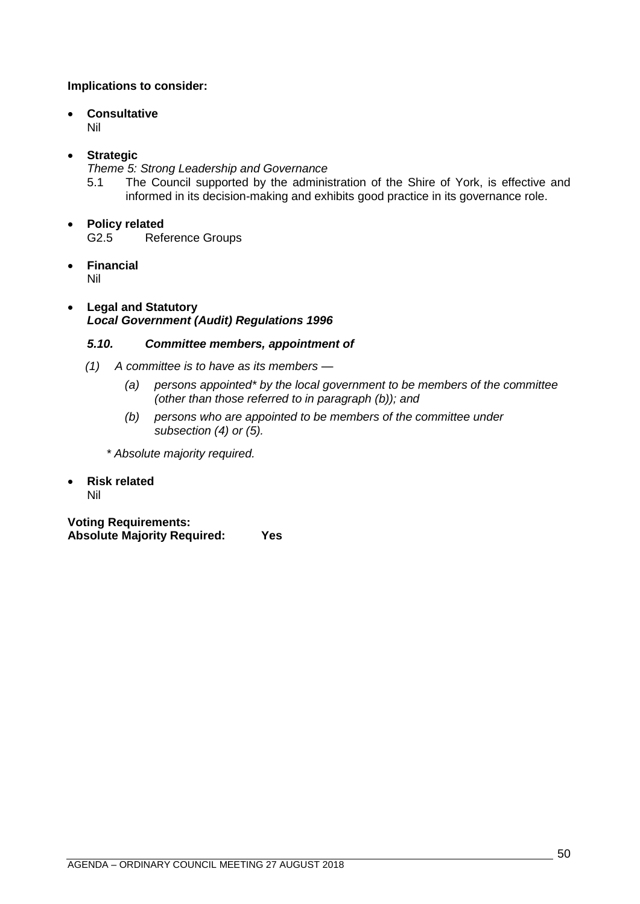# **Implications to consider:**

# • **Consultative**

Nil

# • **Strategic**

*Theme 5: Strong Leadership and Governance*

5.1 The Council supported by the administration of the Shire of York, is effective and informed in its decision-making and exhibits good practice in its governance role.

# • **Policy related**

G2.5 Reference Groups

• **Financial**

Nil

# • **Legal and Statutory** *Local Government (Audit) Regulations 1996*

# *5.10. Committee members, appointment of*

- *(1) A committee is to have as its members —*
	- *(a) persons appointed\* by the local government to be members of the committee (other than those referred to in paragraph (b)); and*
	- *(b) persons who are appointed to be members of the committee under subsection (4) or (5).*

*\* Absolute majority required.*

• **Risk related** Nil

**Voting Requirements: Absolute Majority Required: Yes**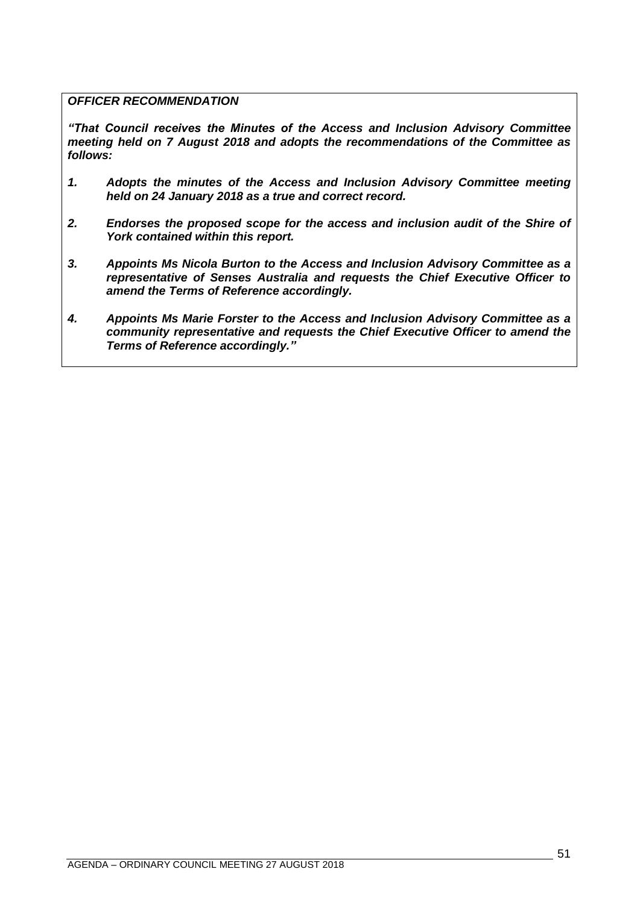# *OFFICER RECOMMENDATION*

*"That Council receives the Minutes of the Access and Inclusion Advisory Committee meeting held on 7 August 2018 and adopts the recommendations of the Committee as follows:*

- *1. Adopts the minutes of the Access and Inclusion Advisory Committee meeting held on 24 January 2018 as a true and correct record.*
- *2. Endorses the proposed scope for the access and inclusion audit of the Shire of York contained within this report.*
- *3. Appoints Ms Nicola Burton to the Access and Inclusion Advisory Committee as a representative of Senses Australia and requests the Chief Executive Officer to amend the Terms of Reference accordingly.*
- *4. Appoints Ms Marie Forster to the Access and Inclusion Advisory Committee as a community representative and requests the Chief Executive Officer to amend the Terms of Reference accordingly."*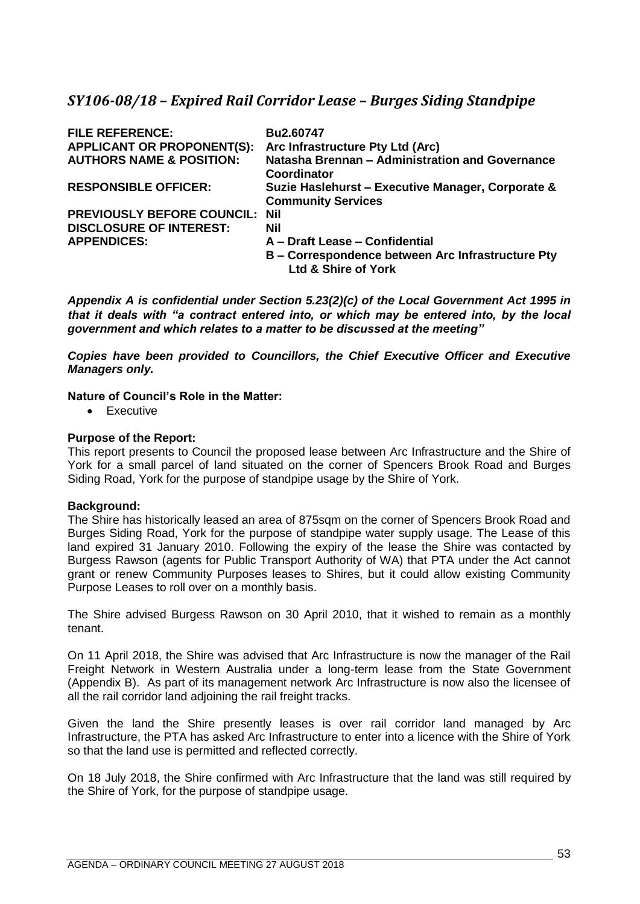# <span id="page-52-0"></span>*SY106-08/18 – Expired Rail Corridor Lease – Burges Siding Standpipe*

| <b>FILE REFERENCE:</b><br><b>APPLICANT OR PROPONENT(S):</b> | Bu2.60747<br>Arc Infrastructure Pty Ltd (Arc)                                  |
|-------------------------------------------------------------|--------------------------------------------------------------------------------|
| <b>AUTHORS NAME &amp; POSITION:</b>                         | Natasha Brennan - Administration and Governance<br><b>Coordinator</b>          |
| <b>RESPONSIBLE OFFICER:</b>                                 | Suzie Haslehurst - Executive Manager, Corporate &<br><b>Community Services</b> |
| <b>PREVIOUSLY BEFORE COUNCIL: Nil</b>                       |                                                                                |
| <b>DISCLOSURE OF INTEREST:</b>                              | Nil                                                                            |
| <b>APPENDICES:</b>                                          | A - Draft Lease - Confidential                                                 |
|                                                             | B – Correspondence between Arc Infrastructure Pty<br>Ltd & Shire of York       |

*Appendix A is confidential under Section 5.23(2)(c) of the Local Government Act 1995 in that it deals with "a contract entered into, or which may be entered into, by the local government and which relates to a matter to be discussed at the meeting"* 

*Copies have been provided to Councillors, the Chief Executive Officer and Executive Managers only.*

# **Nature of Council's Role in the Matter:**

• Executive

## **Purpose of the Report:**

This report presents to Council the proposed lease between Arc Infrastructure and the Shire of York for a small parcel of land situated on the corner of Spencers Brook Road and Burges Siding Road, York for the purpose of standpipe usage by the Shire of York.

### **Background:**

The Shire has historically leased an area of 875sqm on the corner of Spencers Brook Road and Burges Siding Road, York for the purpose of standpipe water supply usage. The Lease of this land expired 31 January 2010. Following the expiry of the lease the Shire was contacted by Burgess Rawson (agents for Public Transport Authority of WA) that PTA under the Act cannot grant or renew Community Purposes leases to Shires, but it could allow existing Community Purpose Leases to roll over on a monthly basis.

The Shire advised Burgess Rawson on 30 April 2010, that it wished to remain as a monthly tenant.

On 11 April 2018, the Shire was advised that Arc Infrastructure is now the manager of the Rail Freight Network in Western Australia under a long-term lease from the State Government (Appendix B). As part of its management network Arc Infrastructure is now also the licensee of all the rail corridor land adjoining the rail freight tracks.

Given the land the Shire presently leases is over rail corridor land managed by Arc Infrastructure, the PTA has asked Arc Infrastructure to enter into a licence with the Shire of York so that the land use is permitted and reflected correctly.

On 18 July 2018, the Shire confirmed with Arc Infrastructure that the land was still required by the Shire of York, for the purpose of standpipe usage.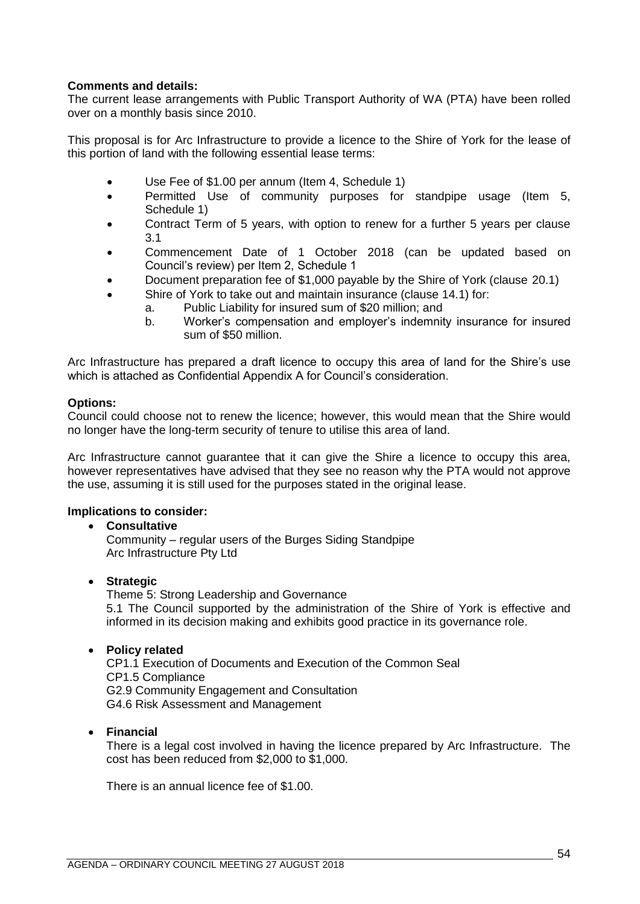# **Comments and details:**

The current lease arrangements with Public Transport Authority of WA (PTA) have been rolled over on a monthly basis since 2010.

This proposal is for Arc Infrastructure to provide a licence to the Shire of York for the lease of this portion of land with the following essential lease terms:

- Use Fee of \$1.00 per annum (Item 4, Schedule 1)
- Permitted Use of community purposes for standpipe usage (Item 5, Schedule 1)
- Contract Term of 5 years, with option to renew for a further 5 years per clause 3.1
- Commencement Date of 1 October 2018 (can be updated based on Council's review) per Item 2, Schedule 1
- Document preparation fee of \$1,000 payable by the Shire of York (clause 20.1)
- Shire of York to take out and maintain insurance (clause 14.1) for:
	- a. Public Liability for insured sum of \$20 million; and
		- b. Worker's compensation and employer's indemnity insurance for insured sum of \$50 million.

Arc Infrastructure has prepared a draft licence to occupy this area of land for the Shire's use which is attached as Confidential Appendix A for Council's consideration.

### **Options:**

Council could choose not to renew the licence; however, this would mean that the Shire would no longer have the long-term security of tenure to utilise this area of land.

Arc Infrastructure cannot guarantee that it can give the Shire a licence to occupy this area, however representatives have advised that they see no reason why the PTA would not approve the use, assuming it is still used for the purposes stated in the original lease.

# **Implications to consider:**

### • **Consultative**

Community – regular users of the Burges Siding Standpipe Arc Infrastructure Pty Ltd

### • **Strategic**

Theme 5: Strong Leadership and Governance 5.1 The Council supported by the administration of the Shire of York is effective and informed in its decision making and exhibits good practice in its governance role.

### • **Policy related**

CP1.1 Execution of Documents and Execution of the Common Seal CP1.5 Compliance G2.9 Community Engagement and Consultation G4.6 Risk Assessment and Management

• **Financial**

There is a legal cost involved in having the licence prepared by Arc Infrastructure. The cost has been reduced from \$2,000 to \$1,000.

There is an annual licence fee of \$1.00.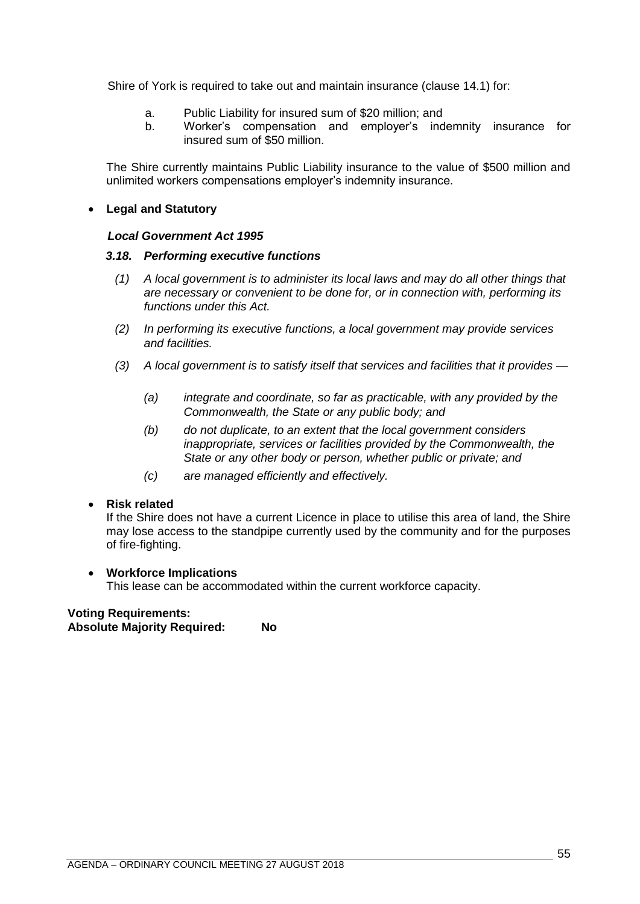Shire of York is required to take out and maintain insurance (clause 14.1) for:

- a. Public Liability for insured sum of \$20 million; and
- b. Worker's compensation and employer's indemnity insurance for insured sum of \$50 million.

The Shire currently maintains Public Liability insurance to the value of \$500 million and unlimited workers compensations employer's indemnity insurance.

## • **Legal and Statutory**

### *Local Government Act 1995*

## *3.18. Performing executive functions*

- *(1) A local government is to administer its local laws and may do all other things that are necessary or convenient to be done for, or in connection with, performing its functions under this Act.*
- *(2) In performing its executive functions, a local government may provide services and facilities.*
- *(3) A local government is to satisfy itself that services and facilities that it provides —*
	- *(a) integrate and coordinate, so far as practicable, with any provided by the Commonwealth, the State or any public body; and*
	- *(b) do not duplicate, to an extent that the local government considers inappropriate, services or facilities provided by the Commonwealth, the State or any other body or person, whether public or private; and*
	- *(c) are managed efficiently and effectively.*

### • **Risk related**

If the Shire does not have a current Licence in place to utilise this area of land, the Shire may lose access to the standpipe currently used by the community and for the purposes of fire-fighting.

### • **Workforce Implications**

This lease can be accommodated within the current workforce capacity.

#### **Voting Requirements: Absolute Majority Required: No**

AGENDA – ORDINARY COUNCIL MEETING 27 AUGUST 2018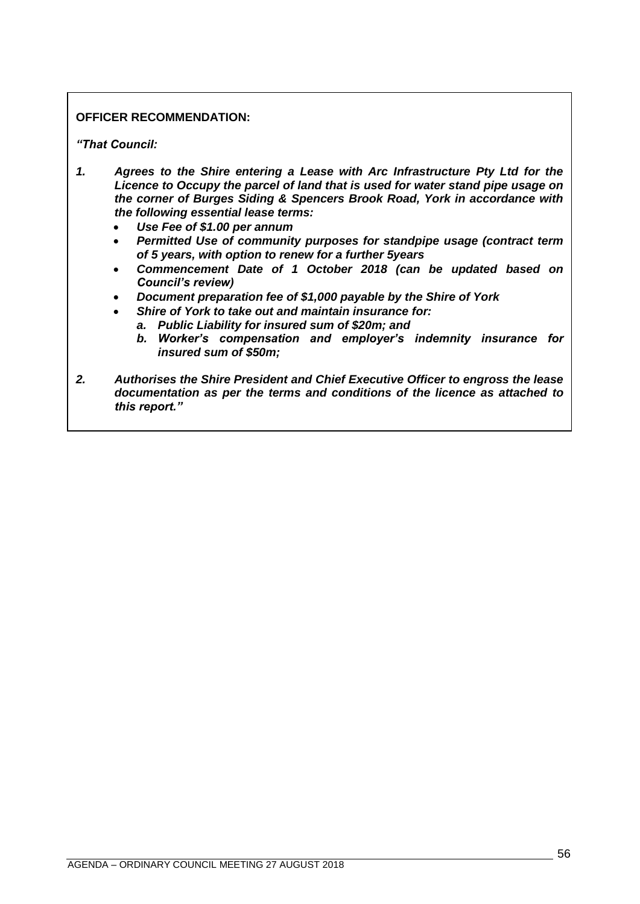# **OFFICER RECOMMENDATION:**

## *"That Council:*

- *1. Agrees to the Shire entering a Lease with Arc Infrastructure Pty Ltd for the Licence to Occupy the parcel of land that is used for water stand pipe usage on the corner of Burges Siding & Spencers Brook Road, York in accordance with the following essential lease terms:*
	- *Use Fee of \$1.00 per annum*
	- *Permitted Use of community purposes for standpipe usage (contract term of 5 years, with option to renew for a further 5years*
	- *Commencement Date of 1 October 2018 (can be updated based on Council's review)*
	- *Document preparation fee of \$1,000 payable by the Shire of York*
	- *Shire of York to take out and maintain insurance for:*
		- *a. Public Liability for insured sum of \$20m; and*
			- *b. Worker's compensation and employer's indemnity insurance for insured sum of \$50m;*
- *2. Authorises the Shire President and Chief Executive Officer to engross the lease documentation as per the terms and conditions of the licence as attached to this report."*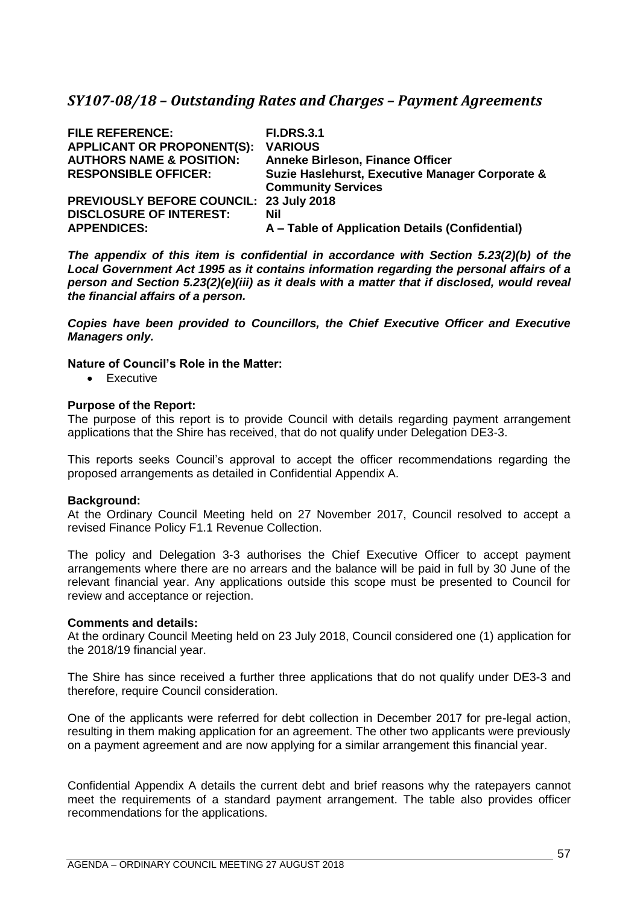# <span id="page-56-0"></span>*SY107-08/18 – Outstanding Rates and Charges – Payment Agreements*

| <b>FILE REFERENCE:</b><br><b>APPLICANT OR PROPONENT(S):</b> | <b>FI.DRS.3.1</b><br><b>VARIOUS</b>             |
|-------------------------------------------------------------|-------------------------------------------------|
| <b>AUTHORS NAME &amp; POSITION:</b>                         | <b>Anneke Birleson, Finance Officer</b>         |
| <b>RESPONSIBLE OFFICER:</b>                                 | Suzie Haslehurst, Executive Manager Corporate & |
|                                                             | <b>Community Services</b>                       |
| <b>PREVIOUSLY BEFORE COUNCIL: 23 July 2018</b>              |                                                 |
| <b>DISCLOSURE OF INTEREST:</b>                              | Nil                                             |
| <b>APPENDICES:</b>                                          | A – Table of Application Details (Confidential) |

*The appendix of this item is confidential in accordance with Section 5.23(2)(b) of the Local Government Act 1995 as it contains information regarding the personal affairs of a person and Section 5.23(2)(e)(iii) as it deals with a matter that if disclosed, would reveal the financial affairs of a person.* 

*Copies have been provided to Councillors, the Chief Executive Officer and Executive Managers only.*

## **Nature of Council's Role in the Matter:**

• Executive

## **Purpose of the Report:**

The purpose of this report is to provide Council with details regarding payment arrangement applications that the Shire has received, that do not qualify under Delegation DE3-3.

This reports seeks Council's approval to accept the officer recommendations regarding the proposed arrangements as detailed in Confidential Appendix A.

### **Background:**

At the Ordinary Council Meeting held on 27 November 2017, Council resolved to accept a revised Finance Policy F1.1 Revenue Collection.

The policy and Delegation 3-3 authorises the Chief Executive Officer to accept payment arrangements where there are no arrears and the balance will be paid in full by 30 June of the relevant financial year. Any applications outside this scope must be presented to Council for review and acceptance or rejection.

### **Comments and details:**

At the ordinary Council Meeting held on 23 July 2018, Council considered one (1) application for the 2018/19 financial year.

The Shire has since received a further three applications that do not qualify under DE3-3 and therefore, require Council consideration.

One of the applicants were referred for debt collection in December 2017 for pre-legal action, resulting in them making application for an agreement. The other two applicants were previously on a payment agreement and are now applying for a similar arrangement this financial year.

Confidential Appendix A details the current debt and brief reasons why the ratepayers cannot meet the requirements of a standard payment arrangement. The table also provides officer recommendations for the applications.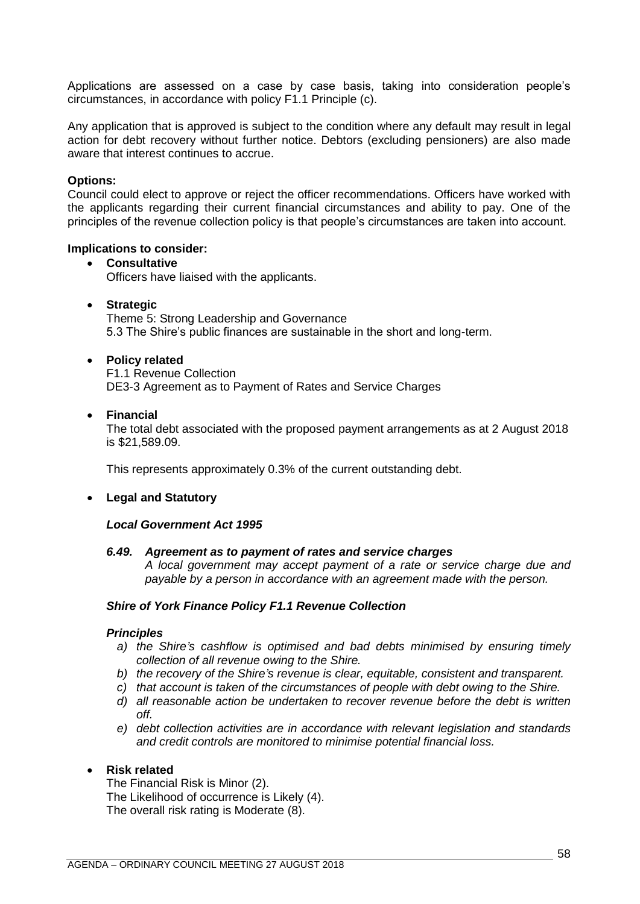Applications are assessed on a case by case basis, taking into consideration people's circumstances, in accordance with policy F1.1 Principle (c).

Any application that is approved is subject to the condition where any default may result in legal action for debt recovery without further notice. Debtors (excluding pensioners) are also made aware that interest continues to accrue.

### **Options:**

Council could elect to approve or reject the officer recommendations. Officers have worked with the applicants regarding their current financial circumstances and ability to pay. One of the principles of the revenue collection policy is that people's circumstances are taken into account.

### **Implications to consider:**

## • **Consultative** Officers have liaised with the applicants.

### • **Strategic**

Theme 5: Strong Leadership and Governance 5.3 The Shire's public finances are sustainable in the short and long-term.

#### • **Policy related**

F1.1 Revenue Collection DE3-3 Agreement as to Payment of Rates and Service Charges

#### • **Financial**

The total debt associated with the proposed payment arrangements as at 2 August 2018 is \$21,589.09.

This represents approximately 0.3% of the current outstanding debt.

### • **Legal and Statutory**

#### *Local Government Act 1995*

#### *6.49. Agreement as to payment of rates and service charges*

*A local government may accept payment of a rate or service charge due and payable by a person in accordance with an agreement made with the person.*

#### *Shire of York Finance Policy F1.1 Revenue Collection*

### *Principles*

- *a) the Shire's cashflow is optimised and bad debts minimised by ensuring timely collection of all revenue owing to the Shire.*
- *b) the recovery of the Shire's revenue is clear, equitable, consistent and transparent.*
- *c) that account is taken of the circumstances of people with debt owing to the Shire.*
- *d) all reasonable action be undertaken to recover revenue before the debt is written off.*
- *e) debt collection activities are in accordance with relevant legislation and standards and credit controls are monitored to minimise potential financial loss.*

### • **Risk related**

The Financial Risk is Minor (2). The Likelihood of occurrence is Likely (4). The overall risk rating is Moderate (8).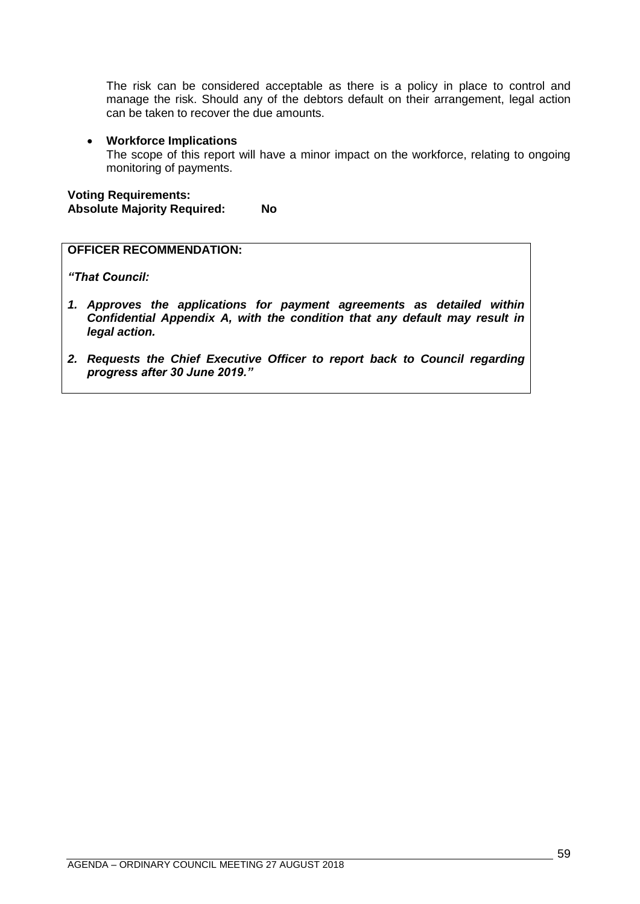The risk can be considered acceptable as there is a policy in place to control and manage the risk. Should any of the debtors default on their arrangement, legal action can be taken to recover the due amounts.

## • **Workforce Implications**

The scope of this report will have a minor impact on the workforce, relating to ongoing monitoring of payments.

**Voting Requirements: Absolute Majority Required: No**

# **OFFICER RECOMMENDATION:**

*"That Council:*

- *1. Approves the applications for payment agreements as detailed within Confidential Appendix A, with the condition that any default may result in legal action.*
- *2. Requests the Chief Executive Officer to report back to Council regarding progress after 30 June 2019."*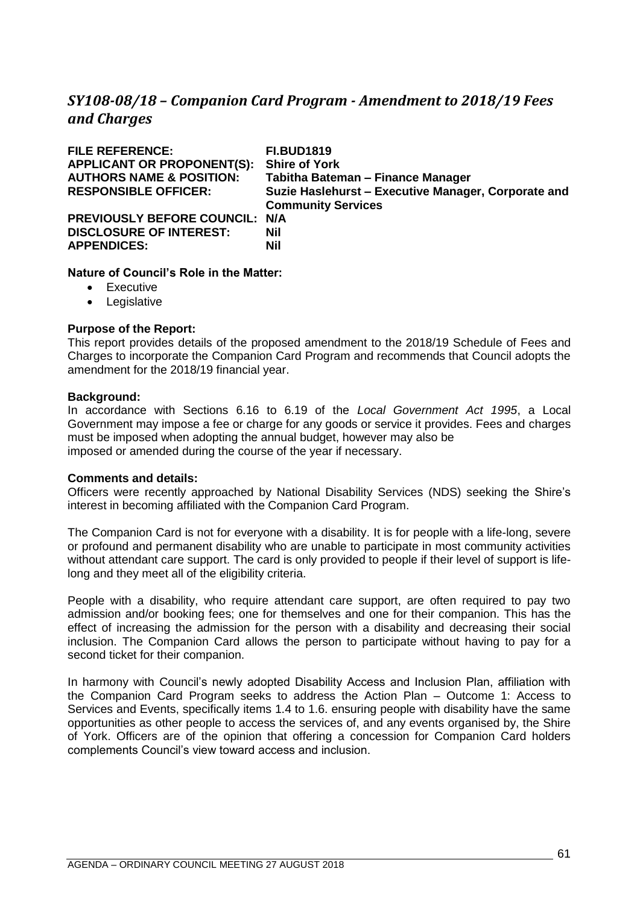# <span id="page-60-0"></span>*SY108-08/18 – Companion Card Program - Amendment to 2018/19 Fees and Charges*

| <b>FILE REFERENCE:</b>              | <b>FI.BUD1819</b>                                   |
|-------------------------------------|-----------------------------------------------------|
| <b>APPLICANT OR PROPONENT(S):</b>   | <b>Shire of York</b>                                |
| <b>AUTHORS NAME &amp; POSITION:</b> | Tabitha Bateman - Finance Manager                   |
| <b>RESPONSIBLE OFFICER:</b>         | Suzie Haslehurst - Executive Manager, Corporate and |
|                                     | <b>Community Services</b>                           |
| PREVIOUSLY BEFORE COUNCIL: N/A      |                                                     |
| <b>DISCLOSURE OF INTEREST:</b>      | <b>Nil</b>                                          |
| <b>APPENDICES:</b>                  | <b>Nil</b>                                          |
|                                     |                                                     |

## **Nature of Council's Role in the Matter:**

- Executive
- Legislative

## **Purpose of the Report:**

This report provides details of the proposed amendment to the 2018/19 Schedule of Fees and Charges to incorporate the Companion Card Program and recommends that Council adopts the amendment for the 2018/19 financial year.

### **Background:**

In accordance with Sections 6.16 to 6.19 of the *Local Government Act 1995*, a Local Government may impose a fee or charge for any goods or service it provides. Fees and charges must be imposed when adopting the annual budget, however may also be imposed or amended during the course of the year if necessary.

### **Comments and details:**

Officers were recently approached by National Disability Services (NDS) seeking the Shire's interest in becoming affiliated with the Companion Card Program.

The Companion Card is not for everyone with a disability. It is for people with a life-long, severe or profound and permanent disability who are unable to participate in most community activities without attendant care support. The card is only provided to people if their level of support is lifelong and they meet all of the eligibility criteria.

People with a disability, who require attendant care support, are often required to pay two admission and/or booking fees; one for themselves and one for their companion. This has the effect of increasing the admission for the person with a disability and decreasing their social inclusion. The Companion Card allows the person to participate without having to pay for a second ticket for their companion.

In harmony with Council's newly adopted Disability Access and Inclusion Plan, affiliation with the Companion Card Program seeks to address the Action Plan – Outcome 1: Access to Services and Events, specifically items 1.4 to 1.6. ensuring people with disability have the same opportunities as other people to access the services of, and any events organised by, the Shire of York. Officers are of the opinion that offering a concession for Companion Card holders complements Council's view toward access and inclusion.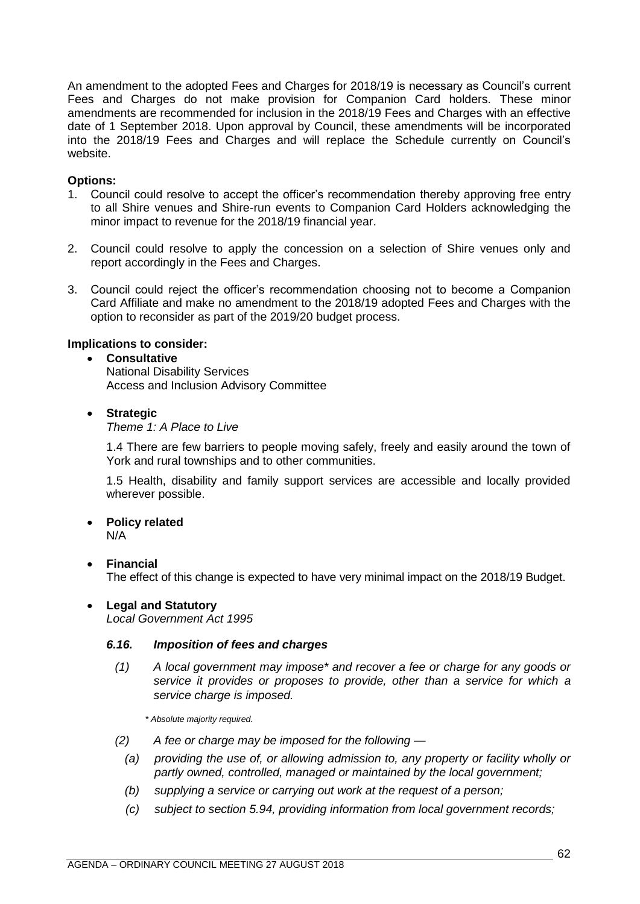An amendment to the adopted Fees and Charges for 2018/19 is necessary as Council's current Fees and Charges do not make provision for Companion Card holders. These minor amendments are recommended for inclusion in the 2018/19 Fees and Charges with an effective date of 1 September 2018. Upon approval by Council, these amendments will be incorporated into the 2018/19 Fees and Charges and will replace the Schedule currently on Council's website.

# **Options:**

- 1. Council could resolve to accept the officer's recommendation thereby approving free entry to all Shire venues and Shire-run events to Companion Card Holders acknowledging the minor impact to revenue for the 2018/19 financial year.
- 2. Council could resolve to apply the concession on a selection of Shire venues only and report accordingly in the Fees and Charges.
- 3. Council could reject the officer's recommendation choosing not to become a Companion Card Affiliate and make no amendment to the 2018/19 adopted Fees and Charges with the option to reconsider as part of the 2019/20 budget process.

## **Implications to consider:**

## • **Consultative**

National Disability Services Access and Inclusion Advisory Committee

# • **Strategic**

*Theme 1: A Place to Live*

1.4 There are few barriers to people moving safely, freely and easily around the town of York and rural townships and to other communities.

1.5 Health, disability and family support services are accessible and locally provided wherever possible.

# • **Policy related**

N/A

• **Financial**

The effect of this change is expected to have very minimal impact on the 2018/19 Budget.

# • **Legal and Statutory**

*Local Government Act 1995*

### *6.16. Imposition of fees and charges*

*(1) A local government may impose\* and recover a fee or charge for any goods or service it provides or proposes to provide, other than a service for which a service charge is imposed.*

*\* Absolute majority required.*

- *(2) A fee or charge may be imposed for the following —*
	- *(a) providing the use of, or allowing admission to, any property or facility wholly or partly owned, controlled, managed or maintained by the local government;*
	- *(b) supplying a service or carrying out work at the request of a person;*
	- *(c) subject to section 5.94, providing information from local government records;*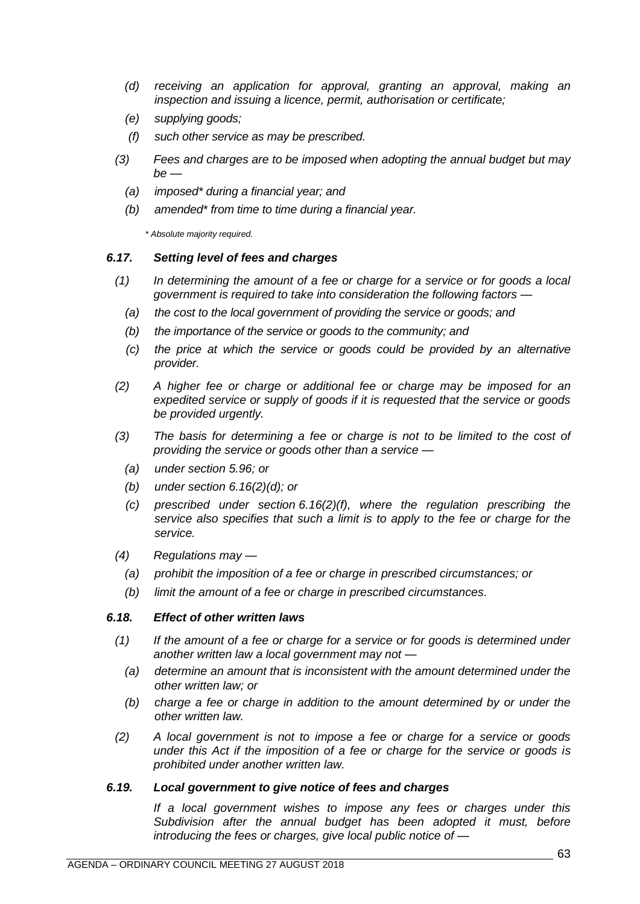- *(d) receiving an application for approval, granting an approval, making an inspection and issuing a licence, permit, authorisation or certificate;*
- *(e) supplying goods;*
- *(f) such other service as may be prescribed.*
- *(3) Fees and charges are to be imposed when adopting the annual budget but may be —*
	- *(a) imposed\* during a financial year; and*
	- *(b) amended\* from time to time during a financial year.*

*\* Absolute majority required.*

### *6.17. Setting level of fees and charges*

- *(1) In determining the amount of a fee or charge for a service or for goods a local government is required to take into consideration the following factors —*
	- *(a) the cost to the local government of providing the service or goods; and*
	- *(b) the importance of the service or goods to the community; and*
	- *(c) the price at which the service or goods could be provided by an alternative provider.*
- *(2) A higher fee or charge or additional fee or charge may be imposed for an expedited service or supply of goods if it is requested that the service or goods be provided urgently.*
- *(3) The basis for determining a fee or charge is not to be limited to the cost of providing the service or goods other than a service —*
	- *(a) under section 5.96; or*
	- *(b) under section 6.16(2)(d); or*
	- *(c) prescribed under section 6.16(2)(f), where the regulation prescribing the service also specifies that such a limit is to apply to the fee or charge for the service.*
- *(4) Regulations may —*
	- *(a) prohibit the imposition of a fee or charge in prescribed circumstances; or*
	- *(b) limit the amount of a fee or charge in prescribed circumstances.*

### *6.18. Effect of other written laws*

- *(1) If the amount of a fee or charge for a service or for goods is determined under another written law a local government may not —*
	- *(a) determine an amount that is inconsistent with the amount determined under the other written law; or*
	- *(b) charge a fee or charge in addition to the amount determined by or under the other written law.*
- *(2) A local government is not to impose a fee or charge for a service or goods under this Act if the imposition of a fee or charge for the service or goods is prohibited under another written law.*

### *6.19. Local government to give notice of fees and charges*

*If a local government wishes to impose any fees or charges under this Subdivision after the annual budget has been adopted it must, before introducing the fees or charges, give local public notice of —*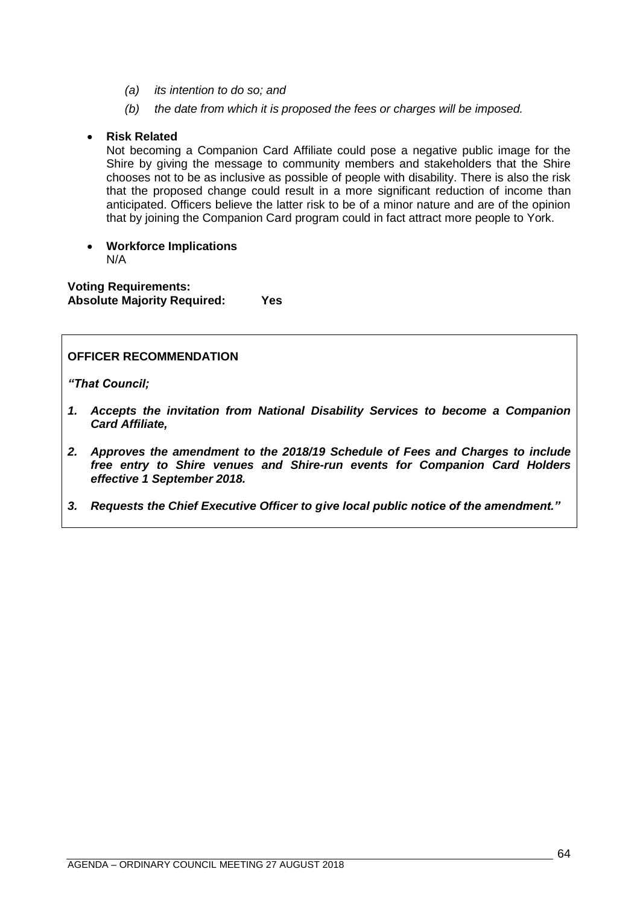- *(a) its intention to do so; and*
- *(b) the date from which it is proposed the fees or charges will be imposed.*

## • **Risk Related**

Not becoming a Companion Card Affiliate could pose a negative public image for the Shire by giving the message to community members and stakeholders that the Shire chooses not to be as inclusive as possible of people with disability. There is also the risk that the proposed change could result in a more significant reduction of income than anticipated. Officers believe the latter risk to be of a minor nature and are of the opinion that by joining the Companion Card program could in fact attract more people to York.

• **Workforce Implications** N/A

**Voting Requirements: Absolute Majority Required: Yes**

# **OFFICER RECOMMENDATION**

*"That Council;* 

- *1. Accepts the invitation from National Disability Services to become a Companion Card Affiliate,*
- *2. Approves the amendment to the 2018/19 Schedule of Fees and Charges to include free entry to Shire venues and Shire-run events for Companion Card Holders effective 1 September 2018.*
- *3. Requests the Chief Executive Officer to give local public notice of the amendment."*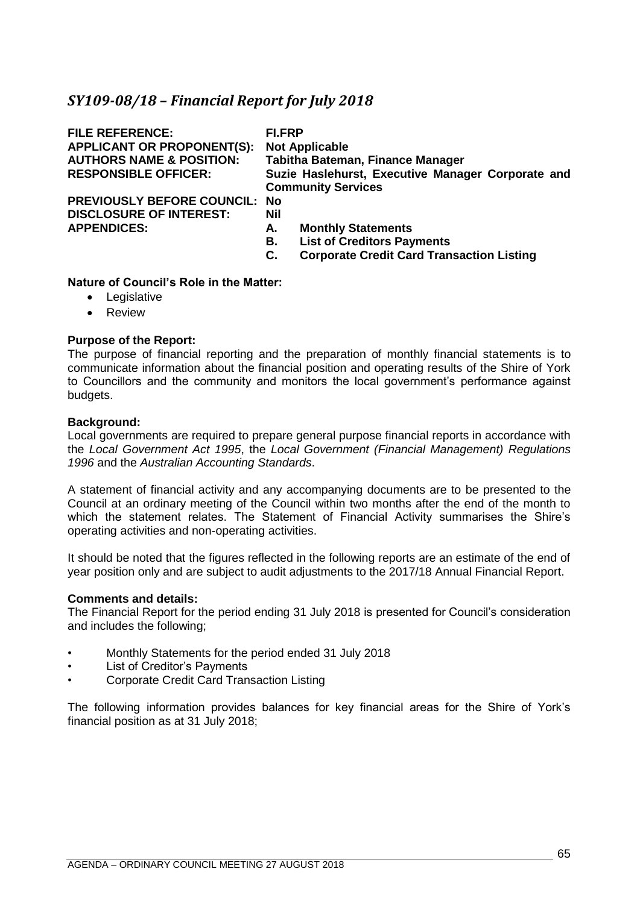# <span id="page-64-0"></span>*SY109-08/18 – Financial Report for July 2018*

| <b>FILE REFERENCE:</b><br><b>APPLICANT OR PROPONENT(S):</b><br><b>AUTHORS NAME &amp; POSITION:</b> | <b>FI.FRP</b> | <b>Not Applicable</b><br><b>Tabitha Bateman, Finance Manager</b>               |
|----------------------------------------------------------------------------------------------------|---------------|--------------------------------------------------------------------------------|
| <b>RESPONSIBLE OFFICER:</b>                                                                        |               | Suzie Haslehurst, Executive Manager Corporate and<br><b>Community Services</b> |
| <b>PREVIOUSLY BEFORE COUNCIL:</b>                                                                  | No            |                                                                                |
| <b>DISCLOSURE OF INTEREST:</b>                                                                     | Nil           |                                                                                |
| <b>APPENDICES:</b>                                                                                 | А.            | <b>Monthly Statements</b>                                                      |
|                                                                                                    | В.            | <b>List of Creditors Payments</b>                                              |
|                                                                                                    | С.            | <b>Corporate Credit Card Transaction Listing</b>                               |

## **Nature of Council's Role in the Matter:**

- Legislative
- Review

### **Purpose of the Report:**

The purpose of financial reporting and the preparation of monthly financial statements is to communicate information about the financial position and operating results of the Shire of York to Councillors and the community and monitors the local government's performance against budgets.

### **Background:**

Local governments are required to prepare general purpose financial reports in accordance with the *Local Government Act 1995*, the *Local Government (Financial Management) Regulations 1996* and the *Australian Accounting Standards*.

A statement of financial activity and any accompanying documents are to be presented to the Council at an ordinary meeting of the Council within two months after the end of the month to which the statement relates. The Statement of Financial Activity summarises the Shire's operating activities and non-operating activities.

It should be noted that the figures reflected in the following reports are an estimate of the end of year position only and are subject to audit adjustments to the 2017/18 Annual Financial Report.

### **Comments and details:**

The Financial Report for the period ending 31 July 2018 is presented for Council's consideration and includes the following;

- Monthly Statements for the period ended 31 July 2018
- List of Creditor's Payments
- Corporate Credit Card Transaction Listing

The following information provides balances for key financial areas for the Shire of York's financial position as at 31 July 2018;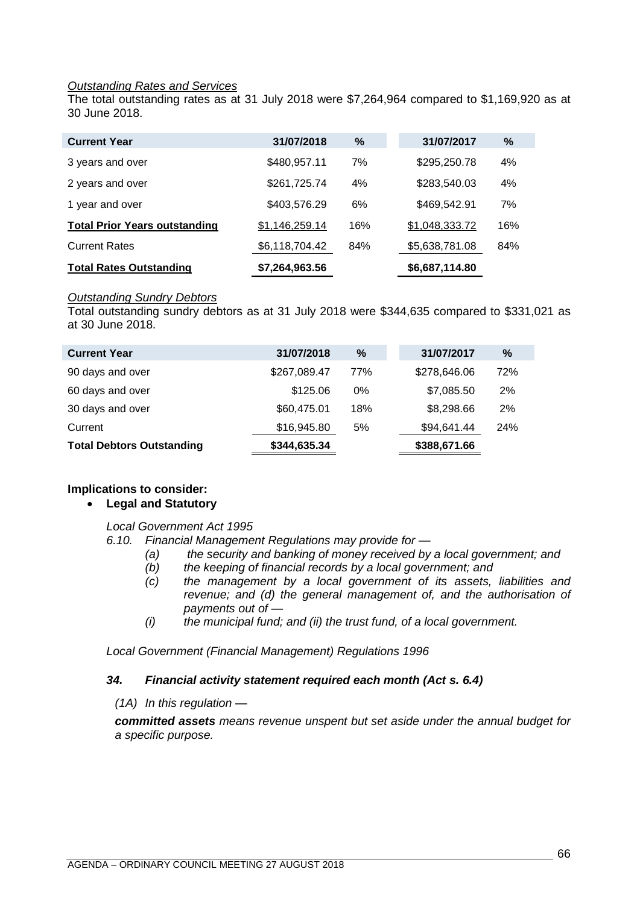### *Outstanding Rates and Services*

The total outstanding rates as at 31 July 2018 were \$7,264,964 compared to \$1,169,920 as at 30 June 2018.

| <b>Current Year</b>                  | 31/07/2018     | %   | 31/07/2017     | %   |
|--------------------------------------|----------------|-----|----------------|-----|
| 3 years and over                     | \$480,957.11   | 7%  | \$295,250.78   | 4%  |
| 2 years and over                     | \$261,725.74   | 4%  | \$283,540.03   | 4%  |
| 1 year and over                      | \$403,576.29   | 6%  | \$469.542.91   | 7%  |
| <b>Total Prior Years outstanding</b> | \$1,146,259.14 | 16% | \$1,048,333.72 | 16% |
| <b>Current Rates</b>                 | \$6,118,704.42 | 84% | \$5,638,781.08 | 84% |
| <b>Total Rates Outstanding</b>       | \$7,264,963.56 |     | \$6,687,114.80 |     |

### *Outstanding Sundry Debtors*

Total outstanding sundry debtors as at 31 July 2018 were \$344,635 compared to \$331,021 as at 30 June 2018.

| <b>Current Year</b>              | 31/07/2018   | %     | 31/07/2017   | $\%$       |
|----------------------------------|--------------|-------|--------------|------------|
| 90 days and over                 | \$267,089.47 | 77%   | \$278,646.06 | 72%        |
| 60 days and over                 | \$125.06     | $0\%$ | \$7,085.50   | 2%         |
| 30 days and over                 | \$60,475.01  | 18%   | \$8,298.66   | 2%         |
| Current                          | \$16,945.80  | 5%    | \$94,641.44  | <b>24%</b> |
| <b>Total Debtors Outstanding</b> | \$344,635.34 |       | \$388,671.66 |            |

# **Implications to consider:**

# • **Legal and Statutory**

### *Local Government Act 1995*

*6.10. Financial Management Regulations may provide for —*

- *(a) the security and banking of money received by a local government; and*
- *(b) the keeping of financial records by a local government; and*
- *(c) the management by a local government of its assets, liabilities and revenue; and (d) the general management of, and the authorisation of payments out of —*
- *(i) the municipal fund; and (ii) the trust fund, of a local government.*

*Local Government (Financial Management) Regulations 1996*

# *34. Financial activity statement required each month (Act s. 6.4)*

*(1A) In this regulation —*

*committed assets means revenue unspent but set aside under the annual budget for a specific purpose.*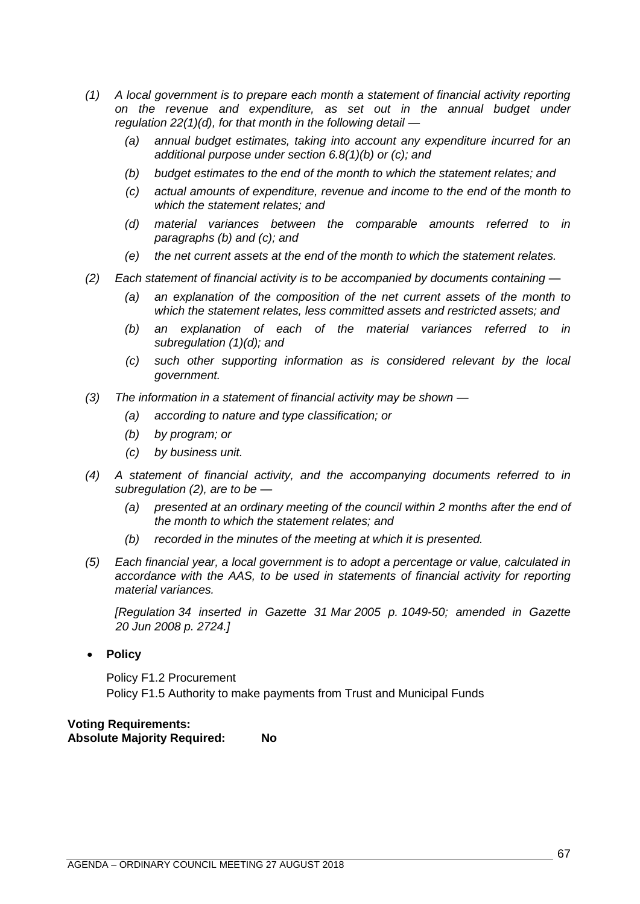- *(1) A local government is to prepare each month a statement of financial activity reporting on the revenue and expenditure, as set out in the annual budget under regulation 22(1)(d), for that month in the following detail —*
	- *(a) annual budget estimates, taking into account any expenditure incurred for an additional purpose under section 6.8(1)(b) or (c); and*
	- *(b) budget estimates to the end of the month to which the statement relates; and*
	- *(c) actual amounts of expenditure, revenue and income to the end of the month to which the statement relates; and*
	- *(d) material variances between the comparable amounts referred to in paragraphs (b) and (c); and*
	- *(e) the net current assets at the end of the month to which the statement relates.*
- *(2) Each statement of financial activity is to be accompanied by documents containing —*
	- *(a) an explanation of the composition of the net current assets of the month to which the statement relates, less committed assets and restricted assets; and*
	- *(b) an explanation of each of the material variances referred to in subregulation (1)(d); and*
	- *(c) such other supporting information as is considered relevant by the local government.*
- *(3) The information in a statement of financial activity may be shown —*
	- *(a) according to nature and type classification; or*
	- *(b) by program; or*
	- *(c) by business unit.*
- *(4) A statement of financial activity, and the accompanying documents referred to in subregulation (2), are to be —*
	- *(a) presented at an ordinary meeting of the council within 2 months after the end of the month to which the statement relates; and*
	- *(b) recorded in the minutes of the meeting at which it is presented.*
- *(5) Each financial year, a local government is to adopt a percentage or value, calculated in accordance with the AAS, to be used in statements of financial activity for reporting material variances.*

*[Regulation 34 inserted in Gazette 31 Mar 2005 p. 1049-50; amended in Gazette 20 Jun 2008 p. 2724.]*

• **Policy**

Policy F1.2 Procurement Policy F1.5 Authority to make payments from Trust and Municipal Funds

# **Voting Requirements: Absolute Majority Required: No**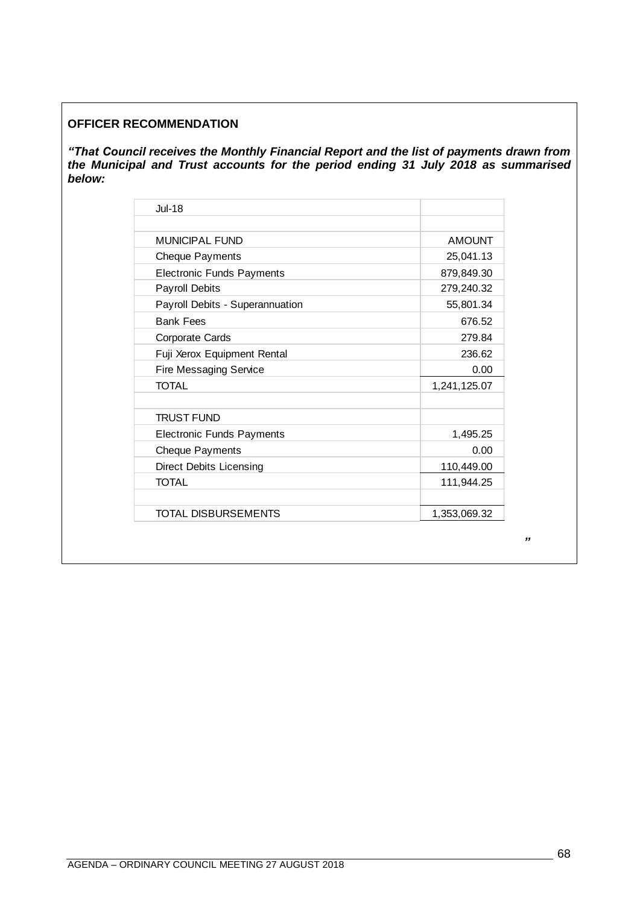# **OFFICER RECOMMENDATION**

*"That Council receives the Monthly Financial Report and the list of payments drawn from the Municipal and Trust accounts for the period ending 31 July 2018 as summarised below:* 

| <b>Jul-18</b>                    |               |
|----------------------------------|---------------|
| MUNICIPAL FUND                   | <b>AMOUNT</b> |
| <b>Cheque Payments</b>           | 25,041.13     |
| <b>Electronic Funds Payments</b> | 879,849.30    |
| <b>Payroll Debits</b>            | 279,240.32    |
| Payroll Debits - Superannuation  | 55,801.34     |
| <b>Bank Fees</b>                 | 676.52        |
| Corporate Cards                  | 279.84        |
| Fuji Xerox Equipment Rental      | 236.62        |
| <b>Fire Messaging Service</b>    | 0.00          |
| <b>TOTAL</b>                     | 1,241,125.07  |
| <b>TRUST FUND</b>                |               |
| <b>Electronic Funds Payments</b> | 1,495.25      |
| <b>Cheque Payments</b>           | 0.00          |
| <b>Direct Debits Licensing</b>   | 110,449.00    |
| <b>TOTAL</b>                     | 111,944.25    |
| <b>TOTAL DISBURSEMENTS</b>       | 1,353,069.32  |

*"*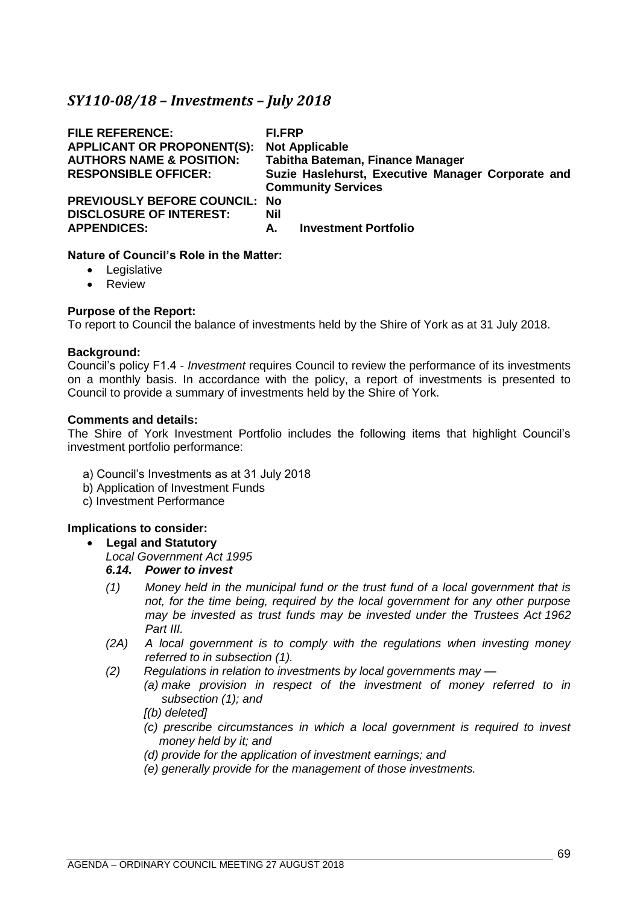# <span id="page-68-0"></span>*SY110-08/18 – Investments – July 2018*

| <b>FILE REFERENCE:</b><br><b>APPLICANT OR PROPONENT(S):</b><br><b>AUTHORS NAME &amp; POSITION:</b><br><b>RESPONSIBLE OFFICER:</b> | FI.FRP<br><b>Not Applicable</b><br><b>Tabitha Bateman, Finance Manager</b><br>Suzie Haslehurst, Executive Manager Corporate and<br><b>Community Services</b> |
|-----------------------------------------------------------------------------------------------------------------------------------|--------------------------------------------------------------------------------------------------------------------------------------------------------------|
| <b>PREVIOUSLY BEFORE COUNCIL: No</b>                                                                                              | Nil                                                                                                                                                          |
| <b>DISCLOSURE OF INTEREST:</b>                                                                                                    | <b>Investment Portfolio</b>                                                                                                                                  |
| <b>APPENDICES:</b>                                                                                                                | А.                                                                                                                                                           |

# **Nature of Council's Role in the Matter:**

- Legislative
- Review

# **Purpose of the Report:**

To report to Council the balance of investments held by the Shire of York as at 31 July 2018.

## **Background:**

Council's policy F1.4 - *Investment* requires Council to review the performance of its investments on a monthly basis. In accordance with the policy, a report of investments is presented to Council to provide a summary of investments held by the Shire of York.

## **Comments and details:**

The Shire of York Investment Portfolio includes the following items that highlight Council's investment portfolio performance:

- a) Council's Investments as at 31 July 2018
- b) Application of Investment Funds
- c) Investment Performance

# **Implications to consider:**

# • **Legal and Statutory**

*Local Government Act 1995*

# *6.14. Power to invest*

- *(1) Money held in the municipal fund or the trust fund of a local government that is not, for the time being, required by the local government for any other purpose may be invested as trust funds may be invested under the Trustees Act 1962 Part III.*
- *(2A) A local government is to comply with the regulations when investing money referred to in subsection (1).*
- *(2) Regulations in relation to investments by local governments may —*
	- *(a) make provision in respect of the investment of money referred to in subsection (1); and*

# *[(b) deleted]*

- *(c) prescribe circumstances in which a local government is required to invest money held by it; and*
- *(d) provide for the application of investment earnings; and*
- *(e) generally provide for the management of those investments.*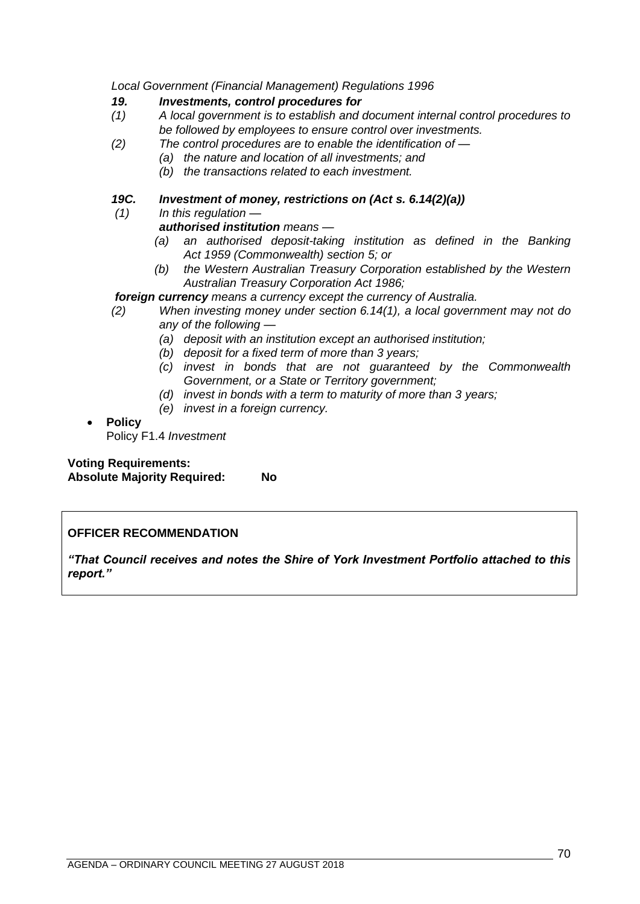*Local Government (Financial Management) Regulations 1996*

## *19. Investments, control procedures for*

- *(1) A local government is to establish and document internal control procedures to be followed by employees to ensure control over investments.*
- *(2) The control procedures are to enable the identification of —*
	- *(a) the nature and location of all investments; and*
	- *(b) the transactions related to each investment.*

# *19C. Investment of money, restrictions on (Act s. 6.14(2)(a))*

*(1) In this regulation —*

# *authorised institution means —*

- *(a) an authorised deposit-taking institution as defined in the Banking Act 1959 (Commonwealth) section 5; or*
- *(b) the Western Australian Treasury Corporation established by the Western Australian Treasury Corporation Act 1986;*

# *foreign currency means a currency except the currency of Australia.*

- *(2) When investing money under section 6.14(1), a local government may not do any of the following —*
	- *(a) deposit with an institution except an authorised institution;*
	- *(b) deposit for a fixed term of more than 3 years;*
	- *(c) invest in bonds that are not guaranteed by the Commonwealth Government, or a State or Territory government;*
	- *(d) invest in bonds with a term to maturity of more than 3 years;*
	- *(e) invest in a foreign currency.*

# • **Policy**

Policy F1.4 *Investment*

**Voting Requirements: Absolute Majority Required: No**

# **OFFICER RECOMMENDATION**

*"That Council receives and notes the Shire of York Investment Portfolio attached to this report."*